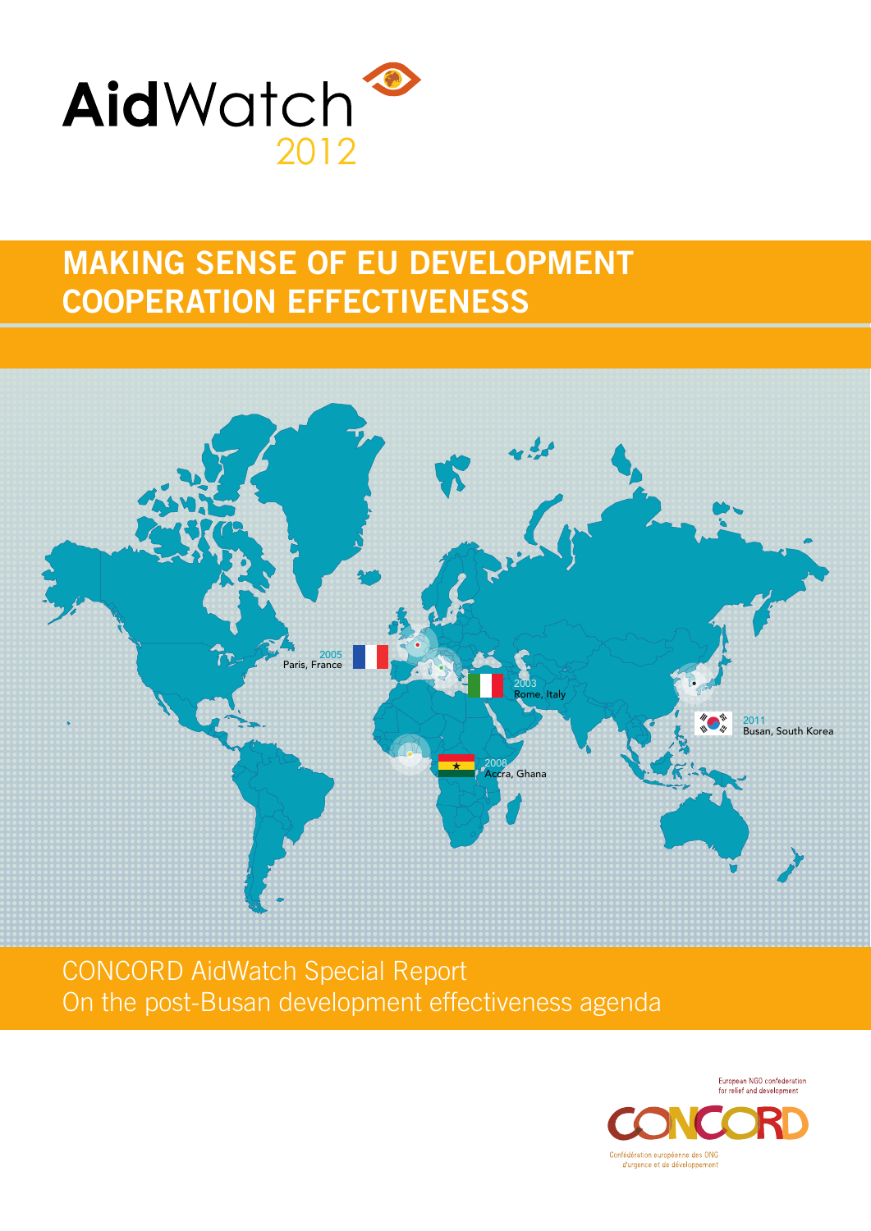

# MAKING SENSE OF EU DEVELOPMENT COOPERATION EFFECTIVENESS



CONCORD AidWatch Special Report On the post-Busan development effectiveness agenda

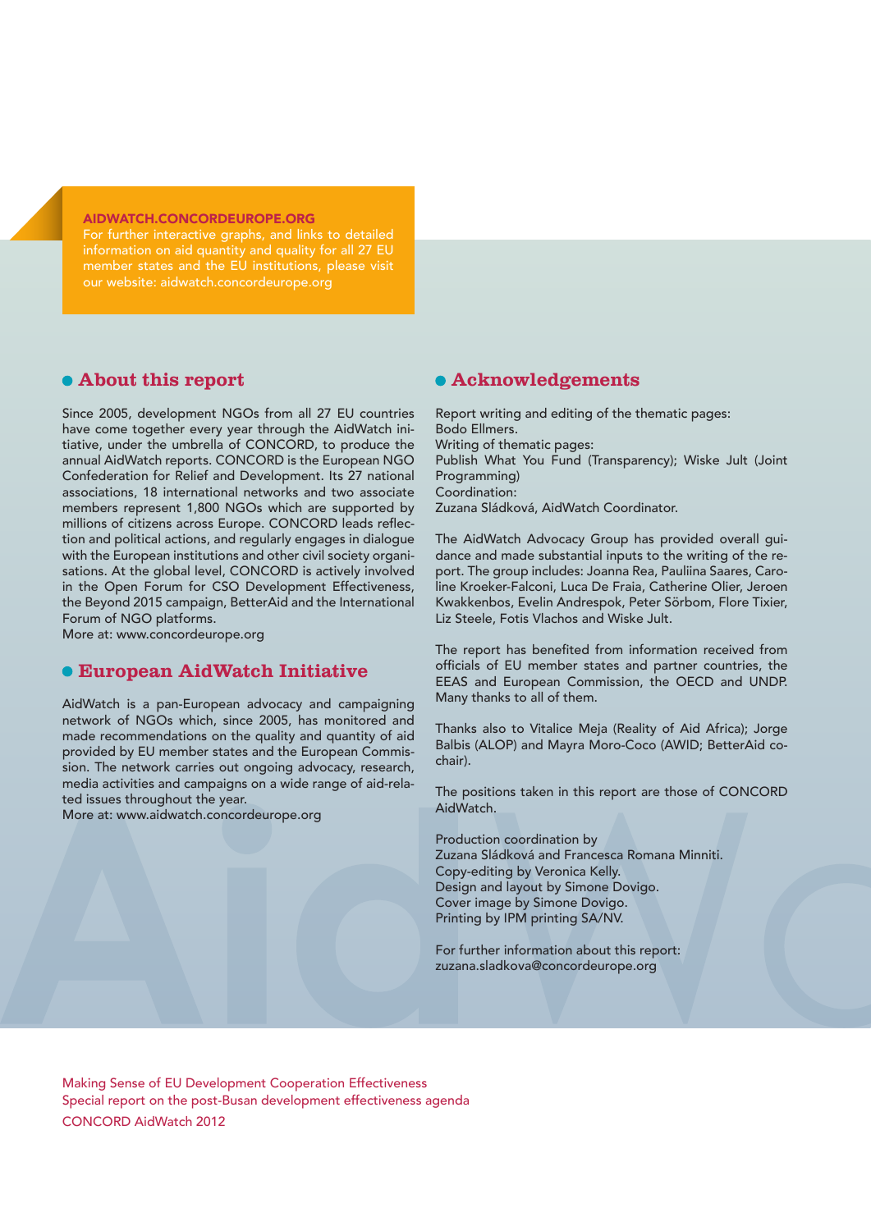#### AIDWATCH.CONCORDEUROPE.ORG

For further interactive graphs, and links to detailed information on aid quantity and quality for all 27 EU member states and the EU institutions, please visit our website: aidwatch.concordeurope.org

## About this report

Since 2005, development NGOs from all 27 EU countries have come together every year through the AidWatch initiative, under the umbrella of CONCORD, to produce the annual AidWatch reports. CONCORD is the European NGO Confederation for Relief and Development. Its 27 national associations, 18 international networks and two associate members represent 1,800 NGOs which are supported by millions of citizens across Europe. CONCORD leads reflection and political actions, and regularly engages in dialogue with the European institutions and other civil society organisations. At the global level, CONCORD is actively involved in the Open Forum for CSO Development Effectiveness, the Beyond 2015 campaign, BetterAid and the International Forum of NGO platforms.

More at: www.concordeurope.org

## European AidWatch Initiative

AidWatch is a pan-European advocacy and campaigning network of NGOs which, since 2005, has monitored and made recommendations on the quality and quantity of aid provided by EU member states and the European Commission. The network carries out ongoing advocacy, research, media activities and campaigns on a wide range of aid-related issues throughout the year.

More at: www.aidwatch.concordeurope.org

## Acknowledgements

Report writing and editing of the thematic pages: Bodo Ellmers. Writing of thematic pages: Publish What You Fund (Transparency); Wiske Jult (Joint Programming) Coordination: Zuzana Sládková, AidWatch Coordinator.

The AidWatch Advocacy Group has provided overall guidance and made substantial inputs to the writing of the report. The group includes: Joanna Rea, Pauliina Saares, Caroline Kroeker-Falconi, Luca De Fraia, Catherine Olier, Jeroen Kwakkenbos, Evelin Andrespok, Peter Sörbom, Flore Tixier, Liz Steele, Fotis Vlachos and Wiske Jult.

The report has benefited from information received from officials of EU member states and partner countries, the EEAS and European Commission, the OECD and UNDP. Many thanks to all of them.

Thanks also to Vitalice Meja (Reality of Aid Africa); Jorge Balbis (ALOP) and Mayra Moro-Coco (AWID; BetterAid cochair).

The positions taken in this report are those of CONCORD AidWatch.

Production coordination by Zuzana Sládková and Francesca Romana Minniti. Copy-editing by Veronica Kelly. Design and layout by Simone Dovigo. Cover image by Simone Dovigo. Printing by IPM printing SA/NV.

For further information about this report: zuzana.sladkova@concordeurope.org

Making Sense of EU Development Cooperation Effectiveness Special report on the post-Busan development effectiveness agenda CONCORD AidWatch 2012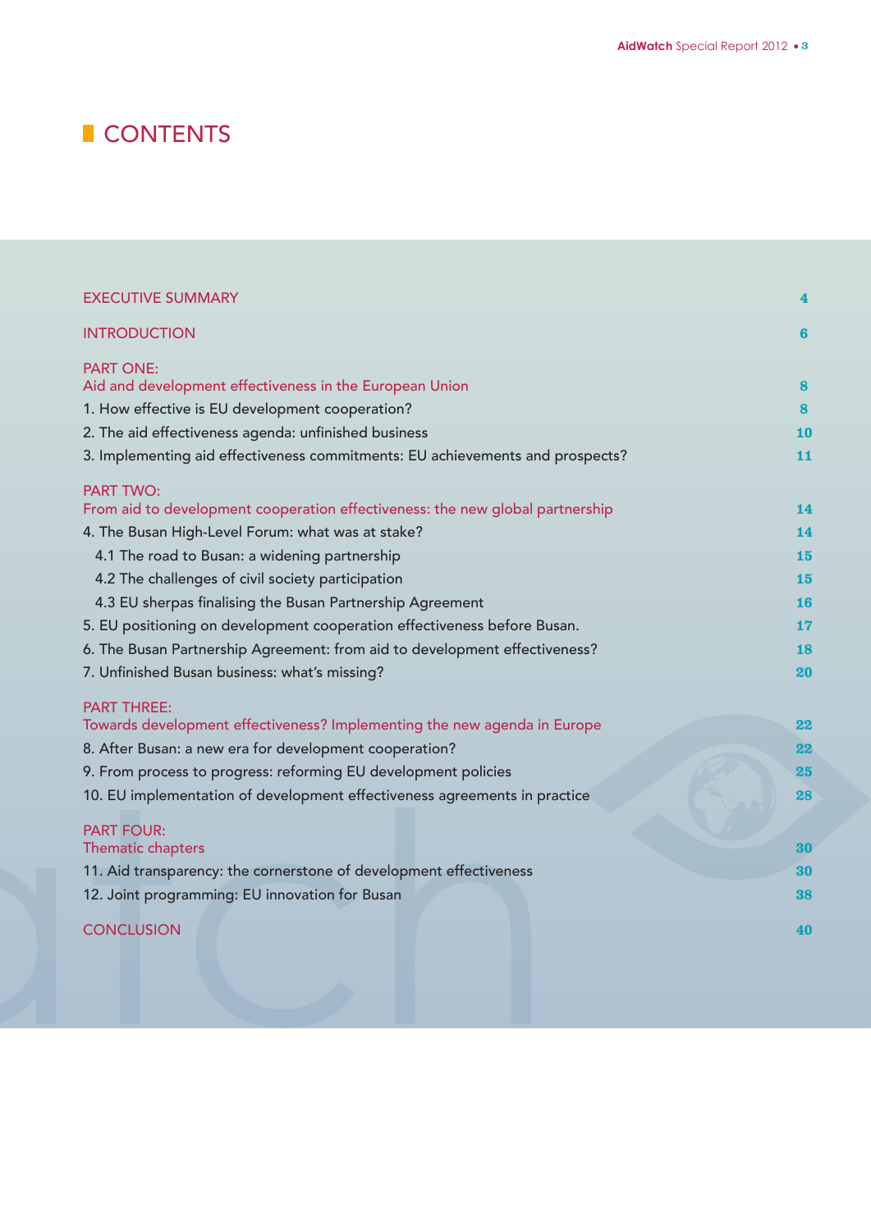# **CONTENTS**

| <b>EXECUTIVE SUMMARY</b>                                                      |        |
|-------------------------------------------------------------------------------|--------|
| <b>INTRODUCTION</b>                                                           | 6      |
| <b>PART ONE:</b>                                                              |        |
| Aid and development effectiveness in the European Union                       | 8      |
| 1. How effective is EU development cooperation?                               | 8      |
| 2. The aid effectiveness agenda: unfinished business                          | 10     |
| 3. Implementing aid effectiveness commitments: EU achievements and prospects? | 11     |
| <b>PART TWO:</b>                                                              |        |
| From aid to development cooperation effectiveness: the new global partnership | 14     |
| 4. The Busan High-Level Forum: what was at stake?                             | 14     |
| 4.1 The road to Busan: a widening partnership                                 | 15     |
| 4.2 The challenges of civil society participation                             | 15     |
| 4.3 EU sherpas finalising the Busan Partnership Agreement                     | 16     |
| 5. EU positioning on development cooperation effectiveness before Busan.      | 17     |
| 6. The Busan Partnership Agreement: from aid to development effectiveness?    | 18     |
| 7. Unfinished Busan business: what's missing?                                 | 20     |
| <b>PART THREE:</b>                                                            |        |
| Towards development effectiveness? Implementing the new agenda in Europe      | 22     |
| 8. After Busan: a new era for development cooperation?                        | 22     |
| 9. From process to progress: reforming EU development policies                | $25\,$ |
| 10. EU implementation of development effectiveness agreements in practice     | 28     |
| <b>PART FOUR:</b>                                                             |        |
| Thematic chapters                                                             | 30     |
| 11. Aid transparency: the cornerstone of development effectiveness            | 30     |
| 12. Joint programming: EU innovation for Busan                                | 38     |
| <b>CONCLUSION</b>                                                             | 40     |
|                                                                               |        |
|                                                                               |        |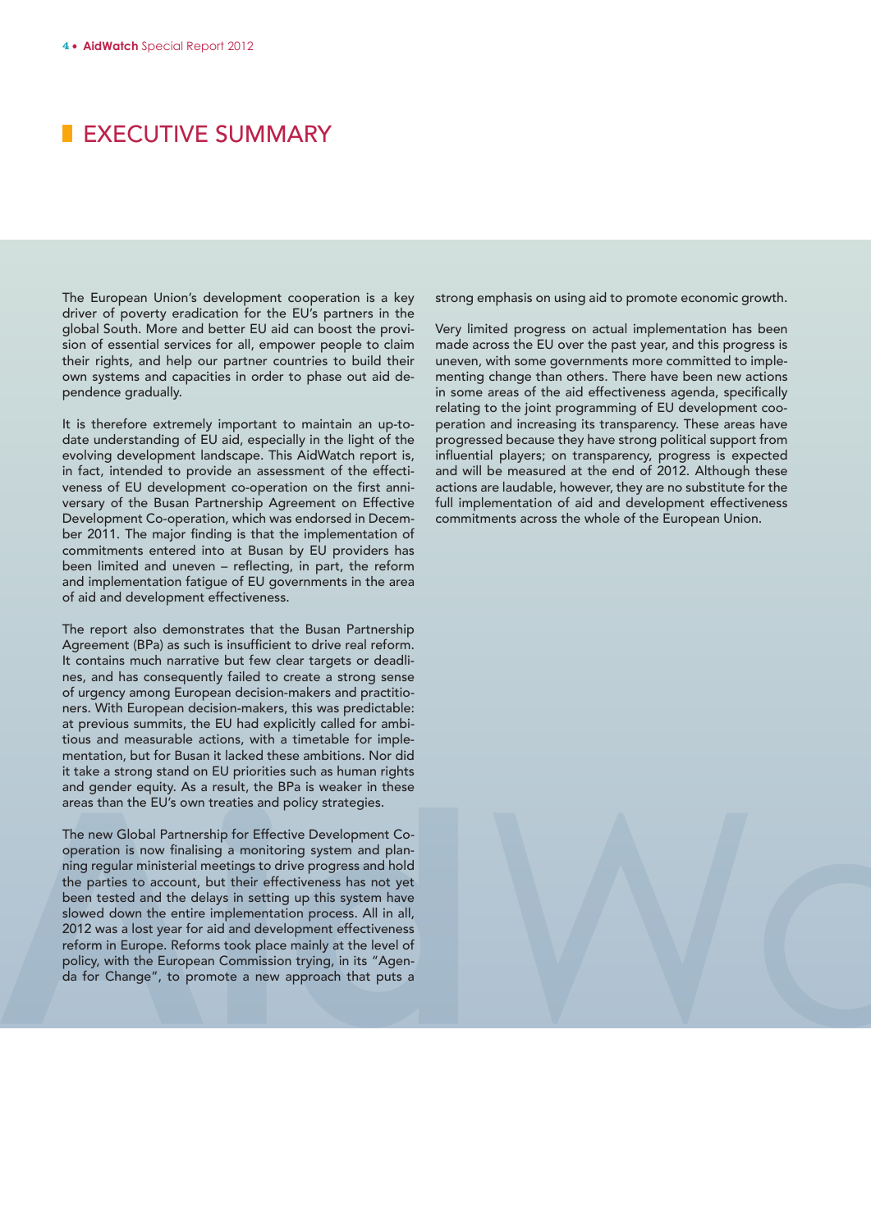# **EXECUTIVE SUMMARY**

The European Union's development cooperation is a key driver of poverty eradication for the EU's partners in the global South. More and better EU aid can boost the provision of essential services for all, empower people to claim their rights, and help our partner countries to build their own systems and capacities in order to phase out aid dependence gradually.

It is therefore extremely important to maintain an up-todate understanding of EU aid, especially in the light of the evolving development landscape. This AidWatch report is, in fact, intended to provide an assessment of the effectiveness of EU development co-operation on the first anniversary of the Busan Partnership Agreement on Effective Development Co-operation, which was endorsed in December 2011. The major finding is that the implementation of commitments entered into at Busan by EU providers has been limited and uneven – reflecting, in part, the reform and implementation fatigue of EU governments in the area of aid and development effectiveness.

The report also demonstrates that the Busan Partnership Agreement (BPa) as such is insufficient to drive real reform. It contains much narrative but few clear targets or deadlines, and has consequently failed to create a strong sense of urgency among European decision-makers and practitioners. With European decision-makers, this was predictable: at previous summits, the EU had explicitly called for ambitious and measurable actions, with a timetable for implementation, but for Busan it lacked these ambitions. Nor did it take a strong stand on EU priorities such as human rights and gender equity. As a result, the BPa is weaker in these areas than the EU's own treaties and policy strategies.

The new Global Partnership for Effective Development Cooperation is now finalising a monitoring system and planning regular ministerial meetings to drive progress and hold the parties to account, but their effectiveness has not yet been tested and the delays in setting up this system have slowed down the entire implementation process. All in all, 2012 was a lost year for aid and development effectiveness reform in Europe. Reforms took place mainly at the level of policy, with the European Commission trying, in its "Agenda for Change", to promote a new approach that puts a

strong emphasis on using aid to promote economic growth.

Very limited progress on actual implementation has been made across the EU over the past year, and this progress is uneven, with some governments more committed to implementing change than others. There have been new actions in some areas of the aid effectiveness agenda, specifically relating to the joint programming of EU development cooperation and increasing its transparency. These areas have progressed because they have strong political support from influential players; on transparency, progress is expected and will be measured at the end of 2012. Although these actions are laudable, however, they are no substitute for the full implementation of aid and development effectiveness commitments across the whole of the European Union.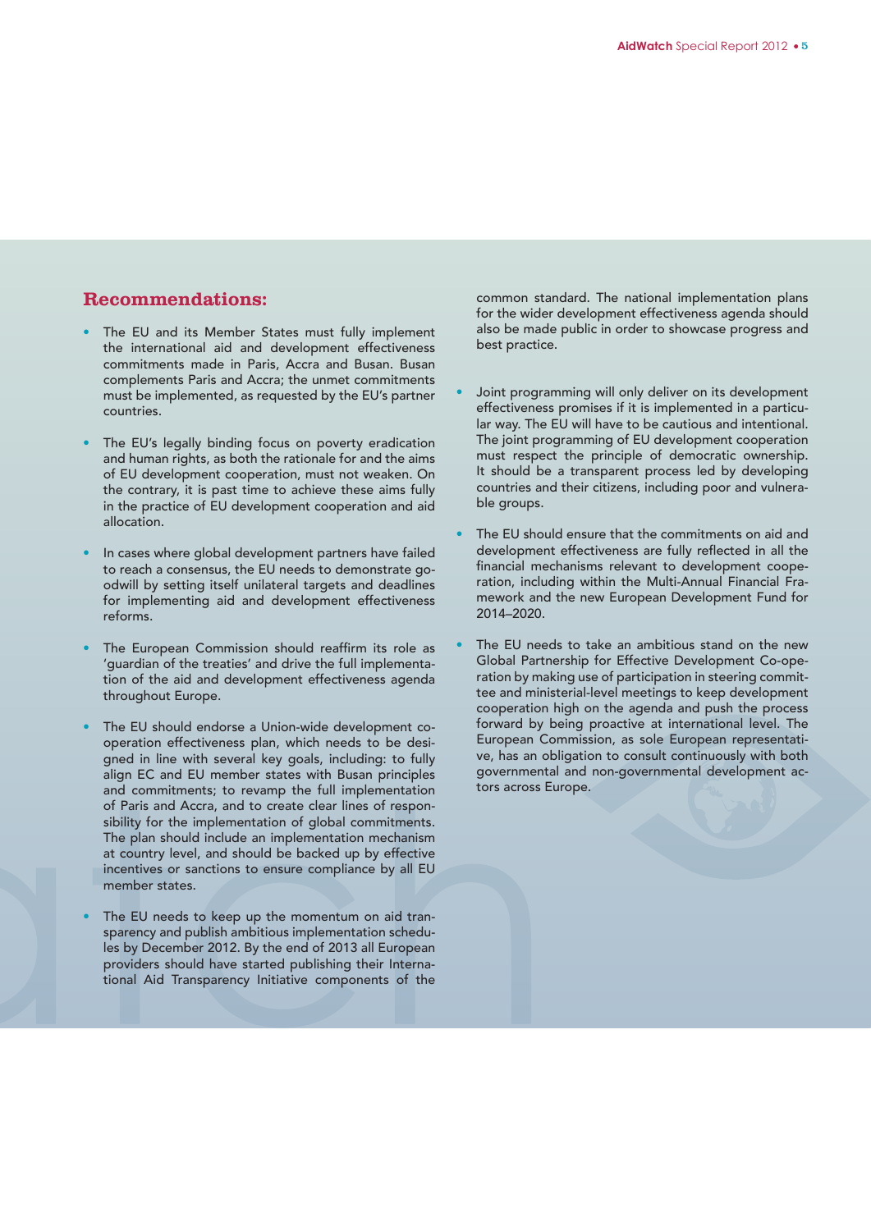## Recommendations:

- The EU and its Member States must fully implement the international aid and development effectiveness commitments made in Paris, Accra and Busan. Busan complements Paris and Accra; the unmet commitments must be implemented, as requested by the EU's partner countries.
- The EU's legally binding focus on poverty eradication and human rights, as both the rationale for and the aims of EU development cooperation, must not weaken. On the contrary, it is past time to achieve these aims fully in the practice of EU development cooperation and aid allocation.
- In cases where global development partners have failed to reach a consensus, the EU needs to demonstrate goodwill by setting itself unilateral targets and deadlines for implementing aid and development effectiveness reforms.
- The European Commission should reaffirm its role as 'guardian of the treaties' and drive the full implementation of the aid and development effectiveness agenda throughout Europe.
- The EU should endorse a Union-wide development cooperation effectiveness plan, which needs to be designed in line with several key goals, including: to fully align EC and EU member states with Busan principles and commitments; to revamp the full implementation of Paris and Accra, and to create clear lines of responsibility for the implementation of global commitments. The plan should include an implementation mechanism at country level, and should be backed up by effective incentives or sanctions to ensure compliance by all EU member states.
- The EU needs to keep up the momentum on aid transparency and publish ambitious implementation schedules by December 2012. By the end of 2013 all European providers should have started publishing their International Aid Transparency Initiative components of the

common standard. The national implementation plans for the wider development effectiveness agenda should also be made public in order to showcase progress and best practice.

- Joint programming will only deliver on its development effectiveness promises if it is implemented in a particular way. The EU will have to be cautious and intentional. The joint programming of EU development cooperation must respect the principle of democratic ownership. It should be a transparent process led by developing countries and their citizens, including poor and vulnerable groups.
- The EU should ensure that the commitments on aid and development effectiveness are fully reflected in all the financial mechanisms relevant to development cooperation, including within the Multi-Annual Financial Framework and the new European Development Fund for 2014–2020.
- The EU needs to take an ambitious stand on the new Global Partnership for Effective Development Co-operation by making use of participation in steering committee and ministerial-level meetings to keep development cooperation high on the agenda and push the process forward by being proactive at international level. The European Commission, as sole European representative, has an obligation to consult continuously with both governmental and non-governmental development actors across Europe.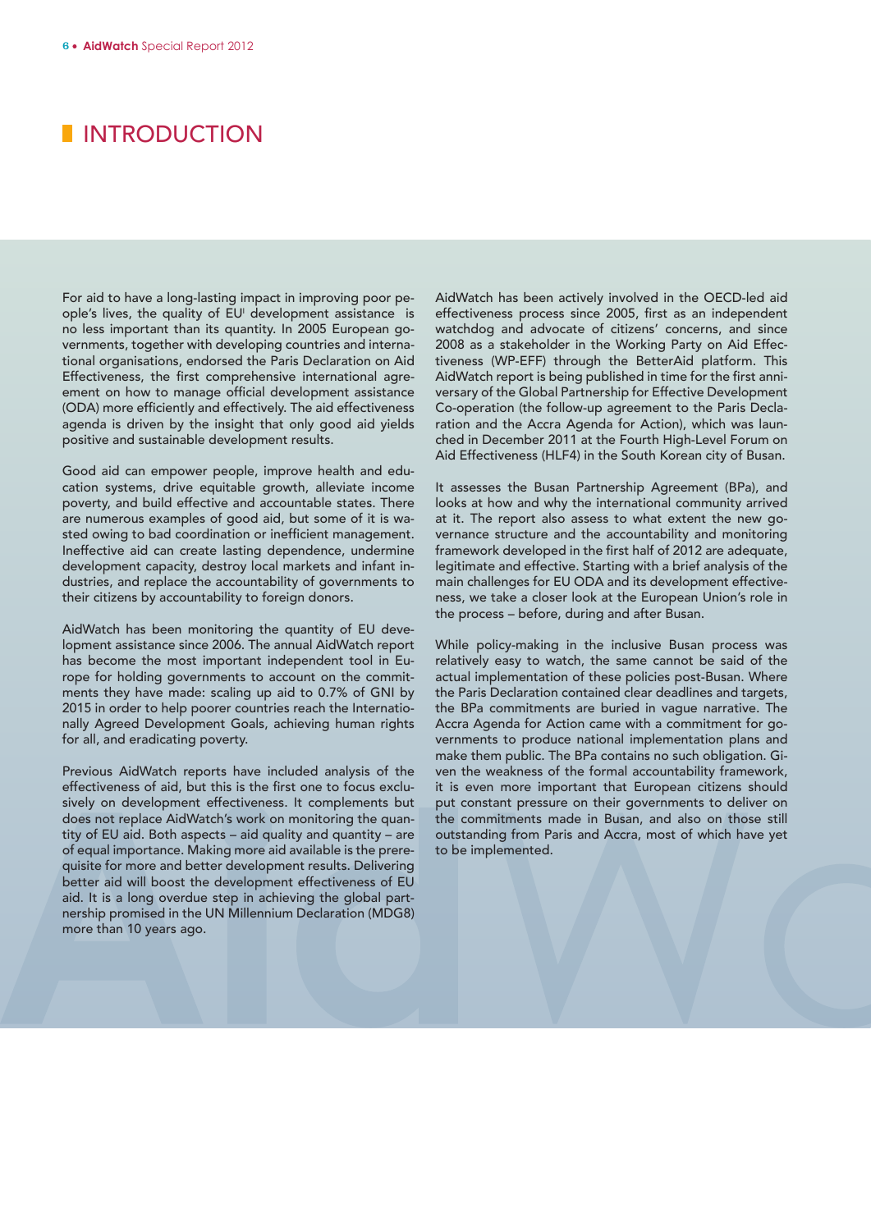# **INTRODUCTION**

For aid to have a long-lasting impact in improving poor people's lives, the quality of EU<sup>I</sup> development assistance is no less important than its quantity. In 2005 European governments, together with developing countries and international organisations, endorsed the Paris Declaration on Aid Effectiveness, the first comprehensive international agreement on how to manage official development assistance (ODA) more efficiently and effectively. The aid effectiveness agenda is driven by the insight that only good aid yields positive and sustainable development results.

Good aid can empower people, improve health and education systems, drive equitable growth, alleviate income poverty, and build effective and accountable states. There are numerous examples of good aid, but some of it is wasted owing to bad coordination or inefficient management. Ineffective aid can create lasting dependence, undermine development capacity, destroy local markets and infant industries, and replace the accountability of governments to their citizens by accountability to foreign donors.

AidWatch has been monitoring the quantity of EU development assistance since 2006. The annual AidWatch report has become the most important independent tool in Europe for holding governments to account on the commitments they have made: scaling up aid to 0.7% of GNI by 2015 in order to help poorer countries reach the Internationally Agreed Development Goals, achieving human rights for all, and eradicating poverty.

Previous AidWatch reports have included analysis of the effectiveness of aid, but this is the first one to focus exclusively on development effectiveness. It complements but does not replace AidWatch's work on monitoring the quantity of EU aid. Both aspects – aid quality and quantity – are of equal importance. Making more aid available is the prerequisite for more and better development results. Delivering better aid will boost the development effectiveness of EU aid. It is a long overdue step in achieving the global partnership promised in the UN Millennium Declaration (MDG8) more than 10 years ago.

AidWatch has been actively involved in the OECD-led aid effectiveness process since 2005, first as an independent watchdog and advocate of citizens' concerns, and since 2008 as a stakeholder in the Working Party on Aid Effectiveness (WP-EFF) through the BetterAid platform. This AidWatch report is being published in time for the first anniversary of the Global Partnership for Effective Development Co-operation (the follow-up agreement to the Paris Declaration and the Accra Agenda for Action), which was launched in December 2011 at the Fourth High-Level Forum on Aid Effectiveness (HLF4) in the South Korean city of Busan.

It assesses the Busan Partnership Agreement (BPa), and looks at how and why the international community arrived at it. The report also assess to what extent the new governance structure and the accountability and monitoring framework developed in the first half of 2012 are adequate, legitimate and effective. Starting with a brief analysis of the main challenges for EU ODA and its development effectiveness, we take a closer look at the European Union's role in the process – before, during and after Busan.

While policy-making in the inclusive Busan process was relatively easy to watch, the same cannot be said of the actual implementation of these policies post-Busan. Where the Paris Declaration contained clear deadlines and targets, the BPa commitments are buried in vague narrative. The Accra Agenda for Action came with a commitment for governments to produce national implementation plans and make them public. The BPa contains no such obligation. Given the weakness of the formal accountability framework, it is even more important that European citizens should put constant pressure on their governments to deliver on the commitments made in Busan, and also on those still outstanding from Paris and Accra, most of which have yet to be implemented.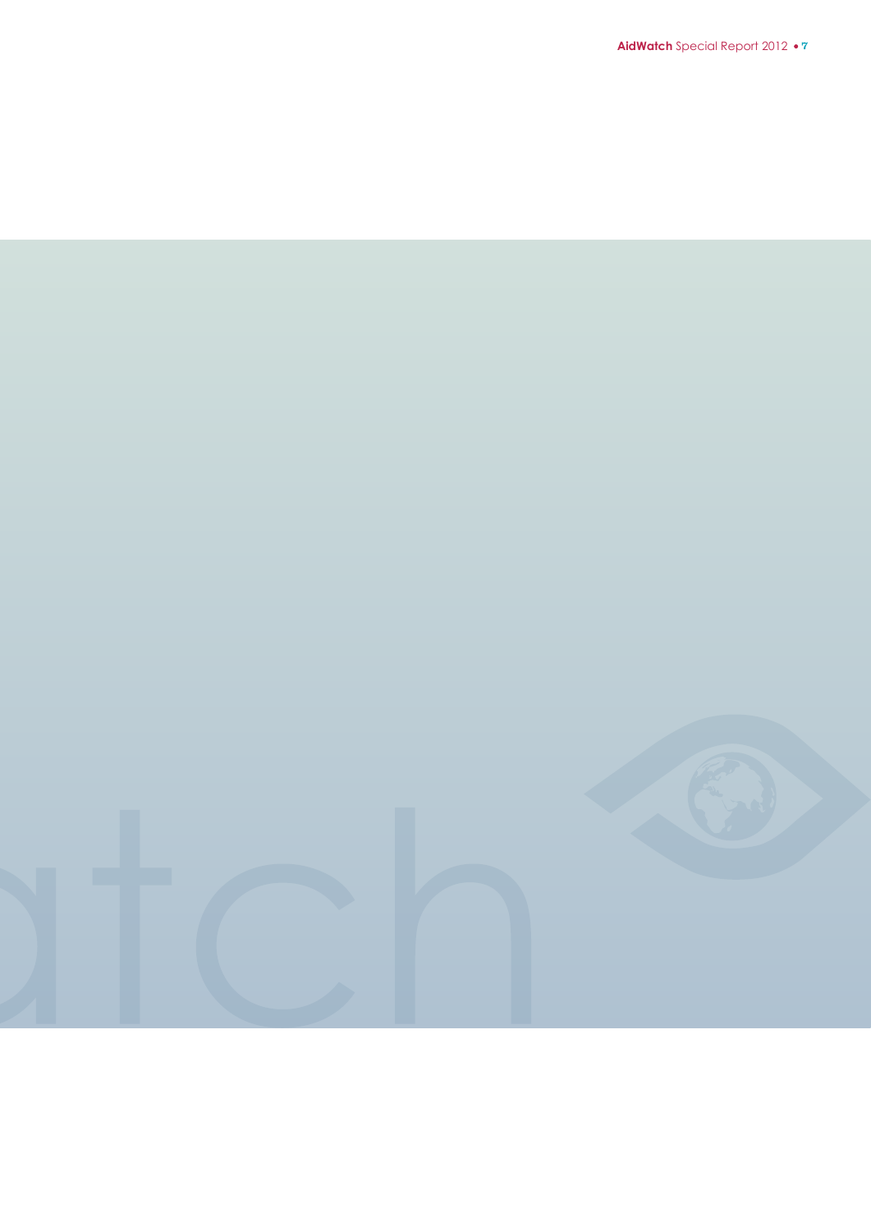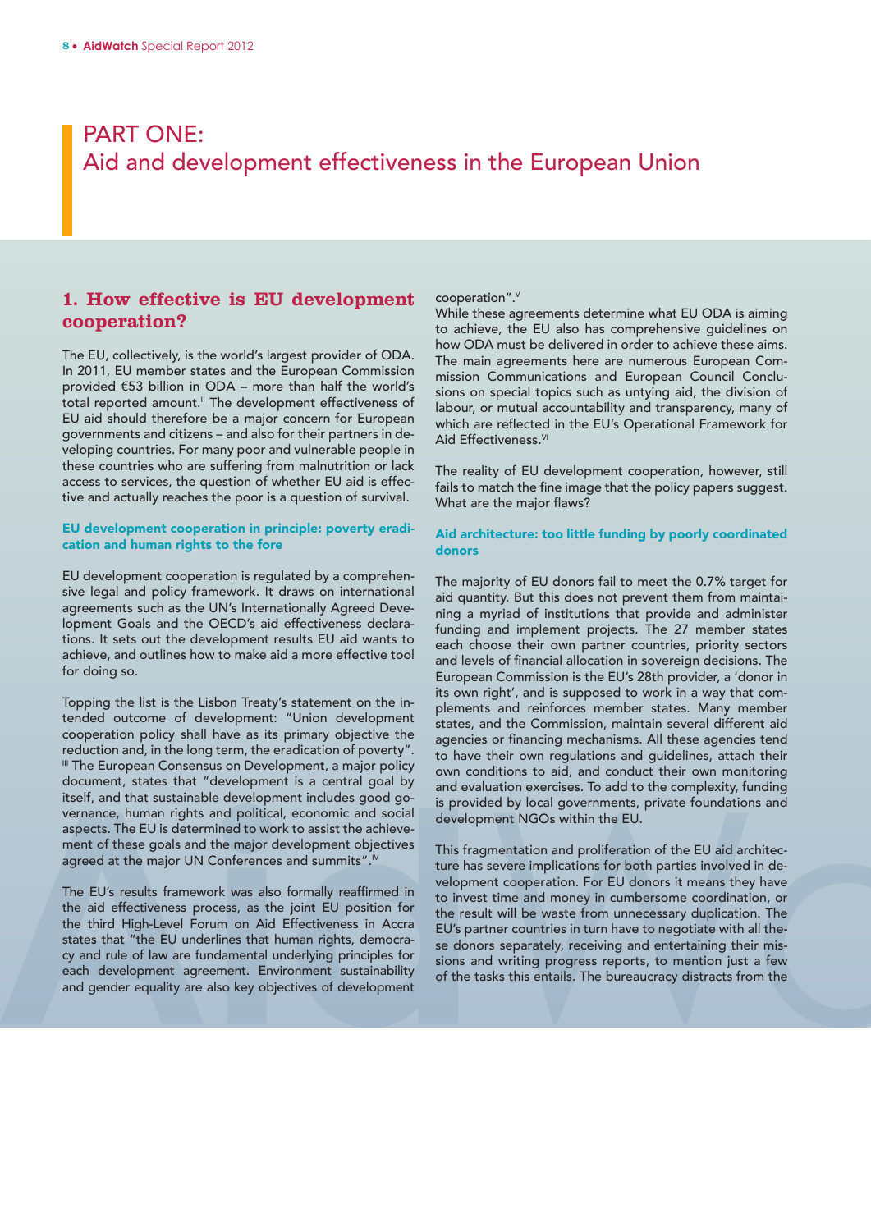# PART ONE: Aid and development effectiveness in the European Union

## 1. How effective is EU development cooperation?

The EU, collectively, is the world's largest provider of ODA. In 2011, EU member states and the European Commission provided €53 billion in ODA – more than half the world's total reported amount.<sup>"</sup> The development effectiveness of EU aid should therefore be a major concern for European governments and citizens – and also for their partners in developing countries. For many poor and vulnerable people in these countries who are suffering from malnutrition or lack access to services, the question of whether EU aid is effective and actually reaches the poor is a question of survival.

#### EU development cooperation in principle: poverty eradication and human rights to the fore

EU development cooperation is regulated by a comprehensive legal and policy framework. It draws on international agreements such as the UN's Internationally Agreed Development Goals and the OECD's aid effectiveness declarations. It sets out the development results EU aid wants to achieve, and outlines how to make aid a more effective tool for doing so.

Topping the list is the Lisbon Treaty's statement on the intended outcome of development: "Union development cooperation policy shall have as its primary objective the reduction and, in the long term, the eradication of poverty". <sup>III</sup> The European Consensus on Development, a major policy document, states that "development is a central goal by itself, and that sustainable development includes good governance, human rights and political, economic and social aspects. The EU is determined to work to assist the achievement of these goals and the major development objectives agreed at the major UN Conferences and summits".<sup>N</sup>

The EU's results framework was also formally reaffirmed in the aid effectiveness process, as the joint EU position for the third High-Level Forum on Aid Effectiveness in Accra states that "the EU underlines that human rights, democracy and rule of law are fundamental underlying principles for each development agreement. Environment sustainability and gender equality are also key objectives of development

#### cooperation".V

While these agreements determine what EU ODA is aiming to achieve, the EU also has comprehensive guidelines on how ODA must be delivered in order to achieve these aims. The main agreements here are numerous European Commission Communications and European Council Conclusions on special topics such as untying aid, the division of labour, or mutual accountability and transparency, many of which are reflected in the EU's Operational Framework for Aid Effectiveness.<sup>VI</sup>

The reality of EU development cooperation, however, still fails to match the fine image that the policy papers suggest. What are the major flaws?

### Aid architecture: too little funding by poorly coordinated donors

The majority of EU donors fail to meet the 0.7% target for aid quantity. But this does not prevent them from maintaining a myriad of institutions that provide and administer funding and implement projects. The 27 member states each choose their own partner countries, priority sectors and levels of financial allocation in sovereign decisions. The European Commission is the EU's 28th provider, a 'donor in its own right', and is supposed to work in a way that complements and reinforces member states. Many member states, and the Commission, maintain several different aid agencies or financing mechanisms. All these agencies tend to have their own regulations and guidelines, attach their own conditions to aid, and conduct their own monitoring and evaluation exercises. To add to the complexity, funding is provided by local governments, private foundations and development NGOs within the EU.

This fragmentation and proliferation of the EU aid architecture has severe implications for both parties involved in development cooperation. For EU donors it means they have to invest time and money in cumbersome coordination, or the result will be waste from unnecessary duplication. The EU's partner countries in turn have to negotiate with all these donors separately, receiving and entertaining their missions and writing progress reports, to mention just a few of the tasks this entails. The bureaucracy distracts from the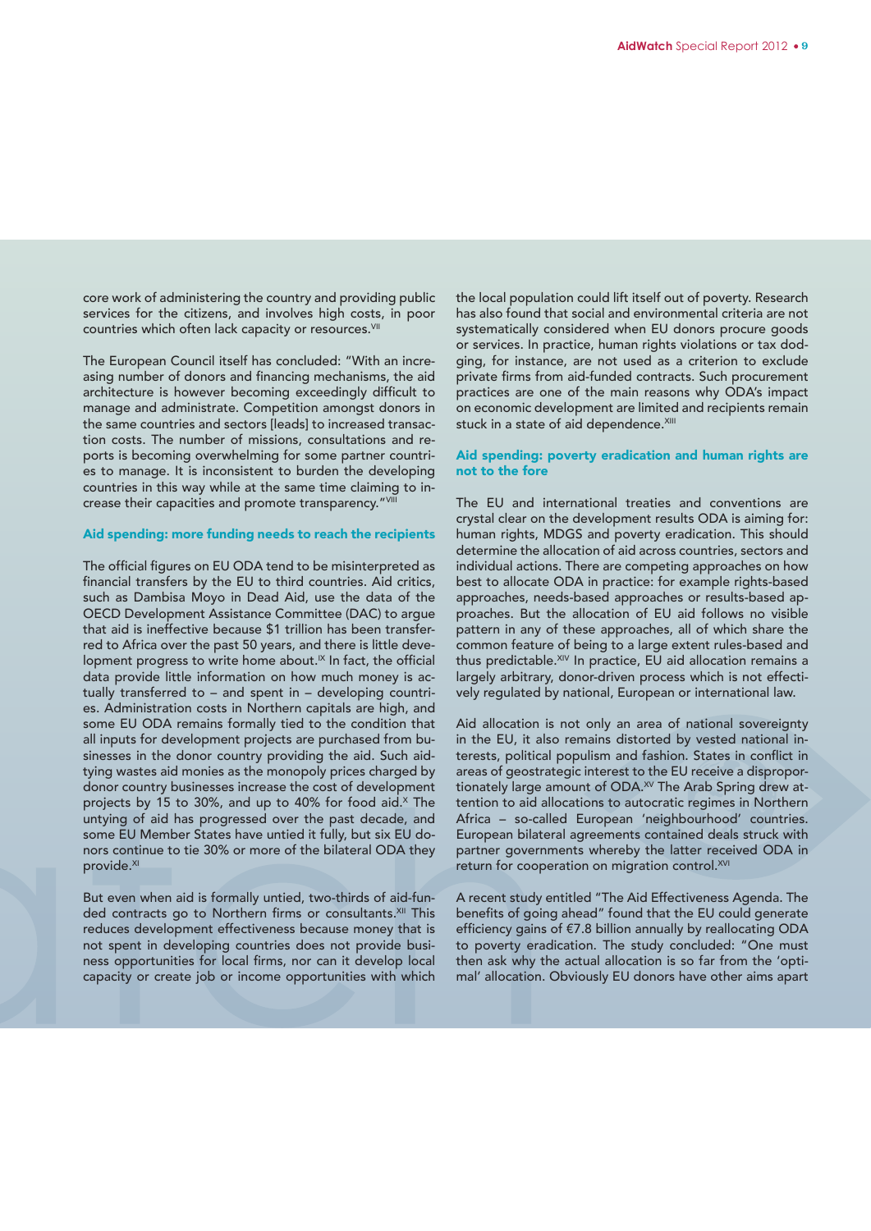core work of administering the country and providing public services for the citizens, and involves high costs, in poor countries which often lack capacity or resources. VII

The European Council itself has concluded: "With an increasing number of donors and financing mechanisms, the aid architecture is however becoming exceedingly difficult to manage and administrate. Competition amongst donors in the same countries and sectors [leads] to increased transaction costs. The number of missions, consultations and reports is becoming overwhelming for some partner countries to manage. It is inconsistent to burden the developing countries in this way while at the same time claiming to increase their capacities and promote transparency."VIII

### Aid spending: more funding needs to reach the recipients

The official figures on EU ODA tend to be misinterpreted as financial transfers by the EU to third countries. Aid critics, such as Dambisa Moyo in Dead Aid, use the data of the OECD Development Assistance Committee (DAC) to argue that aid is ineffective because \$1 trillion has been transferred to Africa over the past 50 years, and there is little development progress to write home about.<sup>IX</sup> In fact, the official data provide little information on how much money is actually transferred to – and spent in – developing countries. Administration costs in Northern capitals are high, and some EU ODA remains formally tied to the condition that all inputs for development projects are purchased from businesses in the donor country providing the aid. Such aidtying wastes aid monies as the monopoly prices charged by donor country businesses increase the cost of development projects by 15 to 30%, and up to 40% for food aid. $^{\circ}$  The untying of aid has progressed over the past decade, and some EU Member States have untied it fully, but six EU donors continue to tie 30% or more of the bilateral ODA they provide.<sup>XI</sup>

But even when aid is formally untied, two-thirds of aid-funded contracts go to Northern firms or consultants.<sup>XII</sup> This reduces development effectiveness because money that is not spent in developing countries does not provide business opportunities for local firms, nor can it develop local capacity or create job or income opportunities with which

the local population could lift itself out of poverty. Research has also found that social and environmental criteria are not systematically considered when EU donors procure goods or services. In practice, human rights violations or tax dodging, for instance, are not used as a criterion to exclude private firms from aid-funded contracts. Such procurement practices are one of the main reasons why ODA's impact on economic development are limited and recipients remain stuck in a state of aid dependence.<sup>XIII</sup>

#### Aid spending: poverty eradication and human rights are not to the fore

The EU and international treaties and conventions are crystal clear on the development results ODA is aiming for: human rights, MDGS and poverty eradication. This should determine the allocation of aid across countries, sectors and individual actions. There are competing approaches on how best to allocate ODA in practice: for example rights-based approaches, needs-based approaches or results-based approaches. But the allocation of EU aid follows no visible pattern in any of these approaches, all of which share the common feature of being to a large extent rules-based and thus predictable.<sup>XIV</sup> In practice, EU aid allocation remains a largely arbitrary, donor-driven process which is not effectively regulated by national, European or international law.

Aid allocation is not only an area of national sovereignty in the EU, it also remains distorted by vested national interests, political populism and fashion. States in conflict in areas of geostrategic interest to the EU receive a disproportionately large amount of ODA.<sup>XV</sup> The Arab Spring drew attention to aid allocations to autocratic regimes in Northern Africa – so-called European 'neighbourhood' countries. European bilateral agreements contained deals struck with partner governments whereby the latter received ODA in return for cooperation on migration control.<sup>XVI</sup>

A recent study entitled "The Aid Effectiveness Agenda. The benefits of going ahead" found that the EU could generate efficiency gains of €7.8 billion annually by reallocating ODA to poverty eradication. The study concluded: "One must then ask why the actual allocation is so far from the 'optimal' allocation. Obviously EU donors have other aims apart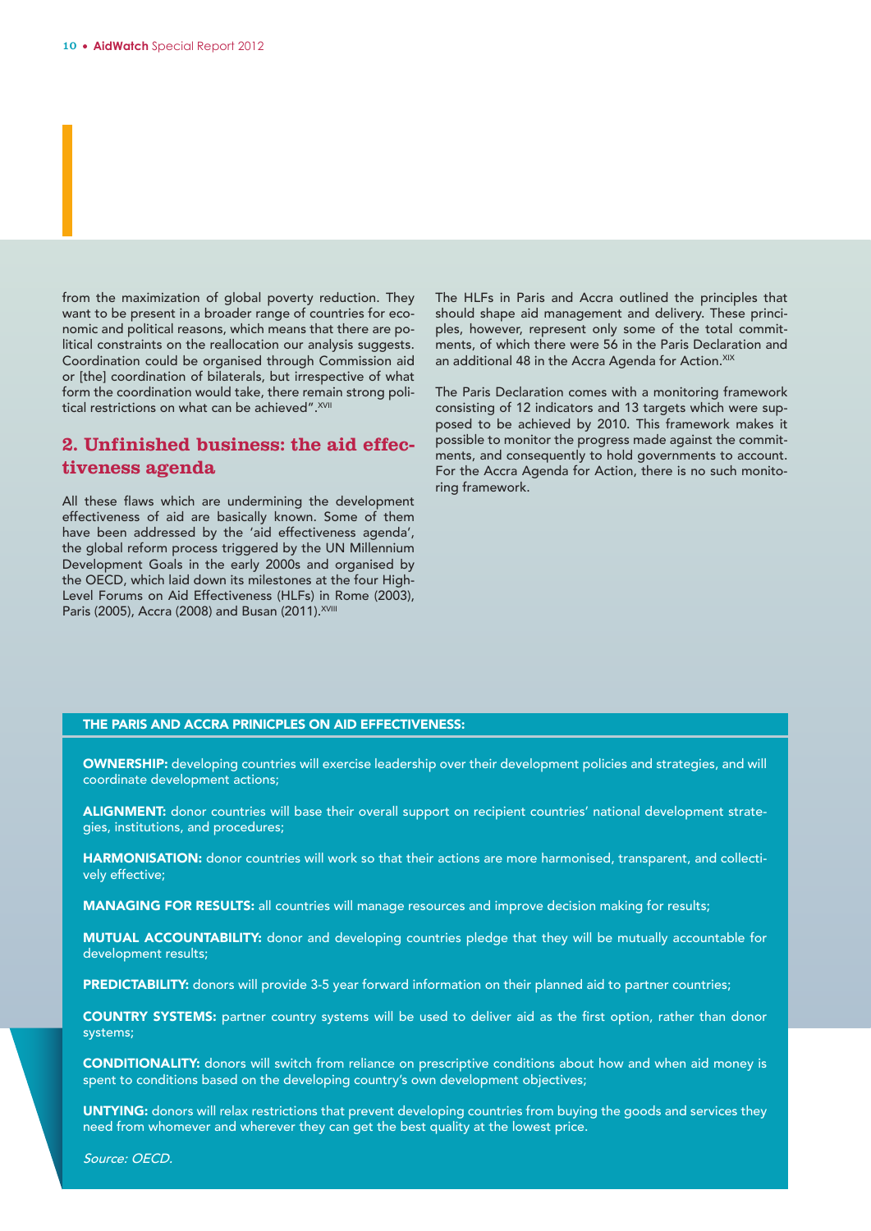from the maximization of global poverty reduction. They want to be present in a broader range of countries for economic and political reasons, which means that there are political constraints on the reallocation our analysis suggests. Coordination could be organised through Commission aid or [the] coordination of bilaterals, but irrespective of what form the coordination would take, there remain strong political restrictions on what can be achieved". XVII

# 2. Unfinished business: the aid effectiveness agenda

All these flaws which are undermining the development effectiveness of aid are basically known. Some of them have been addressed by the 'aid effectiveness agenda', the global reform process triggered by the UN Millennium Development Goals in the early 2000s and organised by the OECD, which laid down its milestones at the four High-Level Forums on Aid Effectiveness (HLFs) in Rome (2003), Paris (2005), Accra (2008) and Busan (2011). XVIII

The HLFs in Paris and Accra outlined the principles that should shape aid management and delivery. These principles, however, represent only some of the total commitments, of which there were 56 in the Paris Declaration and an additional 48 in the Accra Agenda for Action. XIX

The Paris Declaration comes with a monitoring framework consisting of 12 indicators and 13 targets which were supposed to be achieved by 2010. This framework makes it possible to monitor the progress made against the commitments, and consequently to hold governments to account. For the Accra Agenda for Action, there is no such monitoring framework.

#### THE PARIS AND ACCRA PRINICPLES ON AID EFFECTIVENESS:

OWNERSHIP: developing countries will exercise leadership over their development policies and strategies, and will coordinate development actions;

ALIGNMENT: donor countries will base their overall support on recipient countries' national development strategies, institutions, and procedures;

HARMONISATION: donor countries will work so that their actions are more harmonised, transparent, and collectively effective;

MANAGING FOR RESULTS: all countries will manage resources and improve decision making for results;

**MUTUAL ACCOUNTABILITY:** donor and developing countries pledge that they will be mutually accountable for development results;

PREDICTABILITY: donors will provide 3-5 year forward information on their planned aid to partner countries;

COUNTRY SYSTEMS: partner country systems will be used to deliver aid as the first option, rather than donor systems;

CONDITIONALITY: donors will switch from reliance on prescriptive conditions about how and when aid money is spent to conditions based on the developing country's own development objectives;

UNTYING: donors will relax restrictions that prevent developing countries from buying the goods and services they need from whomever and wherever they can get the best quality at the lowest price.

Source: OECD.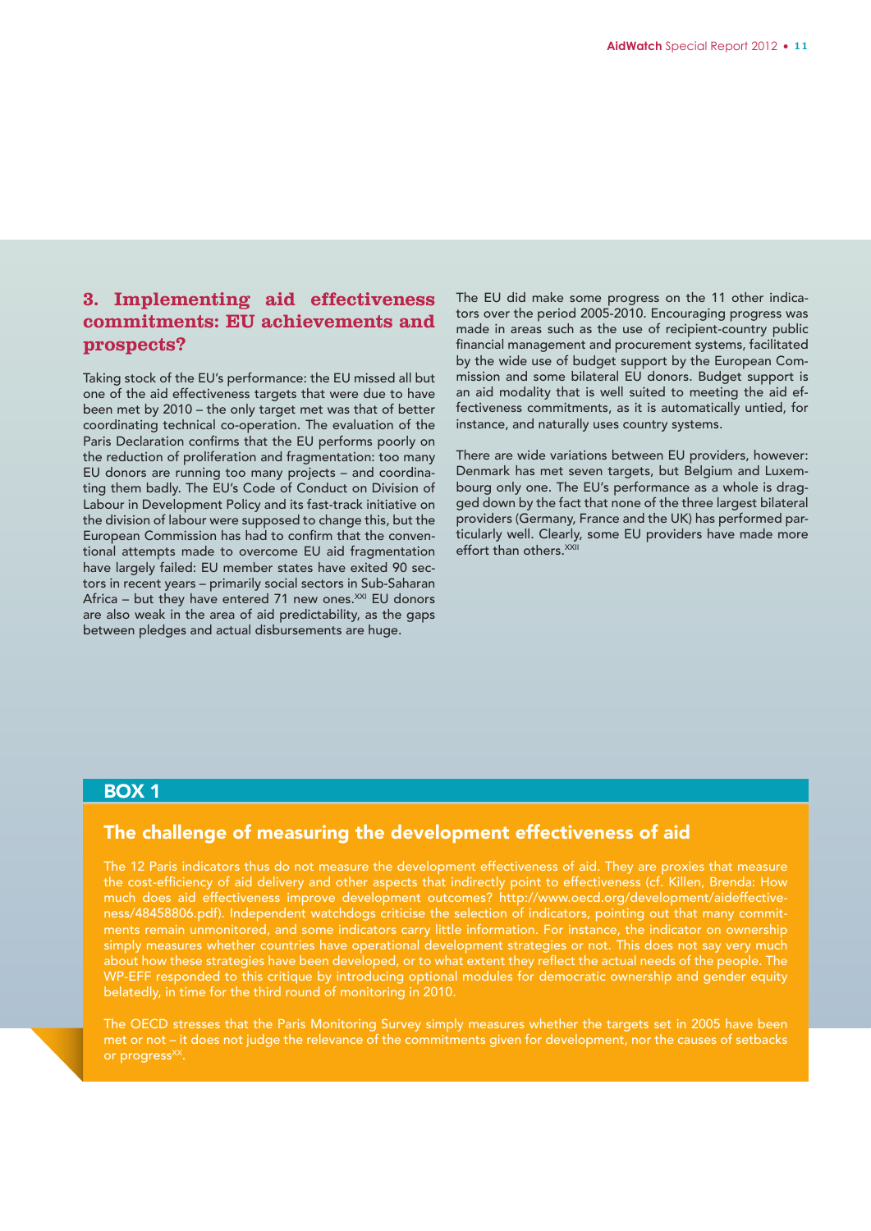# 3. Implementing aid effectiveness commitments: EU achievements and prospects?

Taking stock of the EU's performance: the EU missed all but one of the aid effectiveness targets that were due to have been met by 2010 – the only target met was that of better coordinating technical co-operation. The evaluation of the Paris Declaration confirms that the EU performs poorly on the reduction of proliferation and fragmentation: too many EU donors are running too many projects – and coordinating them badly. The EU's Code of Conduct on Division of Labour in Development Policy and its fast-track initiative on the division of labour were supposed to change this, but the European Commission has had to confirm that the conventional attempts made to overcome EU aid fragmentation have largely failed: EU member states have exited 90 sectors in recent years – primarily social sectors in Sub-Saharan Africa – but they have entered 71 new ones. $XXI$  EU donors are also weak in the area of aid predictability, as the gaps between pledges and actual disbursements are huge.

The EU did make some progress on the 11 other indicators over the period 2005-2010. Encouraging progress was made in areas such as the use of recipient-country public financial management and procurement systems, facilitated by the wide use of budget support by the European Commission and some bilateral EU donors. Budget support is an aid modality that is well suited to meeting the aid effectiveness commitments, as it is automatically untied, for instance, and naturally uses country systems.

There are wide variations between EU providers, however: Denmark has met seven targets, but Belgium and Luxembourg only one. The EU's performance as a whole is dragged down by the fact that none of the three largest bilateral providers (Germany, France and the UK) has performed particularly well. Clearly, some EU providers have made more effort than others.<sup>XX</sup>

## BOX 1

# The challenge of measuring the development effectiveness of aid

The 12 Paris indicators thus do not measure the development effectiveness of aid. They are proxies that measure the cost-efficiency of aid delivery and other aspects that indirectly point to effectiveness (cf. Killen, Brenda: How much does aid effectiveness improve development outcomes? http://www.oecd.org/development/aideffectiveness/48458806.pdf). Independent watchdogs criticise the selection of indicators, pointing out that many commitsimply measures whether countries have operational development strategies or not. This does not say very much WP-EFF responded to this critique by introducing optional modules for democratic ownership and gender equity belatedly, in time for the third round of monitoring in 2010.

The OECD stresses that the Paris Monitoring Survey simply measures whether the targets set in 2005 have been met or not – it does not judge the relevance of the commitments given for development, nor the causes of setbacks or progress<sup>XX</sup>.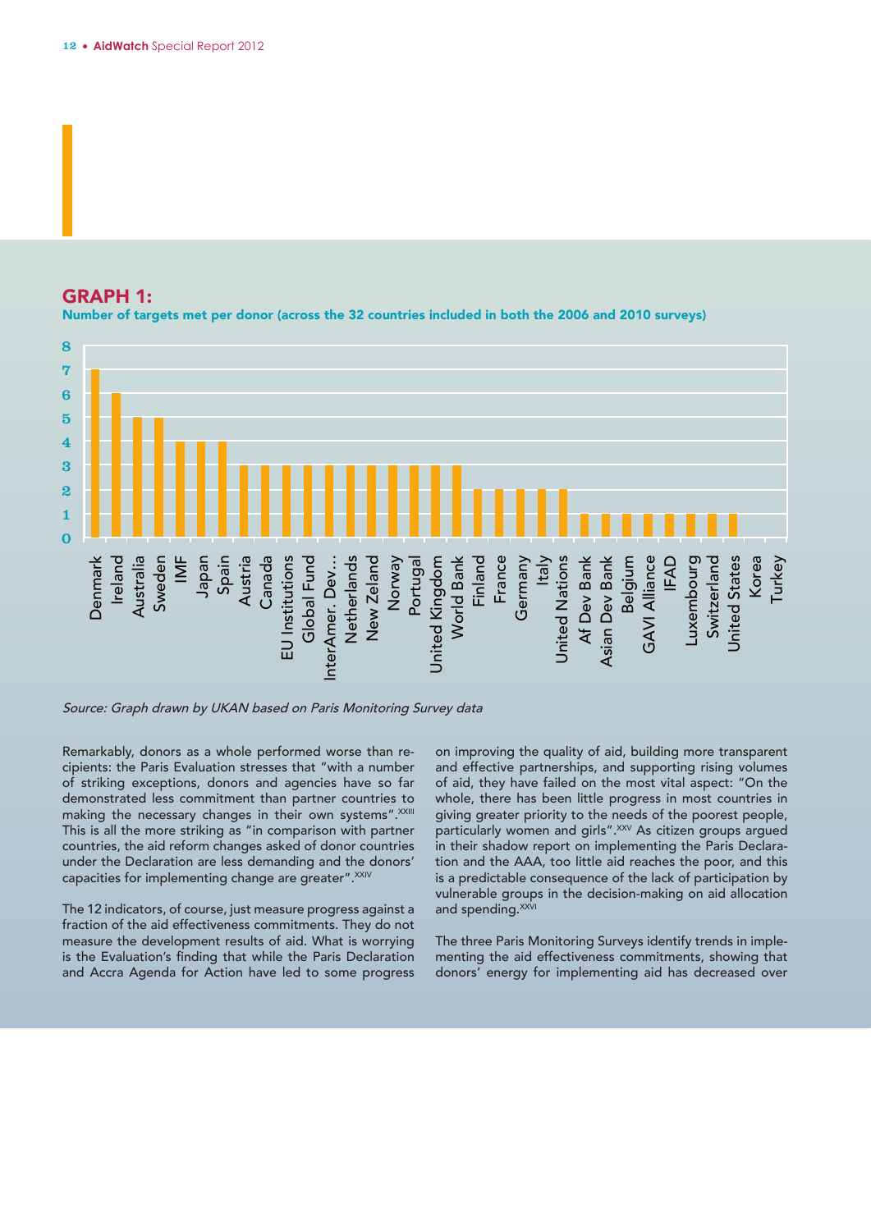

### GRAPH 1: Number of targets met per donor (across the 32 countries included in both the 2006 and 2010 surveys)

Source: Graph drawn by UKAN based on Paris Monitoring Survey data

Remarkably, donors as a whole performed worse than recipients: the Paris Evaluation stresses that "with a number of striking exceptions, donors and agencies have so far demonstrated less commitment than partner countries to making the necessary changes in their own systems". XXIII This is all the more striking as "in comparison with partner countries, the aid reform changes asked of donor countries under the Declaration are less demanding and the donors' capacities for implementing change are greater". XXIV

The 12 indicators, of course, just measure progress against a fraction of the aid effectiveness commitments. They do not measure the development results of aid. What is worrying is the Evaluation's finding that while the Paris Declaration and Accra Agenda for Action have led to some progress

on improving the quality of aid, building more transparent and effective partnerships, and supporting rising volumes of aid, they have failed on the most vital aspect: "On the whole, there has been little progress in most countries in giving greater priority to the needs of the poorest people, particularly women and girls". XXV As citizen groups argued in their shadow report on implementing the Paris Declaration and the AAA, too little aid reaches the poor, and this is a predictable consequence of the lack of participation by vulnerable groups in the decision-making on aid allocation and spending. XXVI

The three Paris Monitoring Surveys identify trends in implementing the aid effectiveness commitments, showing that donors' energy for implementing aid has decreased over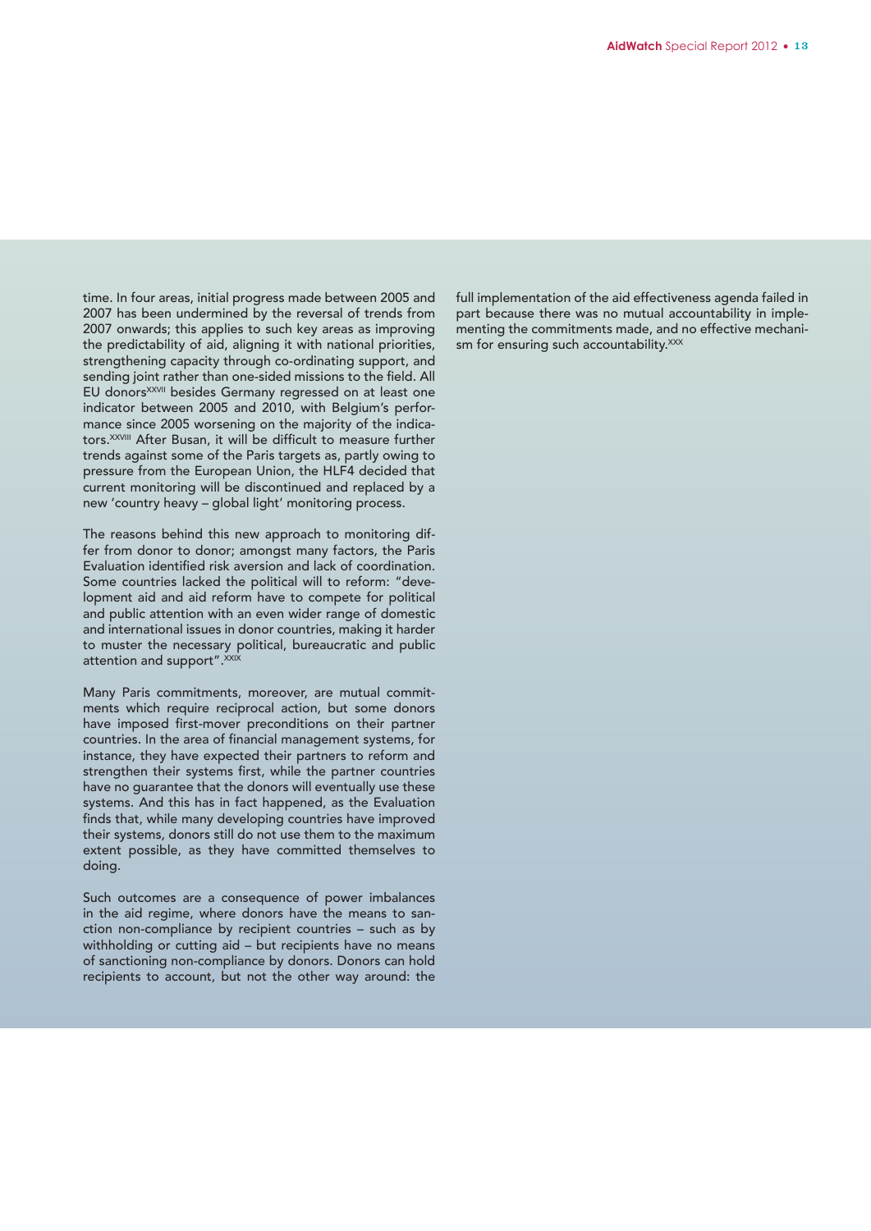time. In four areas, initial progress made between 2005 and 2007 has been undermined by the reversal of trends from 2007 onwards; this applies to such key areas as improving the predictability of aid, aligning it with national priorities, strengthening capacity through co-ordinating support, and sending joint rather than one-sided missions to the field. All EU donors<sup>XXVII</sup> besides Germany regressed on at least one indicator between 2005 and 2010, with Belgium's performance since 2005 worsening on the majority of the indicators.XXVIII After Busan, it will be difficult to measure further trends against some of the Paris targets as, partly owing to pressure from the European Union, the HLF4 decided that current monitoring will be discontinued and replaced by a new 'country heavy – global light' monitoring process.

The reasons behind this new approach to monitoring differ from donor to donor; amongst many factors, the Paris Evaluation identified risk aversion and lack of coordination. Some countries lacked the political will to reform: "development aid and aid reform have to compete for political and public attention with an even wider range of domestic and international issues in donor countries, making it harder to muster the necessary political, bureaucratic and public attention and support". XXIX

Many Paris commitments, moreover, are mutual commitments which require reciprocal action, but some donors have imposed first-mover preconditions on their partner countries. In the area of financial management systems, for instance, they have expected their partners to reform and strengthen their systems first, while the partner countries have no guarantee that the donors will eventually use these systems. And this has in fact happened, as the Evaluation finds that, while many developing countries have improved their systems, donors still do not use them to the maximum extent possible, as they have committed themselves to doing.

Such outcomes are a consequence of power imbalances in the aid regime, where donors have the means to sanction non-compliance by recipient countries – such as by withholding or cutting aid – but recipients have no means of sanctioning non-compliance by donors. Donors can hold recipients to account, but not the other way around: the

full implementation of the aid effectiveness agenda failed in part because there was no mutual accountability in implementing the commitments made, and no effective mechanism for ensuring such accountability.<sup>XXX</sup>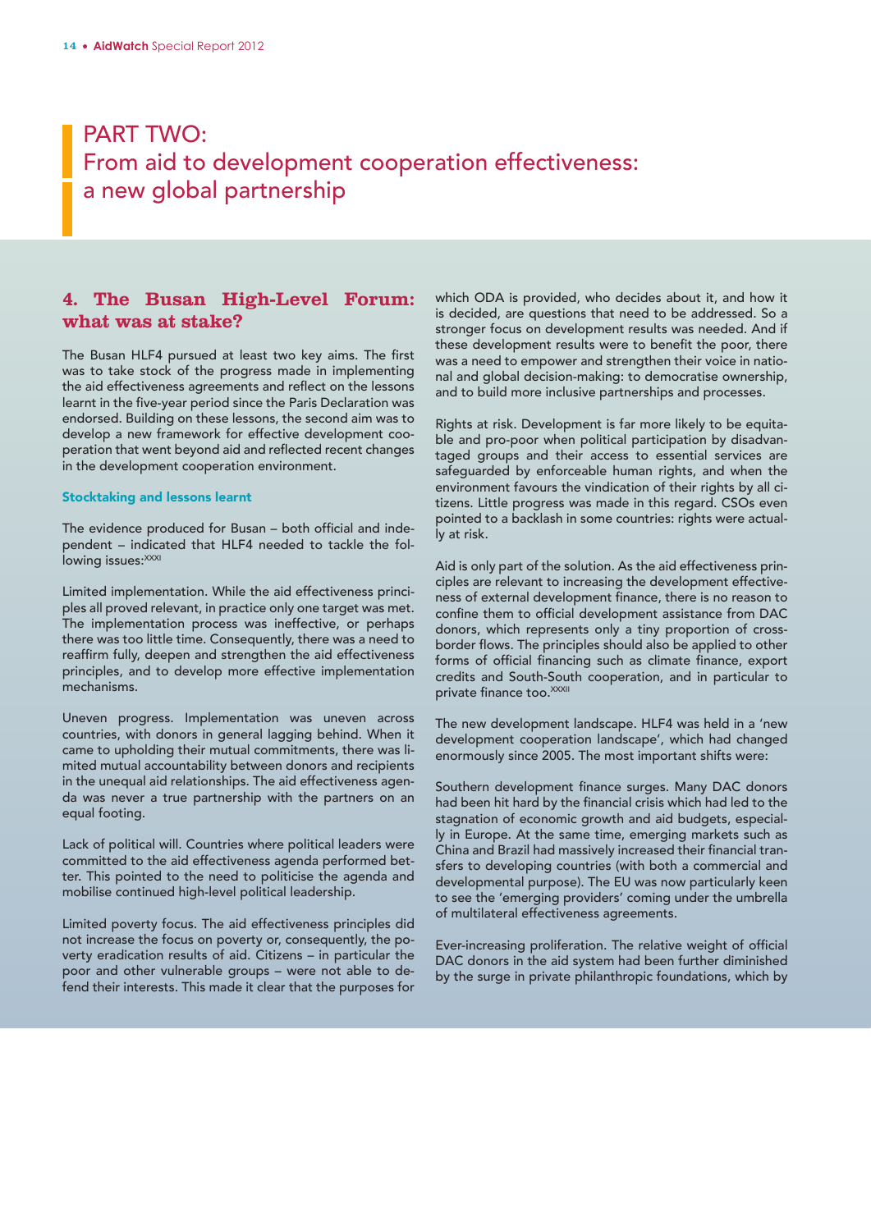# PART TWO: From aid to development cooperation effectiveness: a new global partnership

# 4. The Busan High-Level Forum: what was at stake?

The Busan HLF4 pursued at least two key aims. The first was to take stock of the progress made in implementing the aid effectiveness agreements and reflect on the lessons learnt in the five-year period since the Paris Declaration was endorsed. Building on these lessons, the second aim was to develop a new framework for effective development cooperation that went beyond aid and reflected recent changes in the development cooperation environment.

#### Stocktaking and lessons learnt

The evidence produced for Busan – both official and independent – indicated that HLF4 needed to tackle the following issues: XXXI

Limited implementation. While the aid effectiveness principles all proved relevant, in practice only one target was met. The implementation process was ineffective, or perhaps there was too little time. Consequently, there was a need to reaffirm fully, deepen and strengthen the aid effectiveness principles, and to develop more effective implementation mechanisms.

Uneven progress. Implementation was uneven across countries, with donors in general lagging behind. When it came to upholding their mutual commitments, there was limited mutual accountability between donors and recipients in the unequal aid relationships. The aid effectiveness agenda was never a true partnership with the partners on an equal footing.

Lack of political will. Countries where political leaders were committed to the aid effectiveness agenda performed better. This pointed to the need to politicise the agenda and mobilise continued high-level political leadership.

Limited poverty focus. The aid effectiveness principles did not increase the focus on poverty or, consequently, the poverty eradication results of aid. Citizens – in particular the poor and other vulnerable groups – were not able to defend their interests. This made it clear that the purposes for which ODA is provided, who decides about it, and how it is decided, are questions that need to be addressed. So a stronger focus on development results was needed. And if these development results were to benefit the poor, there was a need to empower and strengthen their voice in national and global decision-making: to democratise ownership, and to build more inclusive partnerships and processes.

Rights at risk. Development is far more likely to be equitable and pro-poor when political participation by disadvantaged groups and their access to essential services are safeguarded by enforceable human rights, and when the environment favours the vindication of their rights by all citizens. Little progress was made in this regard. CSOs even pointed to a backlash in some countries: rights were actually at risk.

Aid is only part of the solution. As the aid effectiveness principles are relevant to increasing the development effectiveness of external development finance, there is no reason to confine them to official development assistance from DAC donors, which represents only a tiny proportion of crossborder flows. The principles should also be applied to other forms of official financing such as climate finance, export credits and South-South cooperation, and in particular to private finance too. XXXIII

The new development landscape. HLF4 was held in a 'new development cooperation landscape', which had changed enormously since 2005. The most important shifts were:

Southern development finance surges. Many DAC donors had been hit hard by the financial crisis which had led to the stagnation of economic growth and aid budgets, especially in Europe. At the same time, emerging markets such as China and Brazil had massively increased their financial transfers to developing countries (with both a commercial and developmental purpose). The EU was now particularly keen to see the 'emerging providers' coming under the umbrella of multilateral effectiveness agreements.

Ever-increasing proliferation. The relative weight of official DAC donors in the aid system had been further diminished by the surge in private philanthropic foundations, which by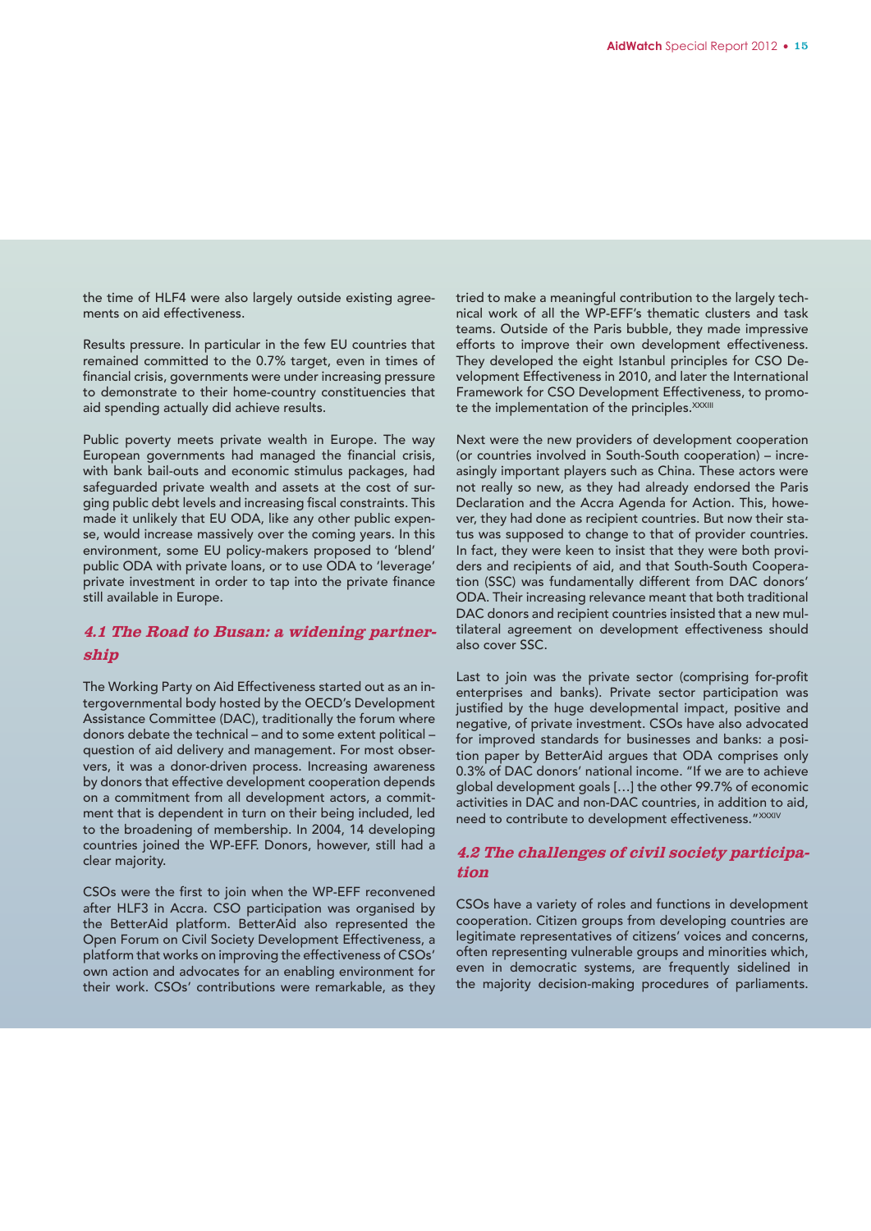the time of HLF4 were also largely outside existing agreements on aid effectiveness.

Results pressure. In particular in the few EU countries that remained committed to the 0.7% target, even in times of financial crisis, governments were under increasing pressure to demonstrate to their home-country constituencies that aid spending actually did achieve results.

Public poverty meets private wealth in Europe. The way European governments had managed the financial crisis, with bank bail-outs and economic stimulus packages, had safeguarded private wealth and assets at the cost of surging public debt levels and increasing fiscal constraints. This made it unlikely that EU ODA, like any other public expense, would increase massively over the coming years. In this environment, some EU policy-makers proposed to 'blend' public ODA with private loans, or to use ODA to 'leverage' private investment in order to tap into the private finance still available in Europe.

## 4.1 The Road to Busan: a widening partnership

The Working Party on Aid Effectiveness started out as an intergovernmental body hosted by the OECD's Development Assistance Committee (DAC), traditionally the forum where donors debate the technical – and to some extent political – question of aid delivery and management. For most observers, it was a donor-driven process. Increasing awareness by donors that effective development cooperation depends on a commitment from all development actors, a commitment that is dependent in turn on their being included, led to the broadening of membership. In 2004, 14 developing countries joined the WP-EFF. Donors, however, still had a clear majority.

CSOs were the first to join when the WP-EFF reconvened after HLF3 in Accra. CSO participation was organised by the BetterAid platform. BetterAid also represented the Open Forum on Civil Society Development Effectiveness, a platform that works on improving the effectiveness of CSOs' own action and advocates for an enabling environment for their work. CSOs' contributions were remarkable, as they tried to make a meaningful contribution to the largely technical work of all the WP-EFF's thematic clusters and task teams. Outside of the Paris bubble, they made impressive efforts to improve their own development effectiveness. They developed the eight Istanbul principles for CSO Development Effectiveness in 2010, and later the International Framework for CSO Development Effectiveness, to promote the implementation of the principles.<sup>XXXIII</sup>

Next were the new providers of development cooperation (or countries involved in South-South cooperation) – increasingly important players such as China. These actors were not really so new, as they had already endorsed the Paris Declaration and the Accra Agenda for Action. This, however, they had done as recipient countries. But now their status was supposed to change to that of provider countries. In fact, they were keen to insist that they were both providers and recipients of aid, and that South-South Cooperation (SSC) was fundamentally different from DAC donors' ODA. Their increasing relevance meant that both traditional DAC donors and recipient countries insisted that a new multilateral agreement on development effectiveness should also cover SSC.

Last to join was the private sector (comprising for-profit enterprises and banks). Private sector participation was justified by the huge developmental impact, positive and negative, of private investment. CSOs have also advocated for improved standards for businesses and banks: a position paper by BetterAid argues that ODA comprises only 0.3% of DAC donors' national income. "If we are to achieve global development goals […] the other 99.7% of economic activities in DAC and non-DAC countries, in addition to aid, need to contribute to development effectiveness."XXXIV

## 4.2 The challenges of civil society participation

CSOs have a variety of roles and functions in development cooperation. Citizen groups from developing countries are legitimate representatives of citizens' voices and concerns, often representing vulnerable groups and minorities which, even in democratic systems, are frequently sidelined in the majority decision-making procedures of parliaments.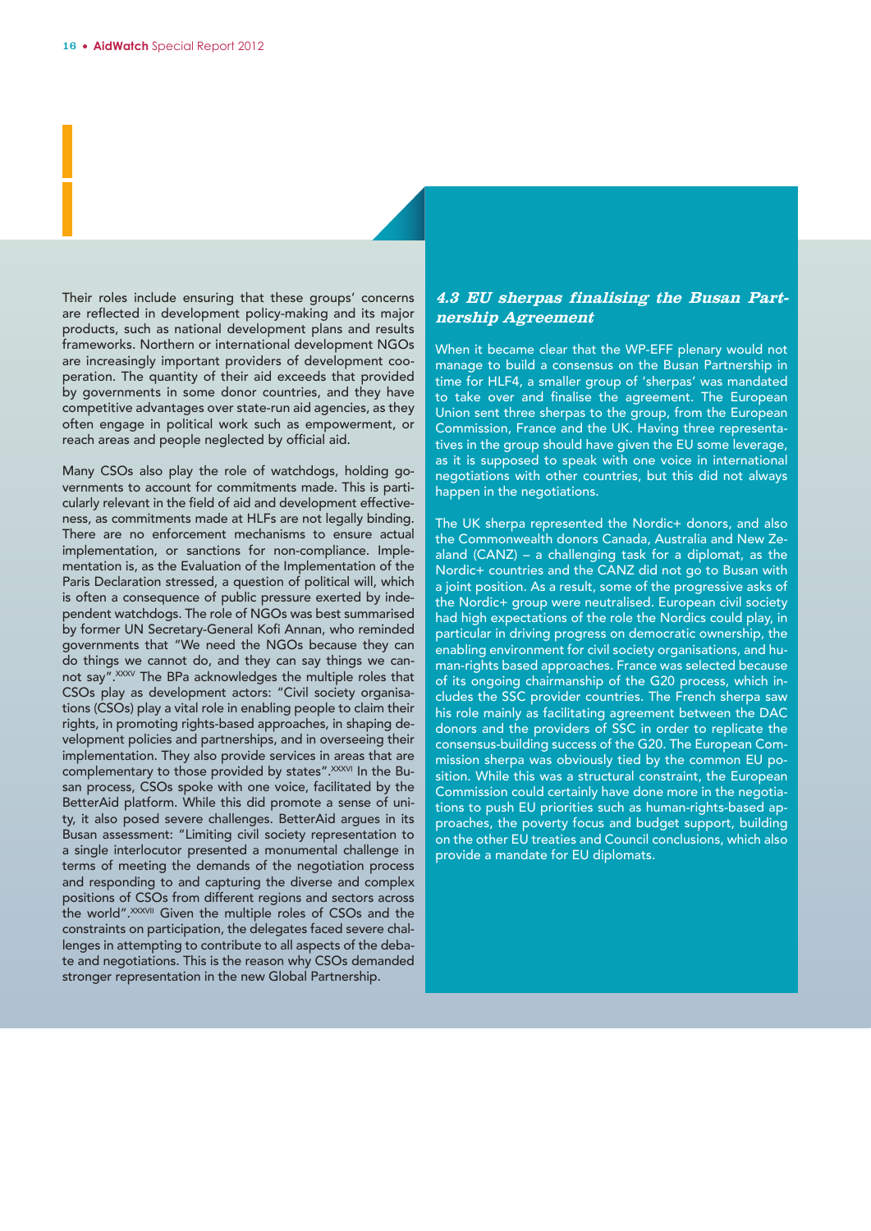Their roles include ensuring that these groups' concerns are reflected in development policy-making and its major products, such as national development plans and results frameworks. Northern or international development NGOs are increasingly important providers of development cooperation. The quantity of their aid exceeds that provided by governments in some donor countries, and they have competitive advantages over state-run aid agencies, as they often engage in political work such as empowerment, or reach areas and people neglected by official aid.

Many CSOs also play the role of watchdogs, holding governments to account for commitments made. This is particularly relevant in the field of aid and development effectiveness, as commitments made at HLFs are not legally binding. There are no enforcement mechanisms to ensure actual implementation, or sanctions for non-compliance. Implementation is, as the Evaluation of the Implementation of the Paris Declaration stressed, a question of political will, which is often a consequence of public pressure exerted by independent watchdogs. The role of NGOs was best summarised by former UN Secretary-General Kofi Annan, who reminded governments that "We need the NGOs because they can do things we cannot do, and they can say things we cannot say". XXXV The BPa acknowledges the multiple roles that CSOs play as development actors: "Civil society organisations (CSOs) play a vital role in enabling people to claim their rights, in promoting rights-based approaches, in shaping development policies and partnerships, and in overseeing their implementation. They also provide services in areas that are complementary to those provided by states". XXXVI In the Busan process, CSOs spoke with one voice, facilitated by the BetterAid platform. While this did promote a sense of unity, it also posed severe challenges. BetterAid argues in its Busan assessment: "Limiting civil society representation to a single interlocutor presented a monumental challenge in terms of meeting the demands of the negotiation process and responding to and capturing the diverse and complex positions of CSOs from different regions and sectors across the world".XXXVII Given the multiple roles of CSOs and the constraints on participation, the delegates faced severe challenges in attempting to contribute to all aspects of the debate and negotiations. This is the reason why CSOs demanded stronger representation in the new Global Partnership.

## 4.3 EU sherpas finalising the Busan Partnership Agreement

When it became clear that the WP-EFF plenary would not manage to build a consensus on the Busan Partnership in time for HLF4, a smaller group of 'sherpas' was mandated to take over and finalise the agreement. The European Union sent three sherpas to the group, from the European Commission, France and the UK. Having three representatives in the group should have given the EU some leverage, as it is supposed to speak with one voice in international negotiations with other countries, but this did not always happen in the negotiations.

The UK sherpa represented the Nordic+ donors, and also the Commonwealth donors Canada, Australia and New Zealand (CANZ) – a challenging task for a diplomat, as the Nordic+ countries and the CANZ did not go to Busan with a joint position. As a result, some of the progressive asks of the Nordic+ group were neutralised. European civil society had high expectations of the role the Nordics could play, in particular in driving progress on democratic ownership, the enabling environment for civil society organisations, and human-rights based approaches. France was selected because of its ongoing chairmanship of the G20 process, which includes the SSC provider countries. The French sherpa saw his role mainly as facilitating agreement between the DAC donors and the providers of SSC in order to replicate the consensus-building success of the G20. The European Commission sherpa was obviously tied by the common EU position. While this was a structural constraint, the European Commission could certainly have done more in the negotiations to push EU priorities such as human-rights-based approaches, the poverty focus and budget support, building on the other EU treaties and Council conclusions, which also provide a mandate for EU diplomats.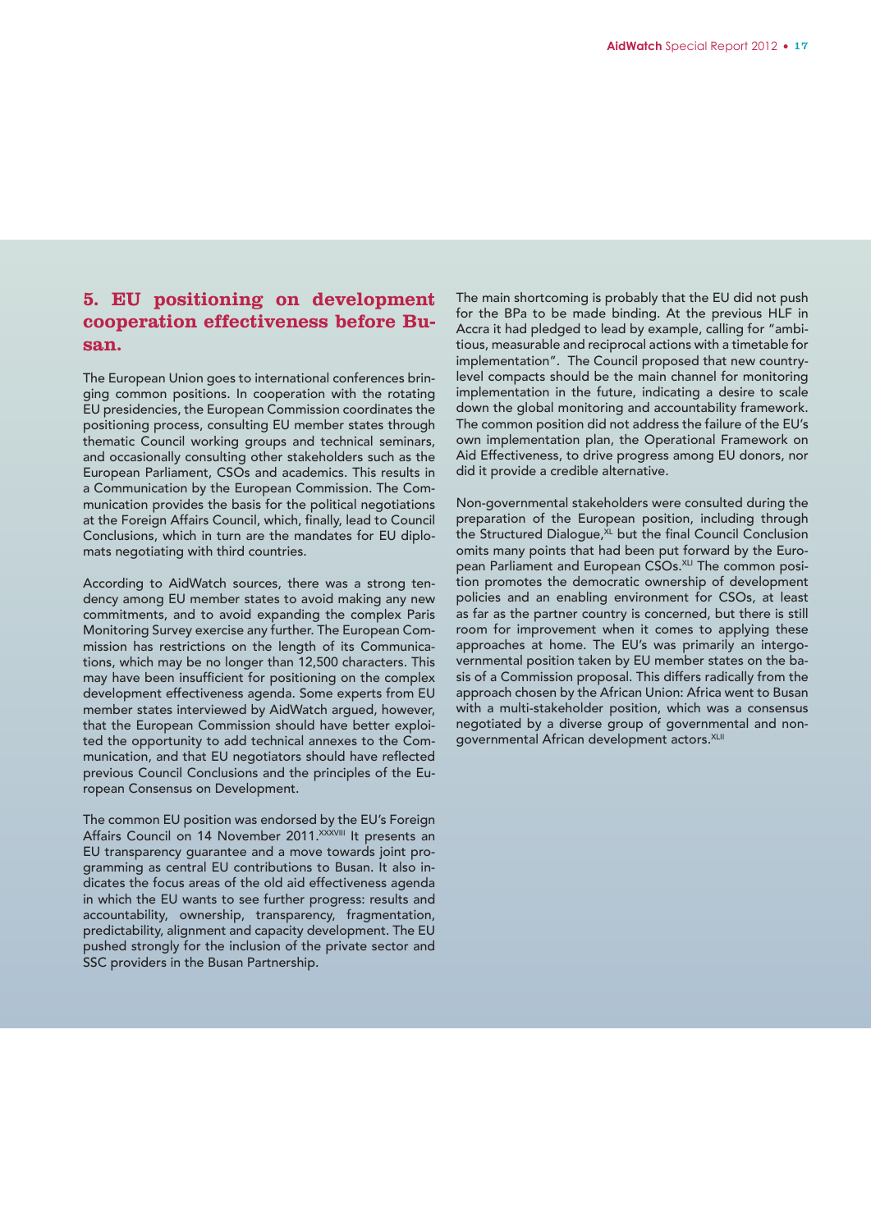# 5. EU positioning on development cooperation effectiveness before Busan.

The European Union goes to international conferences bringing common positions. In cooperation with the rotating EU presidencies, the European Commission coordinates the positioning process, consulting EU member states through thematic Council working groups and technical seminars, and occasionally consulting other stakeholders such as the European Parliament, CSOs and academics. This results in a Communication by the European Commission. The Communication provides the basis for the political negotiations at the Foreign Affairs Council, which, finally, lead to Council Conclusions, which in turn are the mandates for EU diplomats negotiating with third countries.

According to AidWatch sources, there was a strong tendency among EU member states to avoid making any new commitments, and to avoid expanding the complex Paris Monitoring Survey exercise any further. The European Commission has restrictions on the length of its Communications, which may be no longer than 12,500 characters. This may have been insufficient for positioning on the complex development effectiveness agenda. Some experts from EU member states interviewed by AidWatch argued, however, that the European Commission should have better exploited the opportunity to add technical annexes to the Communication, and that EU negotiators should have reflected previous Council Conclusions and the principles of the European Consensus on Development.

The common EU position was endorsed by the EU's Foreign Affairs Council on 14 November 2011. XXXVIII It presents an EU transparency guarantee and a move towards joint programming as central EU contributions to Busan. It also indicates the focus areas of the old aid effectiveness agenda in which the EU wants to see further progress: results and accountability, ownership, transparency, fragmentation, predictability, alignment and capacity development. The EU pushed strongly for the inclusion of the private sector and SSC providers in the Busan Partnership.

The main shortcoming is probably that the EU did not push for the BPa to be made binding. At the previous HLF in Accra it had pledged to lead by example, calling for "ambitious, measurable and reciprocal actions with a timetable for implementation". The Council proposed that new countrylevel compacts should be the main channel for monitoring implementation in the future, indicating a desire to scale down the global monitoring and accountability framework. The common position did not address the failure of the EU's own implementation plan, the Operational Framework on Aid Effectiveness, to drive progress among EU donors, nor did it provide a credible alternative.

Non-governmental stakeholders were consulted during the preparation of the European position, including through the Structured Dialogue, XL but the final Council Conclusion omits many points that had been put forward by the European Parliament and European CSOs.<sup>XLI</sup> The common position promotes the democratic ownership of development policies and an enabling environment for CSOs, at least as far as the partner country is concerned, but there is still room for improvement when it comes to applying these approaches at home. The EU's was primarily an intergovernmental position taken by EU member states on the basis of a Commission proposal. This differs radically from the approach chosen by the African Union: Africa went to Busan with a multi-stakeholder position, which was a consensus negotiated by a diverse group of governmental and nongovernmental African development actors. XLII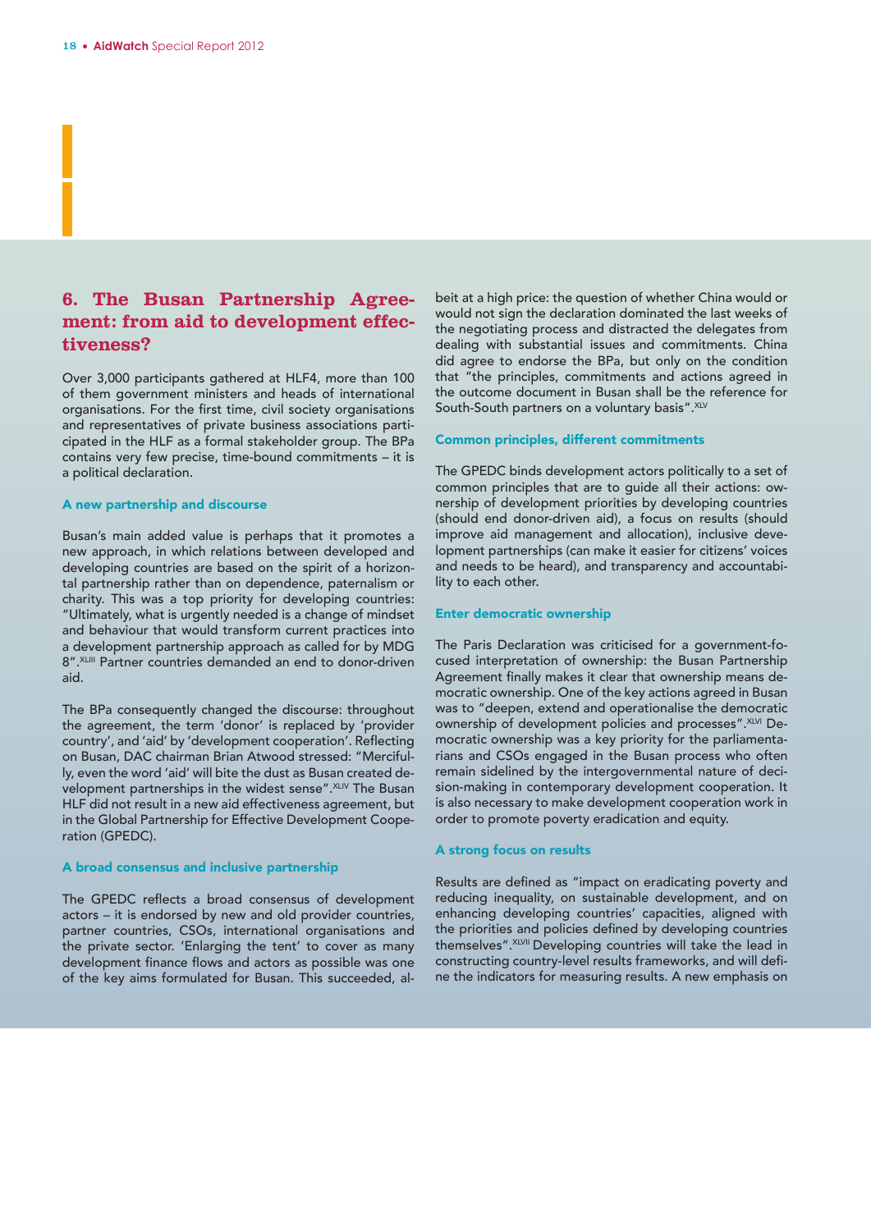# 6. The Busan Partnership Agreement: from aid to development effectiveness?

Over 3,000 participants gathered at HLF4, more than 100 of them government ministers and heads of international organisations. For the first time, civil society organisations and representatives of private business associations participated in the HLF as a formal stakeholder group. The BPa contains very few precise, time-bound commitments – it is a political declaration.

#### A new partnership and discourse

Busan's main added value is perhaps that it promotes a new approach, in which relations between developed and developing countries are based on the spirit of a horizontal partnership rather than on dependence, paternalism or charity. This was a top priority for developing countries: "Ultimately, what is urgently needed is a change of mindset and behaviour that would transform current practices into a development partnership approach as called for by MDG 8". XLIII Partner countries demanded an end to donor-driven aid.

The BPa consequently changed the discourse: throughout the agreement, the term 'donor' is replaced by 'provider country', and 'aid' by 'development cooperation'. Reflecting on Busan, DAC chairman Brian Atwood stressed: "Mercifully, even the word 'aid' will bite the dust as Busan created development partnerships in the widest sense". XLIV The Busan HLF did not result in a new aid effectiveness agreement, but in the Global Partnership for Effective Development Cooperation (GPEDC).

#### A broad consensus and inclusive partnership

The GPEDC reflects a broad consensus of development actors – it is endorsed by new and old provider countries, partner countries, CSOs, international organisations and the private sector. 'Enlarging the tent' to cover as many development finance flows and actors as possible was one of the key aims formulated for Busan. This succeeded, albeit at a high price: the question of whether China would or would not sign the declaration dominated the last weeks of the negotiating process and distracted the delegates from dealing with substantial issues and commitments. China did agree to endorse the BPa, but only on the condition that "the principles, commitments and actions agreed in the outcome document in Busan shall be the reference for South-South partners on a voluntary basis". XLV

### Common principles, different commitments

The GPEDC binds development actors politically to a set of common principles that are to guide all their actions: ownership of development priorities by developing countries (should end donor-driven aid), a focus on results (should improve aid management and allocation), inclusive development partnerships (can make it easier for citizens' voices and needs to be heard), and transparency and accountability to each other.

#### Enter democratic ownership

The Paris Declaration was criticised for a government-focused interpretation of ownership: the Busan Partnership Agreement finally makes it clear that ownership means democratic ownership. One of the key actions agreed in Busan was to "deepen, extend and operationalise the democratic ownership of development policies and processes". XLVI Democratic ownership was a key priority for the parliamentarians and CSOs engaged in the Busan process who often remain sidelined by the intergovernmental nature of decision-making in contemporary development cooperation. It is also necessary to make development cooperation work in order to promote poverty eradication and equity.

#### A strong focus on results

Results are defined as "impact on eradicating poverty and reducing inequality, on sustainable development, and on enhancing developing countries' capacities, aligned with the priorities and policies defined by developing countries themselves". XLVII Developing countries will take the lead in constructing country-level results frameworks, and will define the indicators for measuring results. A new emphasis on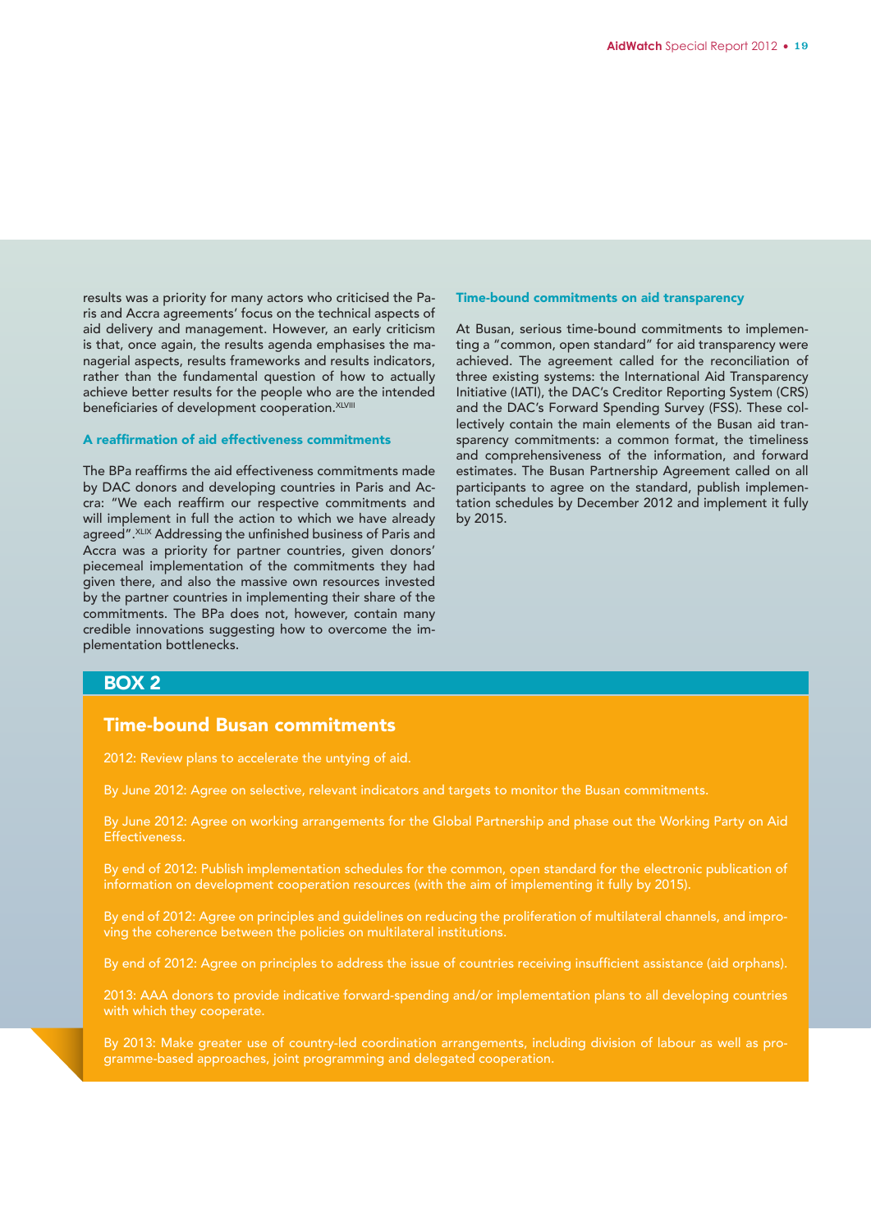results was a priority for many actors who criticised the Paris and Accra agreements' focus on the technical aspects of aid delivery and management. However, an early criticism is that, once again, the results agenda emphasises the managerial aspects, results frameworks and results indicators, rather than the fundamental question of how to actually achieve better results for the people who are the intended beneficiaries of development cooperation. XLVIII

#### A reaffirmation of aid effectiveness commitments

The BPa reaffirms the aid effectiveness commitments made by DAC donors and developing countries in Paris and Accra: "We each reaffirm our respective commitments and will implement in full the action to which we have already agreed". XLIX Addressing the unfinished business of Paris and Accra was a priority for partner countries, given donors' piecemeal implementation of the commitments they had given there, and also the massive own resources invested by the partner countries in implementing their share of the commitments. The BPa does not, however, contain many credible innovations suggesting how to overcome the implementation bottlenecks.

#### Time-bound commitments on aid transparency

At Busan, serious time-bound commitments to implementing a "common, open standard" for aid transparency were achieved. The agreement called for the reconciliation of three existing systems: the International Aid Transparency Initiative (IATI), the DAC's Creditor Reporting System (CRS) and the DAC's Forward Spending Survey (FSS). These collectively contain the main elements of the Busan aid transparency commitments: a common format, the timeliness and comprehensiveness of the information, and forward estimates. The Busan Partnership Agreement called on all participants to agree on the standard, publish implementation schedules by December 2012 and implement it fully by 2015.

### BOX 2

### Time-bound Busan commitments

By June 2012: Agree on selective, relevant indicators and targets to monitor the Busan commitments.

By June 2012: Agree on working arrangements for the Global Partnership and phase out the Working Party on Aid Effectiveness.

information on development cooperation resources (with the aim of implementing it fully by 2015).

By end of 2012: Agree on principles and guidelines on reducing the proliferation of multilateral channels, and improving the coherence between the policies on multilateral institutions.

By end of 2012: Agree on principles to address the issue of countries receiving insufficient assistance (aid orphans).

2013: AAA donors to provide indicative forward-spending and/or implementation plans to all developing countries

By 2013: Make greater use of country-led coordination arrangements, including division of labour as well as programme-based approaches, joint programming and delegated cooperation.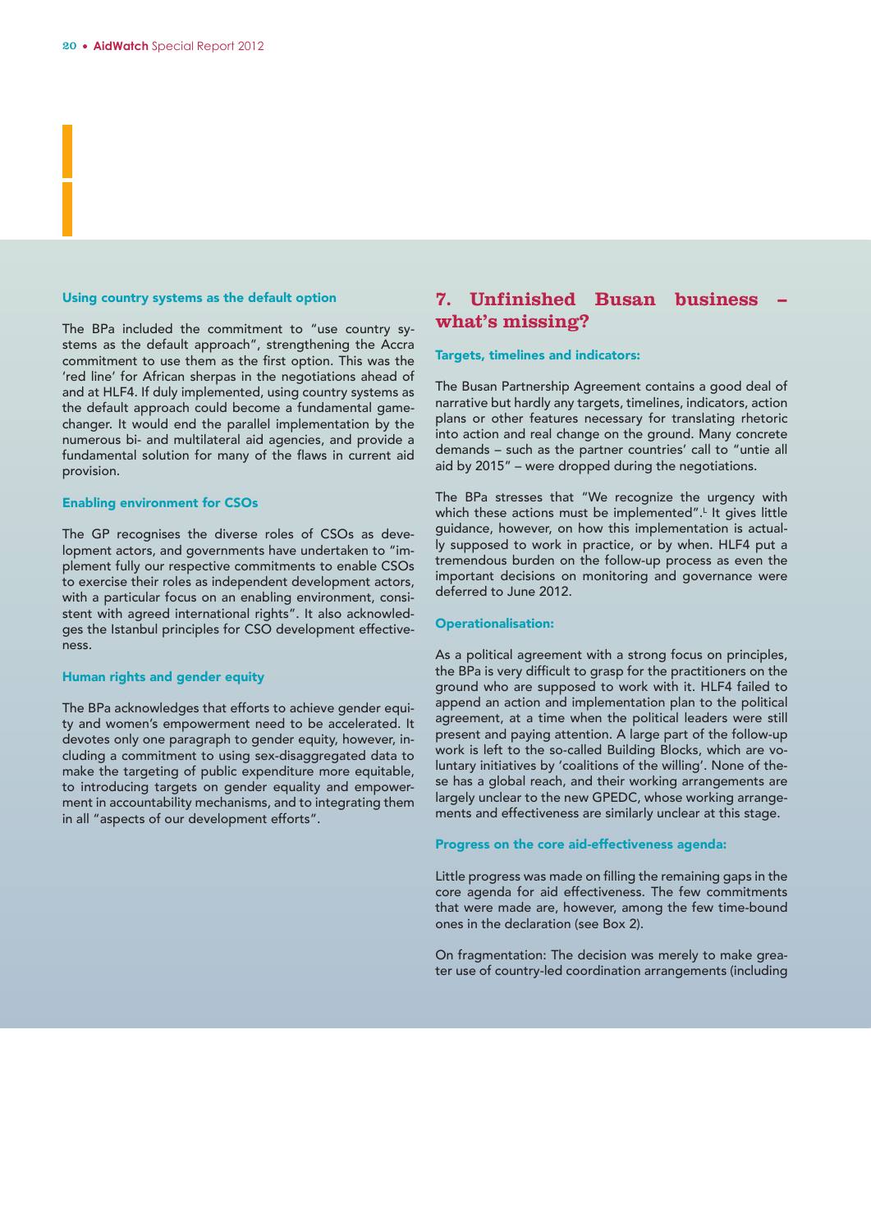#### Using country systems as the default option

The BPa included the commitment to "use country systems as the default approach", strengthening the Accra commitment to use them as the first option. This was the 'red line' for African sherpas in the negotiations ahead of and at HLF4. If duly implemented, using country systems as the default approach could become a fundamental gamechanger. It would end the parallel implementation by the numerous bi- and multilateral aid agencies, and provide a fundamental solution for many of the flaws in current aid provision.

#### Enabling environment for CSOs

The GP recognises the diverse roles of CSOs as development actors, and governments have undertaken to "implement fully our respective commitments to enable CSOs to exercise their roles as independent development actors, with a particular focus on an enabling environment, consistent with agreed international rights". It also acknowledges the Istanbul principles for CSO development effectiveness.

#### Human rights and gender equity

The BPa acknowledges that efforts to achieve gender equity and women's empowerment need to be accelerated. It devotes only one paragraph to gender equity, however, including a commitment to using sex-disaggregated data to make the targeting of public expenditure more equitable, to introducing targets on gender equality and empowerment in accountability mechanisms, and to integrating them in all "aspects of our development efforts".

## 7. Unfinished Busan business – what's missing?

#### Targets, timelines and indicators:

The Busan Partnership Agreement contains a good deal of narrative but hardly any targets, timelines, indicators, action plans or other features necessary for translating rhetoric into action and real change on the ground. Many concrete demands – such as the partner countries' call to "untie all aid by 2015" – were dropped during the negotiations.

The BPa stresses that "We recognize the urgency with which these actions must be implemented".<sup>L</sup> It gives little guidance, however, on how this implementation is actually supposed to work in practice, or by when. HLF4 put a tremendous burden on the follow-up process as even the important decisions on monitoring and governance were deferred to June 2012.

#### Operationalisation:

As a political agreement with a strong focus on principles, the BPa is very difficult to grasp for the practitioners on the ground who are supposed to work with it. HLF4 failed to append an action and implementation plan to the political agreement, at a time when the political leaders were still present and paying attention. A large part of the follow-up work is left to the so-called Building Blocks, which are voluntary initiatives by 'coalitions of the willing'. None of these has a global reach, and their working arrangements are largely unclear to the new GPEDC, whose working arrangements and effectiveness are similarly unclear at this stage.

#### Progress on the core aid-effectiveness agenda:

Little progress was made on filling the remaining gaps in the core agenda for aid effectiveness. The few commitments that were made are, however, among the few time-bound ones in the declaration (see Box 2).

On fragmentation: The decision was merely to make greater use of country-led coordination arrangements (including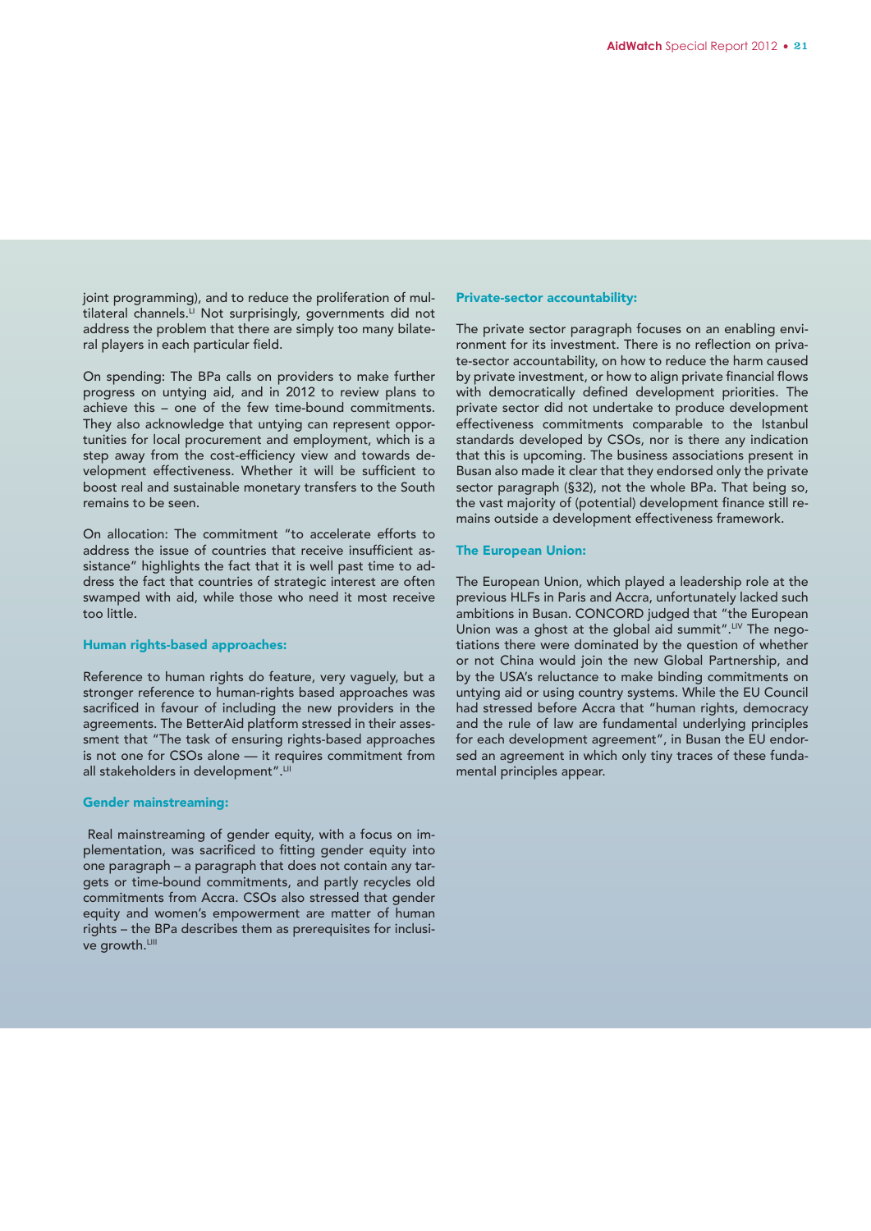joint programming), and to reduce the proliferation of multilateral channels.<sup>LI</sup> Not surprisingly, governments did not address the problem that there are simply too many bilateral players in each particular field.

On spending: The BPa calls on providers to make further progress on untying aid, and in 2012 to review plans to achieve this – one of the few time-bound commitments. They also acknowledge that untying can represent opportunities for local procurement and employment, which is a step away from the cost-efficiency view and towards development effectiveness. Whether it will be sufficient to boost real and sustainable monetary transfers to the South remains to be seen.

On allocation: The commitment "to accelerate efforts to address the issue of countries that receive insufficient assistance" highlights the fact that it is well past time to address the fact that countries of strategic interest are often swamped with aid, while those who need it most receive too little.

#### Human rights-based approaches:

Reference to human rights do feature, very vaguely, but a stronger reference to human-rights based approaches was sacrificed in favour of including the new providers in the agreements. The BetterAid platform stressed in their assessment that "The task of ensuring rights-based approaches is not one for CSOs alone — it requires commitment from all stakeholders in development".<sup>LII</sup>

#### Gender mainstreaming:

 Real mainstreaming of gender equity, with a focus on implementation, was sacrificed to fitting gender equity into one paragraph – a paragraph that does not contain any targets or time-bound commitments, and partly recycles old commitments from Accra. CSOs also stressed that gender equity and women's empowerment are matter of human rights – the BPa describes them as prerequisites for inclusive arowth.<sup>LIII</sup>

#### Private-sector accountability:

The private sector paragraph focuses on an enabling environment for its investment. There is no reflection on private-sector accountability, on how to reduce the harm caused by private investment, or how to align private financial flows with democratically defined development priorities. The private sector did not undertake to produce development effectiveness commitments comparable to the Istanbul standards developed by CSOs, nor is there any indication that this is upcoming. The business associations present in Busan also made it clear that they endorsed only the private sector paragraph (§32), not the whole BPa. That being so, the vast majority of (potential) development finance still remains outside a development effectiveness framework.

#### The European Union:

The European Union, which played a leadership role at the previous HLFs in Paris and Accra, unfortunately lacked such ambitions in Busan. CONCORD judged that "the European Union was a ghost at the global aid summit". LIV The negotiations there were dominated by the question of whether or not China would join the new Global Partnership, and by the USA's reluctance to make binding commitments on untying aid or using country systems. While the EU Council had stressed before Accra that "human rights, democracy and the rule of law are fundamental underlying principles for each development agreement", in Busan the EU endorsed an agreement in which only tiny traces of these fundamental principles appear.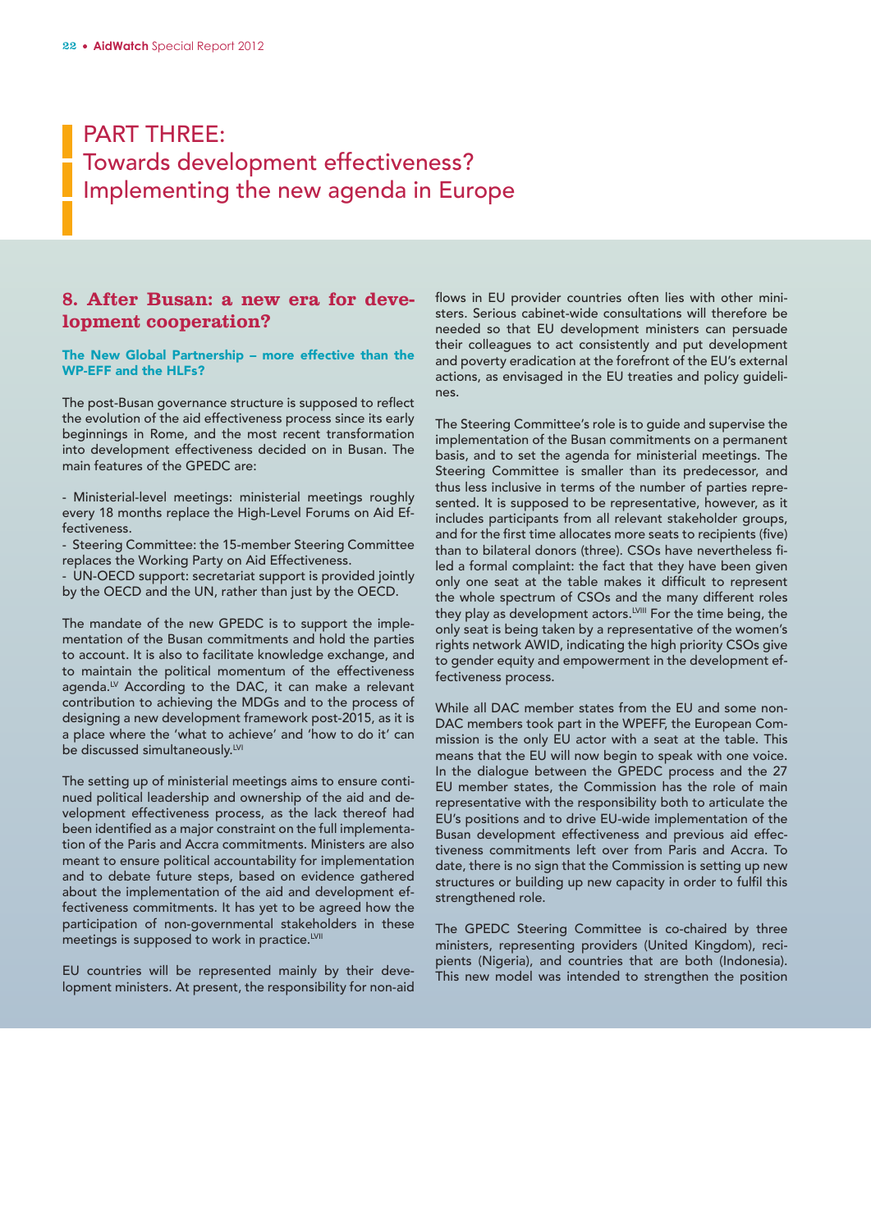# PART THREE: Towards development effectiveness? Implementing the new agenda in Europe

# 8. After Busan: a new era for development cooperation?

The New Global Partnership – more effective than the WP-EFF and the HLFs?

The post-Busan governance structure is supposed to reflect the evolution of the aid effectiveness process since its early beginnings in Rome, and the most recent transformation into development effectiveness decided on in Busan. The main features of the GPEDC are:

- Ministerial-level meetings: ministerial meetings roughly every 18 months replace the High-Level Forums on Aid Effectiveness.

- Steering Committee: the 15-member Steering Committee replaces the Working Party on Aid Effectiveness.

UN-OECD support: secretariat support is provided jointly by the OECD and the UN, rather than just by the OECD.

The mandate of the new GPEDC is to support the implementation of the Busan commitments and hold the parties to account. It is also to facilitate knowledge exchange, and to maintain the political momentum of the effectiveness agenda.<sup>LV</sup> According to the DAC, it can make a relevant contribution to achieving the MDGs and to the process of designing a new development framework post-2015, as it is a place where the 'what to achieve' and 'how to do it' can be discussed simultaneously.<sup>LVI</sup>

The setting up of ministerial meetings aims to ensure continued political leadership and ownership of the aid and development effectiveness process, as the lack thereof had been identified as a major constraint on the full implementation of the Paris and Accra commitments. Ministers are also meant to ensure political accountability for implementation and to debate future steps, based on evidence gathered about the implementation of the aid and development effectiveness commitments. It has yet to be agreed how the participation of non-governmental stakeholders in these meetings is supposed to work in practice.<sup>LVII</sup>

EU countries will be represented mainly by their development ministers. At present, the responsibility for non-aid flows in EU provider countries often lies with other ministers. Serious cabinet-wide consultations will therefore be needed so that EU development ministers can persuade their colleagues to act consistently and put development and poverty eradication at the forefront of the EU's external actions, as envisaged in the EU treaties and policy guidelines.

The Steering Committee's role is to guide and supervise the implementation of the Busan commitments on a permanent basis, and to set the agenda for ministerial meetings. The Steering Committee is smaller than its predecessor, and thus less inclusive in terms of the number of parties represented. It is supposed to be representative, however, as it includes participants from all relevant stakeholder groups, and for the first time allocates more seats to recipients (five) than to bilateral donors (three). CSOs have nevertheless filed a formal complaint: the fact that they have been given only one seat at the table makes it difficult to represent the whole spectrum of CSOs and the many different roles they play as development actors.<sup>LVIII</sup> For the time being, the only seat is being taken by a representative of the women's rights network AWID, indicating the high priority CSOs give to gender equity and empowerment in the development effectiveness process.

While all DAC member states from the EU and some non-DAC members took part in the WPEFF, the European Commission is the only EU actor with a seat at the table. This means that the EU will now begin to speak with one voice. In the dialogue between the GPEDC process and the 27 EU member states, the Commission has the role of main representative with the responsibility both to articulate the EU's positions and to drive EU-wide implementation of the Busan development effectiveness and previous aid effectiveness commitments left over from Paris and Accra. To date, there is no sign that the Commission is setting up new structures or building up new capacity in order to fulfil this strengthened role.

The GPEDC Steering Committee is co-chaired by three ministers, representing providers (United Kingdom), recipients (Nigeria), and countries that are both (Indonesia). This new model was intended to strengthen the position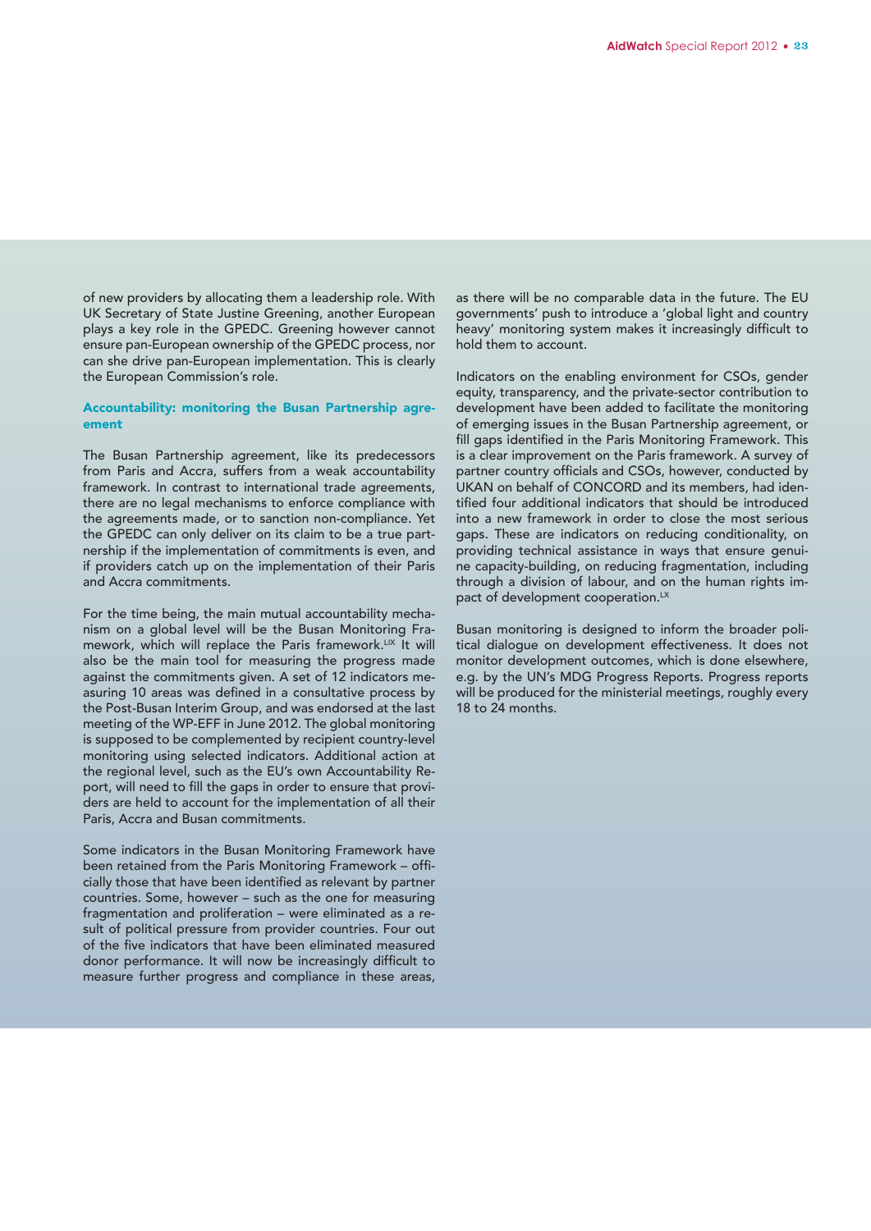of new providers by allocating them a leadership role. With UK Secretary of State Justine Greening, another European plays a key role in the GPEDC. Greening however cannot ensure pan-European ownership of the GPEDC process, nor can she drive pan-European implementation. This is clearly the European Commission's role.

### Accountability: monitoring the Busan Partnership agreement

The Busan Partnership agreement, like its predecessors from Paris and Accra, suffers from a weak accountability framework. In contrast to international trade agreements, there are no legal mechanisms to enforce compliance with the agreements made, or to sanction non-compliance. Yet the GPEDC can only deliver on its claim to be a true partnership if the implementation of commitments is even, and if providers catch up on the implementation of their Paris and Accra commitments.

For the time being, the main mutual accountability mechanism on a global level will be the Busan Monitoring Framework, which will replace the Paris framework.<sup>LIX</sup> It will also be the main tool for measuring the progress made against the commitments given. A set of 12 indicators measuring 10 areas was defined in a consultative process by the Post-Busan Interim Group, and was endorsed at the last meeting of the WP-EFF in June 2012. The global monitoring is supposed to be complemented by recipient country-level monitoring using selected indicators. Additional action at the regional level, such as the EU's own Accountability Report, will need to fill the gaps in order to ensure that providers are held to account for the implementation of all their Paris, Accra and Busan commitments.

Some indicators in the Busan Monitoring Framework have been retained from the Paris Monitoring Framework – officially those that have been identified as relevant by partner countries. Some, however – such as the one for measuring fragmentation and proliferation – were eliminated as a result of political pressure from provider countries. Four out of the five indicators that have been eliminated measured donor performance. It will now be increasingly difficult to measure further progress and compliance in these areas,

as there will be no comparable data in the future. The EU governments' push to introduce a 'global light and country heavy' monitoring system makes it increasingly difficult to hold them to account.

Indicators on the enabling environment for CSOs, gender equity, transparency, and the private-sector contribution to development have been added to facilitate the monitoring of emerging issues in the Busan Partnership agreement, or fill gaps identified in the Paris Monitoring Framework. This is a clear improvement on the Paris framework. A survey of partner country officials and CSOs, however, conducted by UKAN on behalf of CONCORD and its members, had identified four additional indicators that should be introduced into a new framework in order to close the most serious gaps. These are indicators on reducing conditionality, on providing technical assistance in ways that ensure genuine capacity-building, on reducing fragmentation, including through a division of labour, and on the human rights impact of development cooperation.<sup>LX</sup>

Busan monitoring is designed to inform the broader political dialogue on development effectiveness. It does not monitor development outcomes, which is done elsewhere, e.g. by the UN's MDG Progress Reports. Progress reports will be produced for the ministerial meetings, roughly every 18 to 24 months.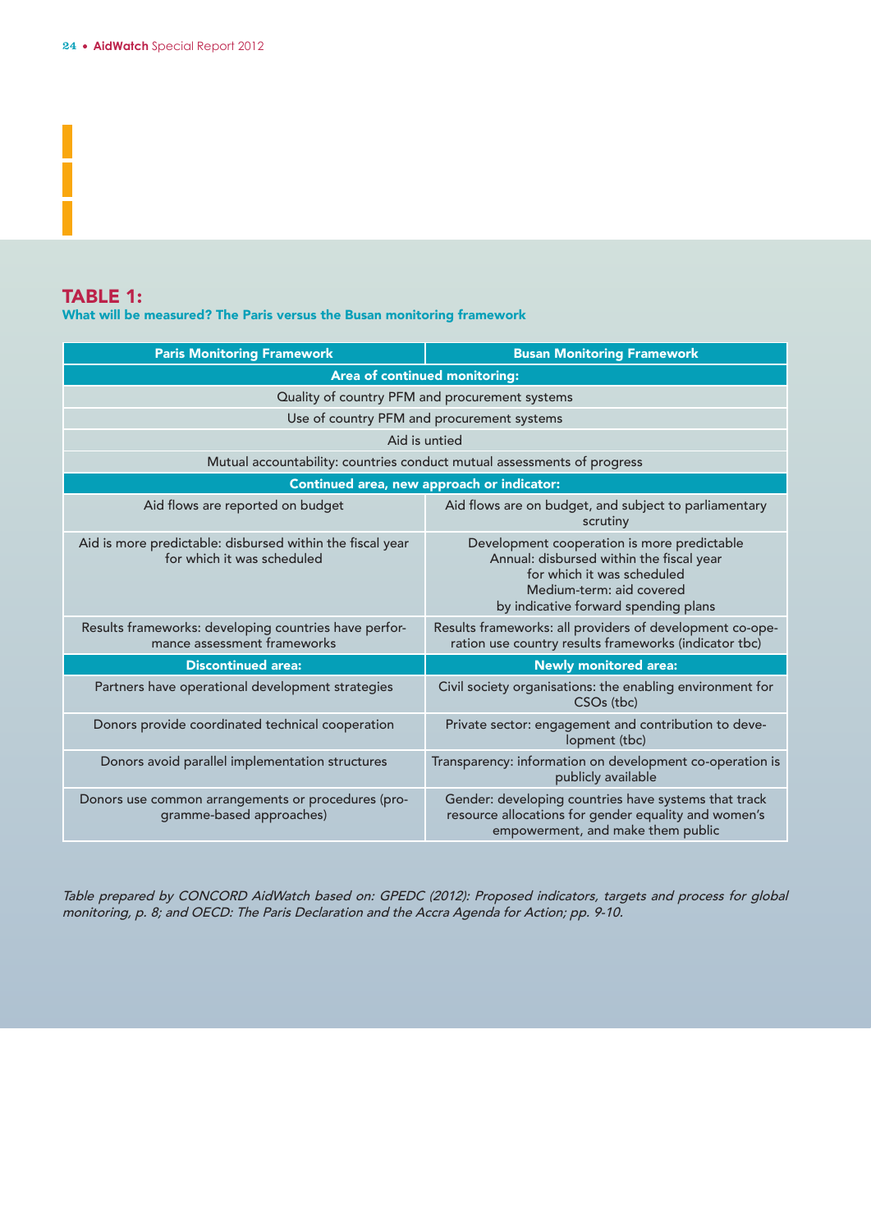# TABLE 1:

What will be measured? The Paris versus the Busan monitoring framework

| <b>Paris Monitoring Framework</b>                                                       | <b>Busan Monitoring Framework</b>                                                                                                                                                         |  |  |
|-----------------------------------------------------------------------------------------|-------------------------------------------------------------------------------------------------------------------------------------------------------------------------------------------|--|--|
| Area of continued monitoring:                                                           |                                                                                                                                                                                           |  |  |
|                                                                                         | Quality of country PFM and procurement systems                                                                                                                                            |  |  |
|                                                                                         | Use of country PFM and procurement systems                                                                                                                                                |  |  |
|                                                                                         | Aid is untied                                                                                                                                                                             |  |  |
| Mutual accountability: countries conduct mutual assessments of progress                 |                                                                                                                                                                                           |  |  |
| Continued area, new approach or indicator:                                              |                                                                                                                                                                                           |  |  |
| Aid flows are reported on budget                                                        | Aid flows are on budget, and subject to parliamentary<br>scrutiny                                                                                                                         |  |  |
| Aid is more predictable: disbursed within the fiscal year<br>for which it was scheduled | Development cooperation is more predictable<br>Annual: disbursed within the fiscal year<br>for which it was scheduled<br>Medium-term: aid covered<br>by indicative forward spending plans |  |  |
| Results frameworks: developing countries have perfor-<br>mance assessment frameworks    | Results frameworks: all providers of development co-ope-<br>ration use country results frameworks (indicator tbc)                                                                         |  |  |
| <b>Discontinued area:</b>                                                               | <b>Newly monitored area:</b>                                                                                                                                                              |  |  |
| Partners have operational development strategies                                        | Civil society organisations: the enabling environment for<br>CSO <sub>s</sub> (tbc)                                                                                                       |  |  |
| Donors provide coordinated technical cooperation                                        | Private sector: engagement and contribution to deve-<br>lopment (tbc)                                                                                                                     |  |  |
| Donors avoid parallel implementation structures                                         | Transparency: information on development co-operation is<br>publicly available                                                                                                            |  |  |
| Donors use common arrangements or procedures (pro-<br>gramme-based approaches)          | Gender: developing countries have systems that track<br>resource allocations for gender equality and women's<br>empowerment, and make them public                                         |  |  |

Table prepared by CONCORD AidWatch based on: GPEDC (2012): Proposed indicators, targets and process for global monitoring, p. 8; and OECD: The Paris Declaration and the Accra Agenda for Action; pp. 9-10.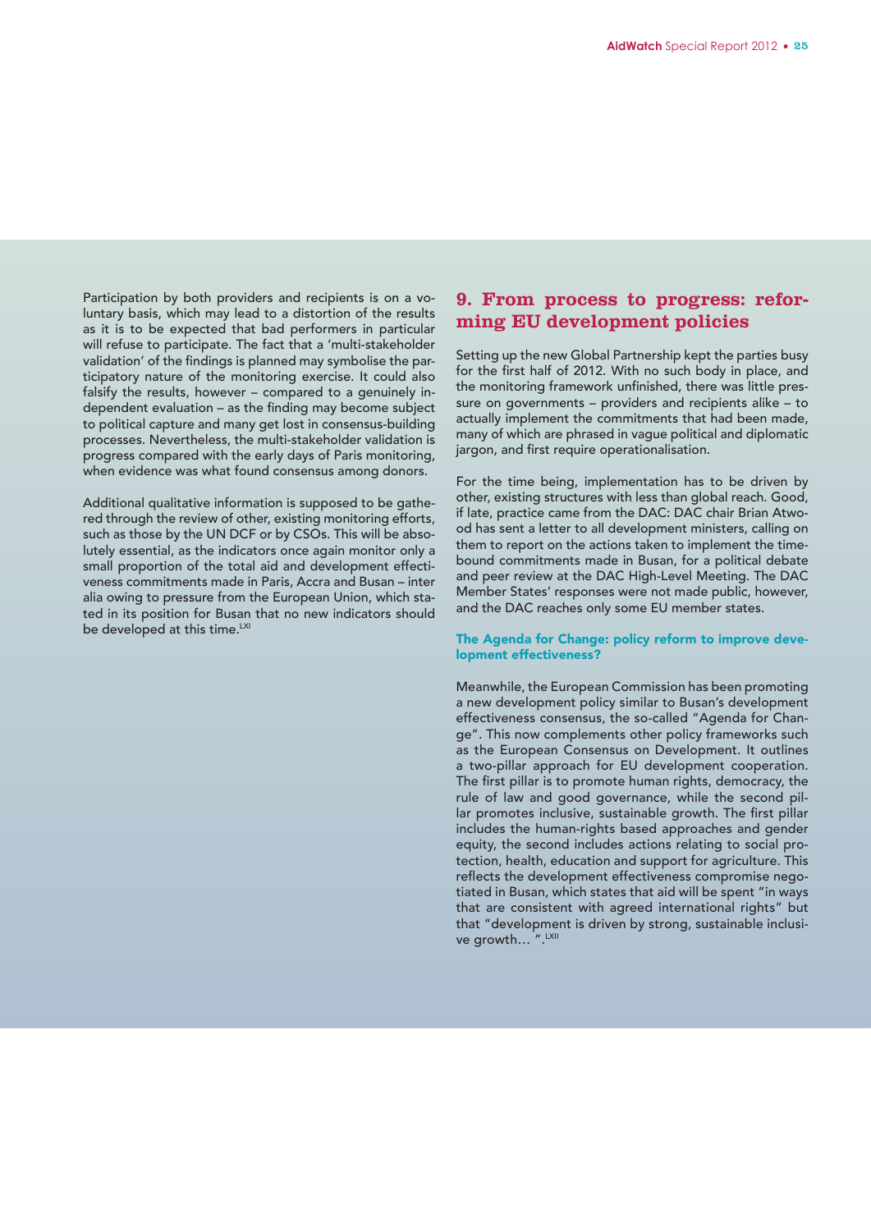Participation by both providers and recipients is on a voluntary basis, which may lead to a distortion of the results as it is to be expected that bad performers in particular will refuse to participate. The fact that a 'multi-stakeholder validation' of the findings is planned may symbolise the participatory nature of the monitoring exercise. It could also falsify the results, however – compared to a genuinely independent evaluation – as the finding may become subject to political capture and many get lost in consensus-building processes. Nevertheless, the multi-stakeholder validation is progress compared with the early days of Paris monitoring, when evidence was what found consensus among donors.

Additional qualitative information is supposed to be gathered through the review of other, existing monitoring efforts, such as those by the UN DCF or by CSOs. This will be absolutely essential, as the indicators once again monitor only a small proportion of the total aid and development effectiveness commitments made in Paris, Accra and Busan – inter alia owing to pressure from the European Union, which stated in its position for Busan that no new indicators should be developed at this time.<sup>LXI</sup>

# 9. From process to progress: reforming EU development policies

Setting up the new Global Partnership kept the parties busy for the first half of 2012. With no such body in place, and the monitoring framework unfinished, there was little pressure on governments – providers and recipients alike – to actually implement the commitments that had been made, many of which are phrased in vague political and diplomatic jargon, and first require operationalisation.

For the time being, implementation has to be driven by other, existing structures with less than global reach. Good, if late, practice came from the DAC: DAC chair Brian Atwood has sent a letter to all development ministers, calling on them to report on the actions taken to implement the timebound commitments made in Busan, for a political debate and peer review at the DAC High-Level Meeting. The DAC Member States' responses were not made public, however, and the DAC reaches only some EU member states.

#### The Agenda for Change: policy reform to improve development effectiveness?

Meanwhile, the European Commission has been promoting a new development policy similar to Busan's development effectiveness consensus, the so-called "Agenda for Change". This now complements other policy frameworks such as the European Consensus on Development. It outlines a two-pillar approach for EU development cooperation. The first pillar is to promote human rights, democracy, the rule of law and good governance, while the second pillar promotes inclusive, sustainable growth. The first pillar includes the human-rights based approaches and gender equity, the second includes actions relating to social protection, health, education and support for agriculture. This reflects the development effectiveness compromise negotiated in Busan, which states that aid will be spent "in ways that are consistent with agreed international rights" but that "development is driven by strong, sustainable inclusive growth... ".LXIII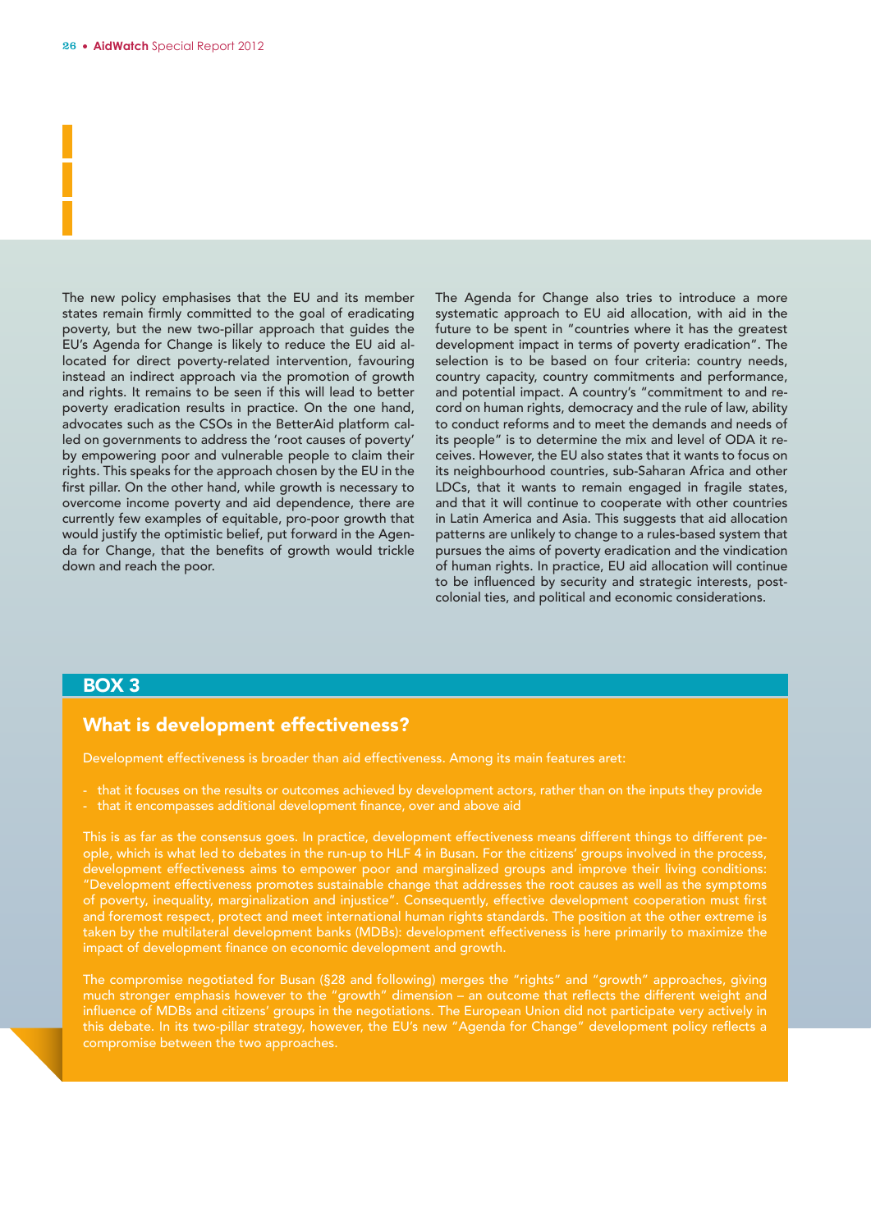The new policy emphasises that the EU and its member states remain firmly committed to the goal of eradicating poverty, but the new two-pillar approach that guides the EU's Agenda for Change is likely to reduce the EU aid allocated for direct poverty-related intervention, favouring instead an indirect approach via the promotion of growth and rights. It remains to be seen if this will lead to better poverty eradication results in practice. On the one hand, advocates such as the CSOs in the BetterAid platform called on governments to address the 'root causes of poverty' by empowering poor and vulnerable people to claim their rights. This speaks for the approach chosen by the EU in the first pillar. On the other hand, while growth is necessary to overcome income poverty and aid dependence, there are currently few examples of equitable, pro-poor growth that would justify the optimistic belief, put forward in the Agenda for Change, that the benefits of growth would trickle down and reach the poor.

The Agenda for Change also tries to introduce a more systematic approach to EU aid allocation, with aid in the future to be spent in "countries where it has the greatest development impact in terms of poverty eradication". The selection is to be based on four criteria: country needs, country capacity, country commitments and performance, and potential impact. A country's "commitment to and record on human rights, democracy and the rule of law, ability to conduct reforms and to meet the demands and needs of its people" is to determine the mix and level of ODA it receives. However, the EU also states that it wants to focus on its neighbourhood countries, sub-Saharan Africa and other LDCs, that it wants to remain engaged in fragile states, and that it will continue to cooperate with other countries in Latin America and Asia. This suggests that aid allocation patterns are unlikely to change to a rules-based system that pursues the aims of poverty eradication and the vindication of human rights. In practice, EU aid allocation will continue to be influenced by security and strategic interests, postcolonial ties, and political and economic considerations.

## BOX 3

### What is development effectiveness?

- that it focuses on the results or outcomes achieved by development actors, rather than on the inputs they provide
- 

This is as far as the consensus goes. In practice, development effectiveness means different things to different people, which is what led to debates in the run-up to HLF 4 in Busan. For the citizens' groups involved in the process, development effectiveness aims to empower poor and marginalized groups and improve their living conditions: "Development effectiveness promotes sustainable change that addresses the root causes as well as the symptoms of poverty, inequality, marginalization and injustice". Consequently, effective development cooperation must first and foremost respect, protect and meet international human rights standards. The position at the other extreme is taken by the multilateral development banks (MDBs): development effectiveness is here primarily to maximize the

The compromise negotiated for Busan (§28 and following) merges the "rights" and "growth" approaches, giving much stronger emphasis however to the "growth" dimension – an outcome that reflects the different weight and influence of MDBs and citizens' groups in the negotiations. The European Union did not participate very actively in this debate. In its two-pillar strategy, however, the EU's new "Agenda for Change" development policy reflects a compromise between the two approaches.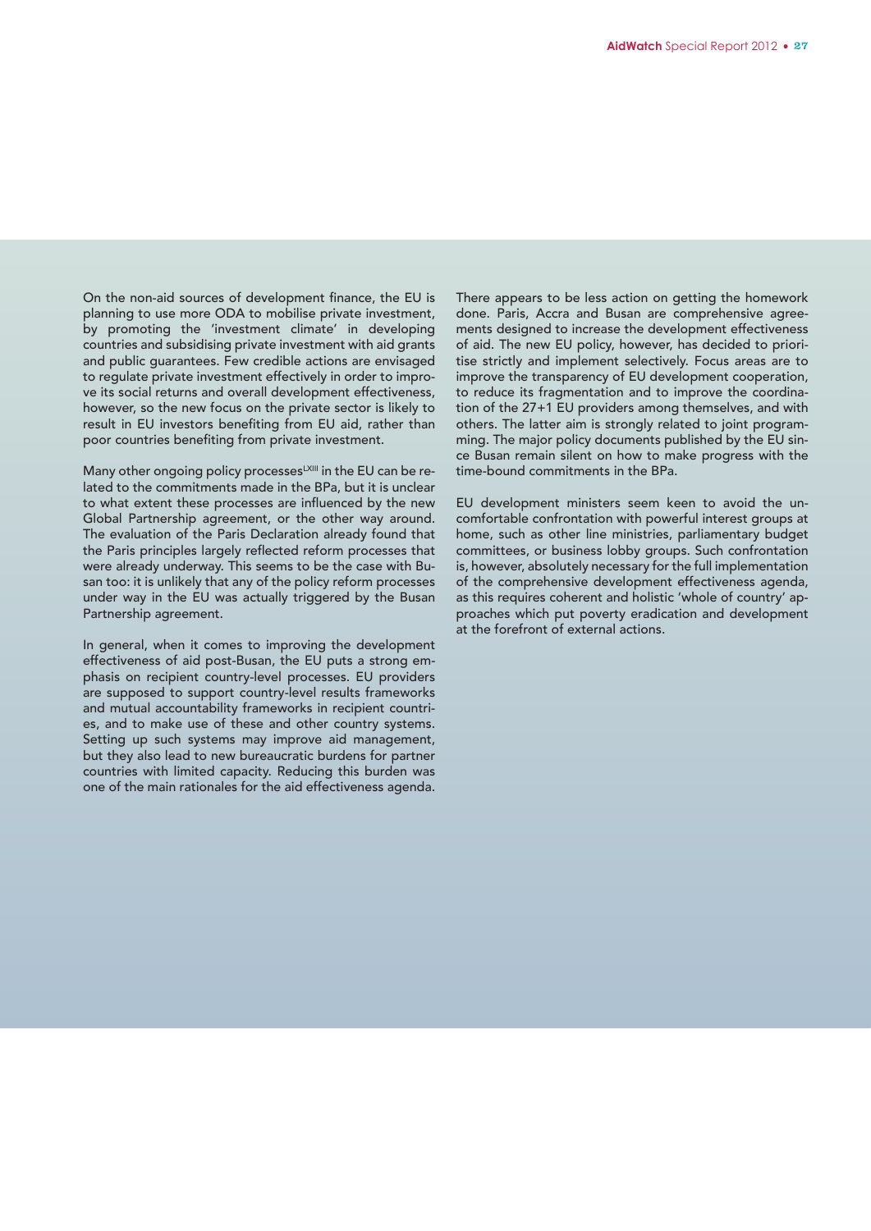On the non-aid sources of development finance, the EU is planning to use more ODA to mobilise private investment, by promoting the 'investment climate' in developing countries and subsidising private investment with aid grants and public guarantees. Few credible actions are envisaged to regulate private investment effectively in order to improve its social returns and overall development effectiveness, however, so the new focus on the private sector is likely to result in EU investors benefiting from EU aid, rather than poor countries benefiting from private investment.

Many other ongoing policy processes<sup>LXIII</sup> in the EU can be related to the commitments made in the BPa, but it is unclear to what extent these processes are influenced by the new Global Partnership agreement, or the other way around. The evaluation of the Paris Declaration already found that the Paris principles largely reflected reform processes that were already underway. This seems to be the case with Busan too: it is unlikely that any of the policy reform processes under way in the EU was actually triggered by the Busan Partnership agreement.

In general, when it comes to improving the development effectiveness of aid post-Busan, the EU puts a strong emphasis on recipient country-level processes. EU providers are supposed to support country-level results frameworks and mutual accountability frameworks in recipient countries, and to make use of these and other country systems. Setting up such systems may improve aid management, but they also lead to new bureaucratic burdens for partner countries with limited capacity. Reducing this burden was one of the main rationales for the aid effectiveness agenda.

There appears to be less action on getting the homework done. Paris, Accra and Busan are comprehensive agreements designed to increase the development effectiveness of aid. The new EU policy, however, has decided to prioritise strictly and implement selectively. Focus areas are to improve the transparency of EU development cooperation, to reduce its fragmentation and to improve the coordination of the 27+1 EU providers among themselves, and with others. The latter aim is strongly related to joint programming. The major policy documents published by the EU since Busan remain silent on how to make progress with the time-bound commitments in the BPa.

EU development ministers seem keen to avoid the uncomfortable confrontation with powerful interest groups at home, such as other line ministries, parliamentary budget committees, or business lobby groups. Such confrontation is, however, absolutely necessary for the full implementation of the comprehensive development effectiveness agenda, as this requires coherent and holistic 'whole of country' approaches which put poverty eradication and development at the forefront of external actions.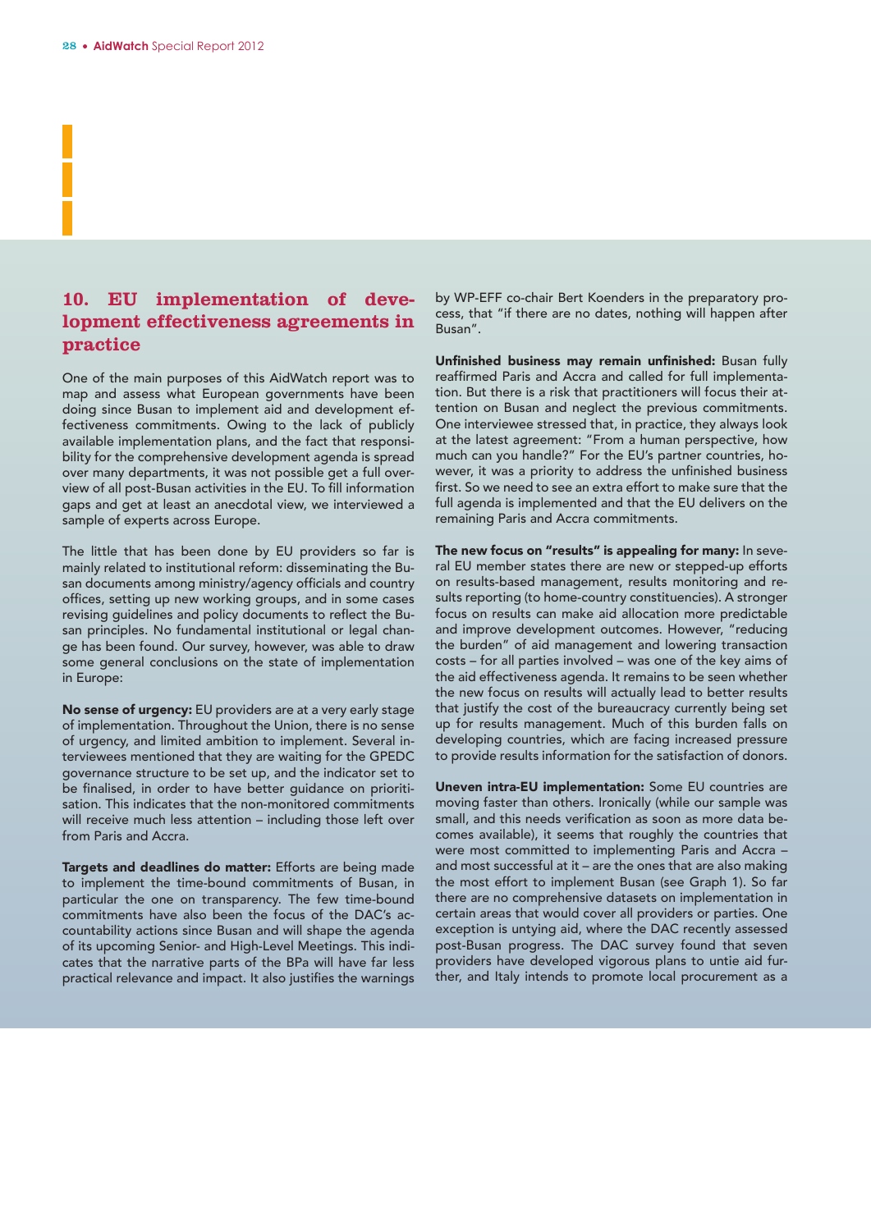# 10. EU implementation of development effectiveness agreements in practice

One of the main purposes of this AidWatch report was to map and assess what European governments have been doing since Busan to implement aid and development effectiveness commitments. Owing to the lack of publicly available implementation plans, and the fact that responsibility for the comprehensive development agenda is spread over many departments, it was not possible get a full overview of all post-Busan activities in the EU. To fill information gaps and get at least an anecdotal view, we interviewed a sample of experts across Europe.

The little that has been done by EU providers so far is mainly related to institutional reform: disseminating the Busan documents among ministry/agency officials and country offices, setting up new working groups, and in some cases revising guidelines and policy documents to reflect the Busan principles. No fundamental institutional or legal change has been found. Our survey, however, was able to draw some general conclusions on the state of implementation in Europe:

No sense of urgency: EU providers are at a very early stage of implementation. Throughout the Union, there is no sense of urgency, and limited ambition to implement. Several interviewees mentioned that they are waiting for the GPEDC governance structure to be set up, and the indicator set to be finalised, in order to have better guidance on prioritisation. This indicates that the non-monitored commitments will receive much less attention – including those left over from Paris and Accra.

Targets and deadlines do matter: Efforts are being made to implement the time-bound commitments of Busan, in particular the one on transparency. The few time-bound commitments have also been the focus of the DAC's accountability actions since Busan and will shape the agenda of its upcoming Senior- and High-Level Meetings. This indicates that the narrative parts of the BPa will have far less practical relevance and impact. It also justifies the warnings

by WP-EFF co-chair Bert Koenders in the preparatory process, that "if there are no dates, nothing will happen after Busan".

Unfinished business may remain unfinished: Busan fully reaffirmed Paris and Accra and called for full implementation. But there is a risk that practitioners will focus their attention on Busan and neglect the previous commitments. One interviewee stressed that, in practice, they always look at the latest agreement: "From a human perspective, how much can you handle?" For the EU's partner countries, however, it was a priority to address the unfinished business first. So we need to see an extra effort to make sure that the full agenda is implemented and that the EU delivers on the remaining Paris and Accra commitments.

The new focus on "results" is appealing for many: In several EU member states there are new or stepped-up efforts on results-based management, results monitoring and results reporting (to home-country constituencies). A stronger focus on results can make aid allocation more predictable and improve development outcomes. However, "reducing the burden" of aid management and lowering transaction costs – for all parties involved – was one of the key aims of the aid effectiveness agenda. It remains to be seen whether the new focus on results will actually lead to better results that justify the cost of the bureaucracy currently being set up for results management. Much of this burden falls on developing countries, which are facing increased pressure to provide results information for the satisfaction of donors.

Uneven intra-EU implementation: Some EU countries are moving faster than others. Ironically (while our sample was small, and this needs verification as soon as more data becomes available), it seems that roughly the countries that were most committed to implementing Paris and Accra – and most successful at it – are the ones that are also making the most effort to implement Busan (see Graph 1). So far there are no comprehensive datasets on implementation in certain areas that would cover all providers or parties. One exception is untying aid, where the DAC recently assessed post-Busan progress. The DAC survey found that seven providers have developed vigorous plans to untie aid further, and Italy intends to promote local procurement as a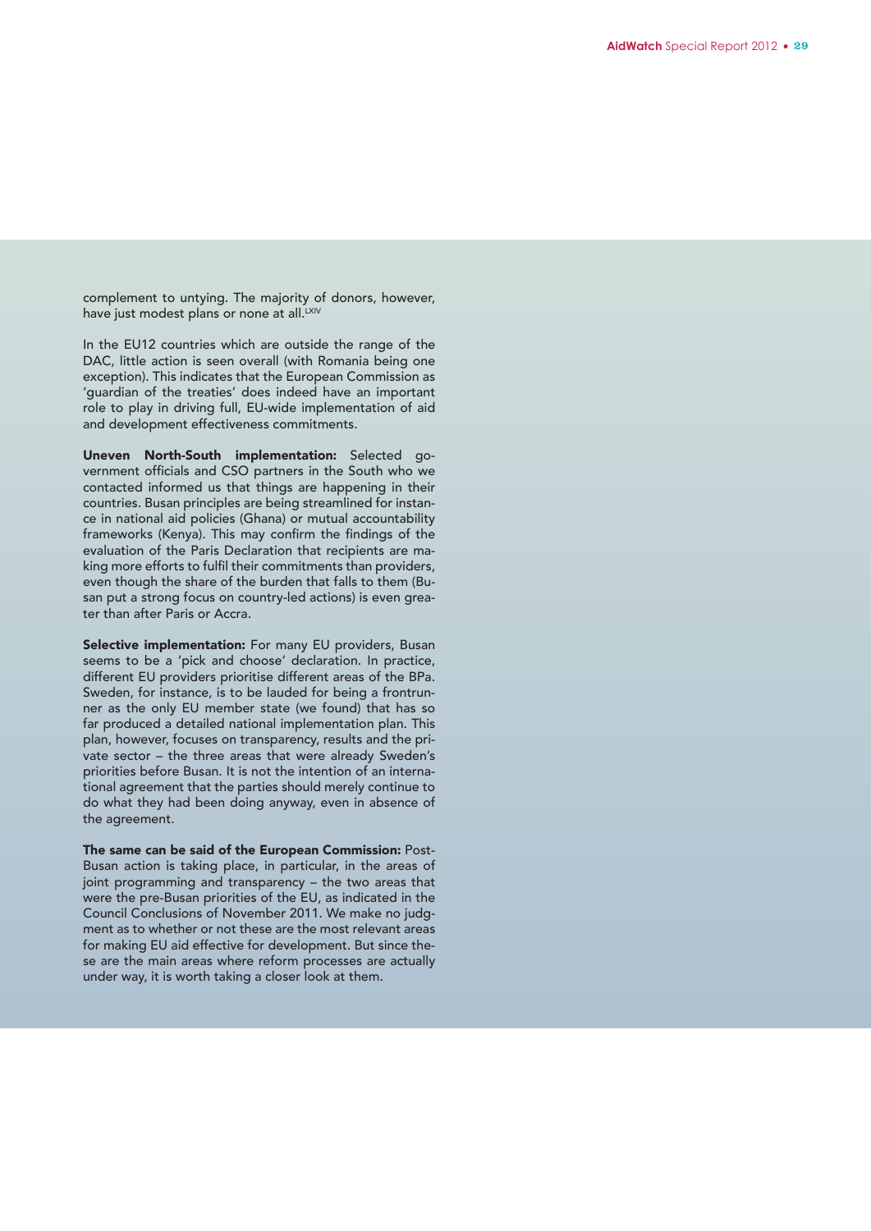complement to untying. The majority of donors, however, have just modest plans or none at all.LXIV

In the EU12 countries which are outside the range of the DAC, little action is seen overall (with Romania being one exception). This indicates that the European Commission as 'guardian of the treaties' does indeed have an important role to play in driving full, EU-wide implementation of aid and development effectiveness commitments.

Uneven North-South implementation: Selected government officials and CSO partners in the South who we contacted informed us that things are happening in their countries. Busan principles are being streamlined for instance in national aid policies (Ghana) or mutual accountability frameworks (Kenya). This may confirm the findings of the evaluation of the Paris Declaration that recipients are making more efforts to fulfil their commitments than providers, even though the share of the burden that falls to them (Busan put a strong focus on country-led actions) is even greater than after Paris or Accra.

Selective implementation: For many EU providers, Busan seems to be a 'pick and choose' declaration. In practice, different EU providers prioritise different areas of the BPa. Sweden, for instance, is to be lauded for being a frontrunner as the only EU member state (we found) that has so far produced a detailed national implementation plan. This plan, however, focuses on transparency, results and the private sector – the three areas that were already Sweden's priorities before Busan. It is not the intention of an international agreement that the parties should merely continue to do what they had been doing anyway, even in absence of the agreement.

The same can be said of the European Commission: Post-Busan action is taking place, in particular, in the areas of joint programming and transparency – the two areas that were the pre-Busan priorities of the EU, as indicated in the Council Conclusions of November 2011. We make no judgment as to whether or not these are the most relevant areas for making EU aid effective for development. But since these are the main areas where reform processes are actually under way, it is worth taking a closer look at them.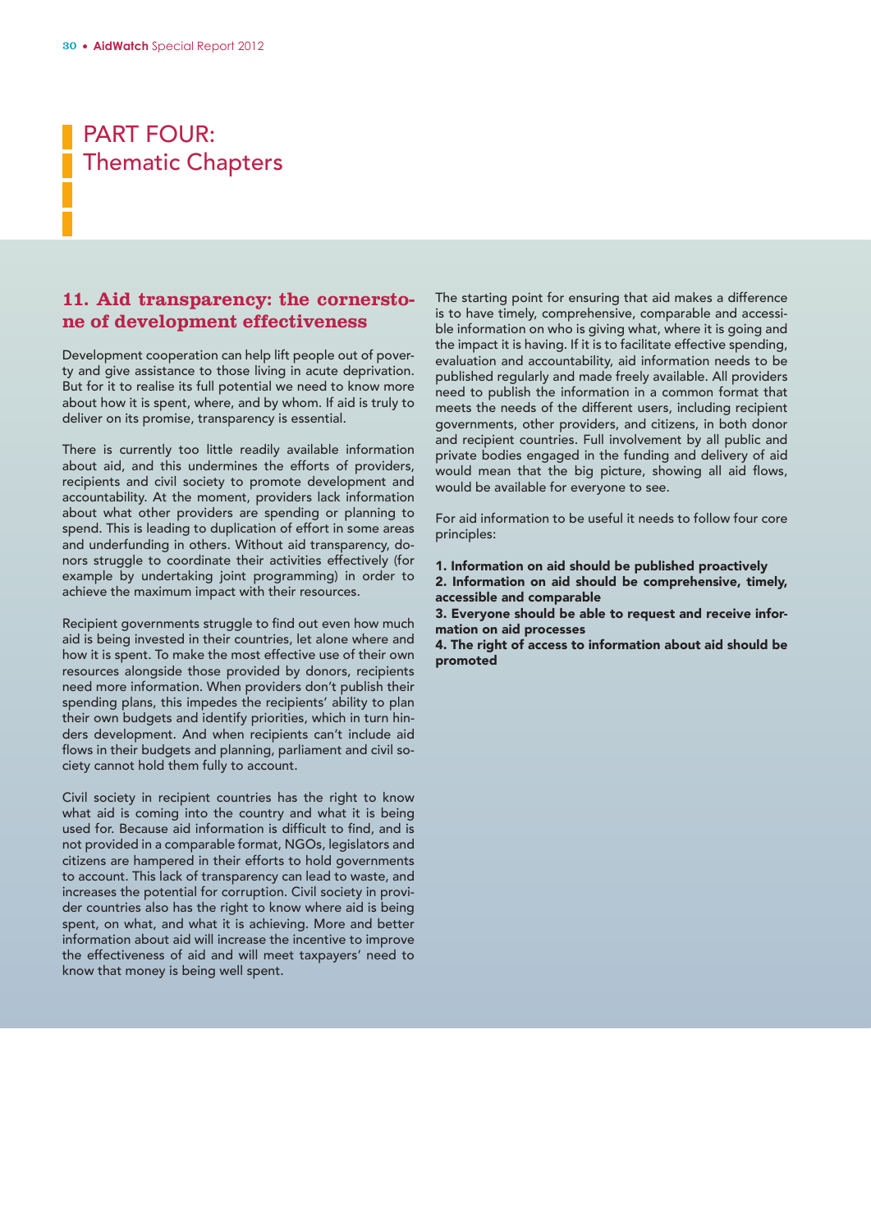# PART FOUR: Thematic Chapters

## 11. Aid transparency: the cornerstone of development effectiveness

Development cooperation can help lift people out of poverty and give assistance to those living in acute deprivation. But for it to realise its full potential we need to know more about how it is spent, where, and by whom. If aid is truly to deliver on its promise, transparency is essential.

There is currently too little readily available information about aid, and this undermines the efforts of providers, recipients and civil society to promote development and accountability. At the moment, providers lack information about what other providers are spending or planning to spend. This is leading to duplication of effort in some areas and underfunding in others. Without aid transparency, donors struggle to coordinate their activities effectively (for example by undertaking joint programming) in order to achieve the maximum impact with their resources.

Recipient governments struggle to find out even how much aid is being invested in their countries, let alone where and how it is spent. To make the most effective use of their own resources alongside those provided by donors, recipients need more information. When providers don't publish their spending plans, this impedes the recipients' ability to plan their own budgets and identify priorities, which in turn hinders development. And when recipients can't include aid flows in their budgets and planning, parliament and civil society cannot hold them fully to account.

Civil society in recipient countries has the right to know what aid is coming into the country and what it is being used for. Because aid information is difficult to find, and is not provided in a comparable format, NGOs, legislators and citizens are hampered in their efforts to hold governments to account. This lack of transparency can lead to waste, and increases the potential for corruption. Civil society in provider countries also has the right to know where aid is being spent, on what, and what it is achieving. More and better information about aid will increase the incentive to improve the effectiveness of aid and will meet taxpayers' need to know that money is being well spent.

The starting point for ensuring that aid makes a difference is to have timely, comprehensive, comparable and accessible information on who is giving what, where it is going and the impact it is having. If it is to facilitate effective spending, evaluation and accountability, aid information needs to be published regularly and made freely available. All providers need to publish the information in a common format that meets the needs of the different users, including recipient governments, other providers, and citizens, in both donor and recipient countries. Full involvement by all public and private bodies engaged in the funding and delivery of aid would mean that the big picture, showing all aid flows, would be available for everyone to see.

For aid information to be useful it needs to follow four core principles:

1. Information on aid should be published proactively

2. Information on aid should be comprehensive, timely, accessible and comparable

3. Everyone should be able to request and receive information on aid processes

4. The right of access to information about aid should be promoted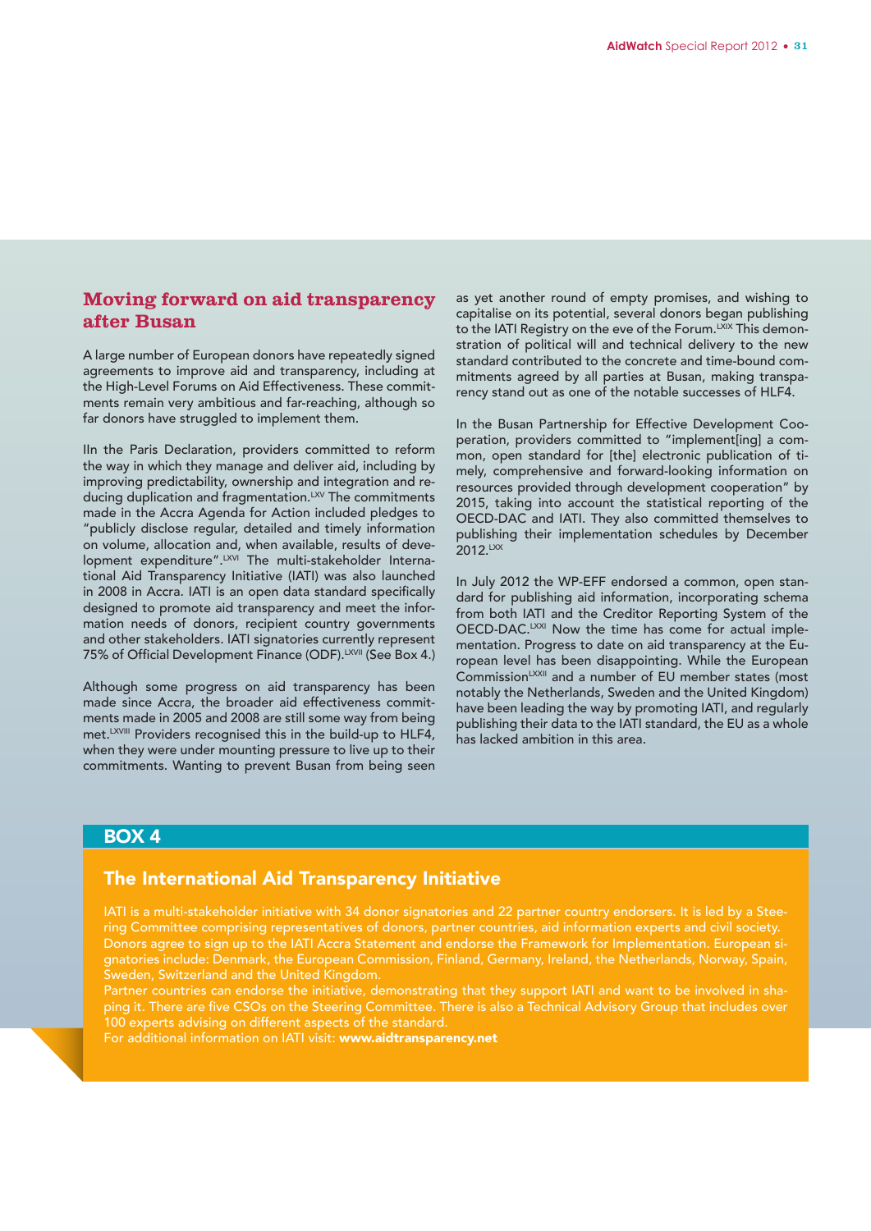## Moving forward on aid transparency after Busan

A large number of European donors have repeatedly signed agreements to improve aid and transparency, including at the High-Level Forums on Aid Effectiveness. These commitments remain very ambitious and far-reaching, although so far donors have struggled to implement them.

IIn the Paris Declaration, providers committed to reform the way in which they manage and deliver aid, including by improving predictability, ownership and integration and reducing duplication and fragmentation.<sup>LXV</sup> The commitments made in the Accra Agenda for Action included pledges to "publicly disclose regular, detailed and timely information on volume, allocation and, when available, results of development expenditure".<sup>LXVI</sup> The multi-stakeholder International Aid Transparency Initiative (IATI) was also launched in 2008 in Accra. IATI is an open data standard specifically designed to promote aid transparency and meet the information needs of donors, recipient country governments and other stakeholders. IATI signatories currently represent 75% of Official Development Finance (ODF). LXVII (See Box 4.)

Although some progress on aid transparency has been made since Accra, the broader aid effectiveness commitments made in 2005 and 2008 are still some way from being met.<sup>LXVIII</sup> Providers recognised this in the build-up to HLF4, when they were under mounting pressure to live up to their commitments. Wanting to prevent Busan from being seen

as yet another round of empty promises, and wishing to capitalise on its potential, several donors began publishing to the IATI Registry on the eve of the Forum. LXIX This demonstration of political will and technical delivery to the new standard contributed to the concrete and time-bound commitments agreed by all parties at Busan, making transparency stand out as one of the notable successes of HLF4.

In the Busan Partnership for Effective Development Cooperation, providers committed to "implement[ing] a common, open standard for [the] electronic publication of timely, comprehensive and forward-looking information on resources provided through development cooperation" by 2015, taking into account the statistical reporting of the OECD-DAC and IATI. They also committed themselves to publishing their implementation schedules by December  $2012.$ <sup>LXX</sup>

In July 2012 the WP-EFF endorsed a common, open standard for publishing aid information, incorporating schema from both IATI and the Creditor Reporting System of the OECD-DAC.<sup>LXXI</sup> Now the time has come for actual implementation. Progress to date on aid transparency at the European level has been disappointing. While the European Commission<sup>LXXII</sup> and a number of EU member states (most notably the Netherlands, Sweden and the United Kingdom) have been leading the way by promoting IATI, and regularly publishing their data to the IATI standard, the EU as a whole has lacked ambition in this area.

## BOX 4

## The International Aid Transparency Initiative

IATI is a multi-stakeholder initiative with 34 donor signatories and 22 partner country endorsers. It is led by a Stee-Donors agree to sign up to the IATI Accra Statement and endorse the Framework for Implementation. European signatories include: Denmark, the European Commission, Finland, Germany, Ireland, the Netherlands, Norway, Spain, Sweden, Switzerland and the United Kingdom.

Partner countries can endorse the initiative, demonstrating that they support IATI and want to be involved in shaping it. There are five CSOs on the Steering Committee. There is also a Technical Advisory Group that includes over

For additional information on IATI visit: www.aidtransparency.net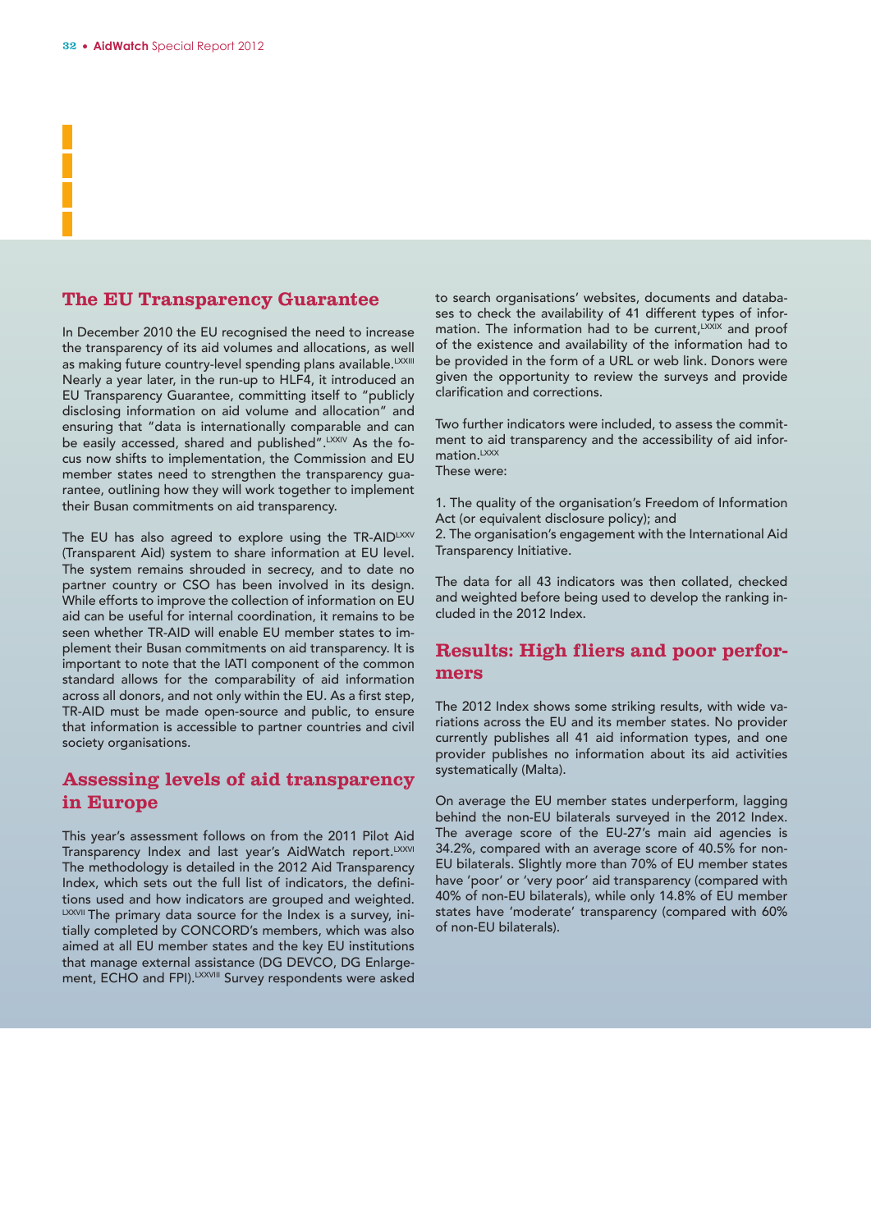## The EU Transparency Guarantee

In December 2010 the EU recognised the need to increase the transparency of its aid volumes and allocations, as well as making future country-level spending plans available. LXXIII Nearly a year later, in the run-up to HLF4, it introduced an EU Transparency Guarantee, committing itself to "publicly disclosing information on aid volume and allocation" and ensuring that "data is internationally comparable and can be easily accessed, shared and published". LXXIV As the focus now shifts to implementation, the Commission and EU member states need to strengthen the transparency guarantee, outlining how they will work together to implement their Busan commitments on aid transparency.

The EU has also agreed to explore using the TR-AIDLXXV (Transparent Aid) system to share information at EU level. The system remains shrouded in secrecy, and to date no partner country or CSO has been involved in its design. While efforts to improve the collection of information on EU aid can be useful for internal coordination, it remains to be seen whether TR-AID will enable EU member states to implement their Busan commitments on aid transparency. It is important to note that the IATI component of the common standard allows for the comparability of aid information across all donors, and not only within the EU. As a first step, TR-AID must be made open-source and public, to ensure that information is accessible to partner countries and civil society organisations.

# Assessing levels of aid transparency in Europe

This year's assessment follows on from the 2011 Pilot Aid Transparency Index and last year's AidWatch report. LXXVI The methodology is detailed in the 2012 Aid Transparency Index, which sets out the full list of indicators, the definitions used and how indicators are grouped and weighted. LXXVII The primary data source for the Index is a survey, initially completed by CONCORD's members, which was also aimed at all EU member states and the key EU institutions that manage external assistance (DG DEVCO, DG Enlargement, ECHO and FPI). LXXVIII Survey respondents were asked to search organisations' websites, documents and databases to check the availability of 41 different types of information. The information had to be current, LXXIX and proof of the existence and availability of the information had to be provided in the form of a URL or web link. Donors were given the opportunity to review the surveys and provide clarification and corrections.

Two further indicators were included, to assess the commitment to aid transparency and the accessibility of aid information.<sup>LXXX</sup>

These were:

1. The quality of the organisation's Freedom of Information Act (or equivalent disclosure policy); and

2. The organisation's engagement with the International Aid Transparency Initiative.

The data for all 43 indicators was then collated, checked and weighted before being used to develop the ranking included in the 2012 Index.

# Results: High fliers and poor performers

The 2012 Index shows some striking results, with wide variations across the EU and its member states. No provider currently publishes all 41 aid information types, and one provider publishes no information about its aid activities systematically (Malta).

On average the EU member states underperform, lagging behind the non-EU bilaterals surveyed in the 2012 Index. The average score of the EU-27's main aid agencies is 34.2%, compared with an average score of 40.5% for non-EU bilaterals. Slightly more than 70% of EU member states have 'poor' or 'very poor' aid transparency (compared with 40% of non-EU bilaterals), while only 14.8% of EU member states have 'moderate' transparency (compared with 60% of non-EU bilaterals).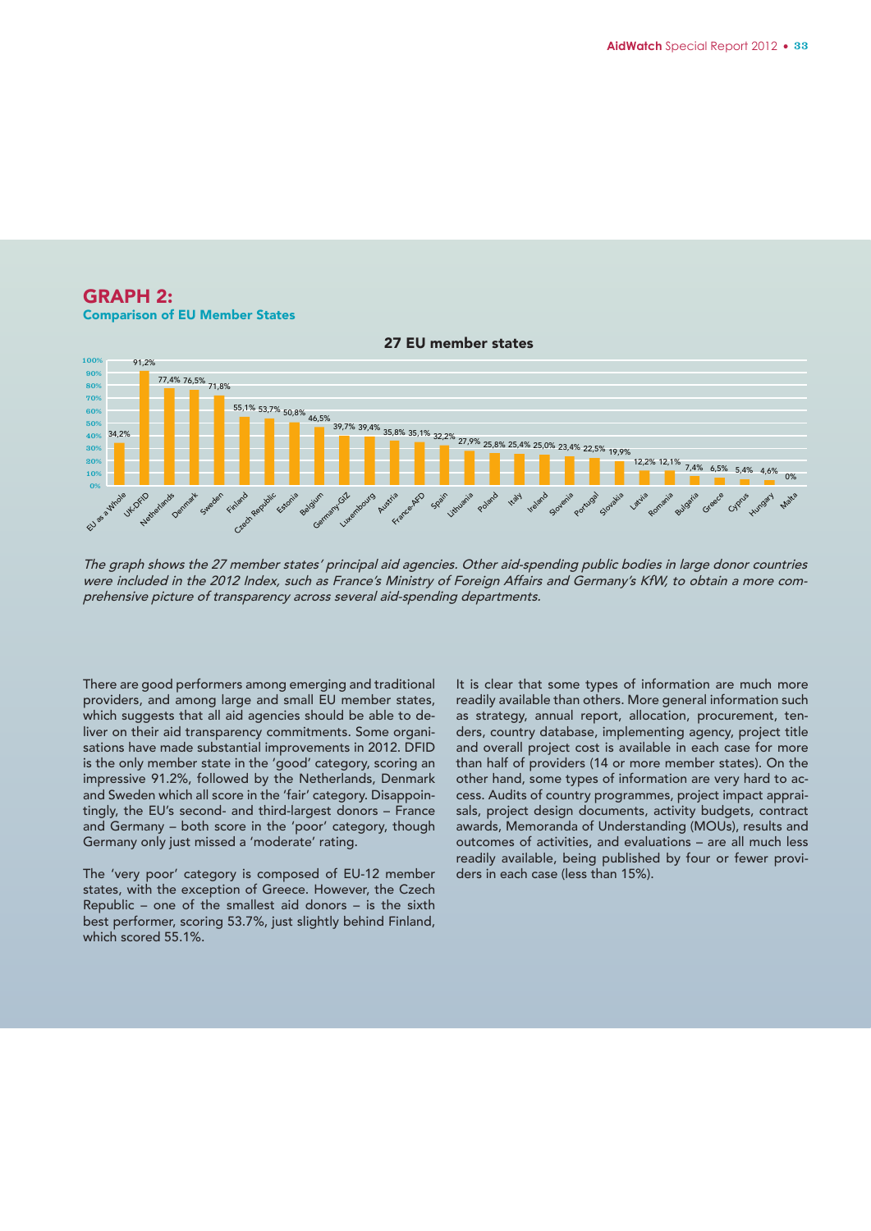### GRAPH 2: Comparison of EU Member States

27 EU member states



The graph shows the 27 member states' principal aid agencies. Other aid-spending public bodies in large donor countries were included in the 2012 Index, such as France's Ministry of Foreign Affairs and Germany's KfW, to obtain a more comprehensive picture of transparency across several aid-spending departments.

There are good performers among emerging and traditional providers, and among large and small EU member states, which suggests that all aid agencies should be able to deliver on their aid transparency commitments. Some organisations have made substantial improvements in 2012. DFID is the only member state in the 'good' category, scoring an impressive 91.2%, followed by the Netherlands, Denmark and Sweden which all score in the 'fair' category. Disappointingly, the EU's second- and third-largest donors – France and Germany – both score in the 'poor' category, though Germany only just missed a 'moderate' rating.

The 'very poor' category is composed of EU-12 member states, with the exception of Greece. However, the Czech Republic – one of the smallest aid donors – is the sixth best performer, scoring 53.7%, just slightly behind Finland, which scored 55.1%.

It is clear that some types of information are much more readily available than others. More general information such as strategy, annual report, allocation, procurement, tenders, country database, implementing agency, project title and overall project cost is available in each case for more than half of providers (14 or more member states). On the other hand, some types of information are very hard to access. Audits of country programmes, project impact appraisals, project design documents, activity budgets, contract awards, Memoranda of Understanding (MOUs), results and outcomes of activities, and evaluations – are all much less readily available, being published by four or fewer providers in each case (less than 15%).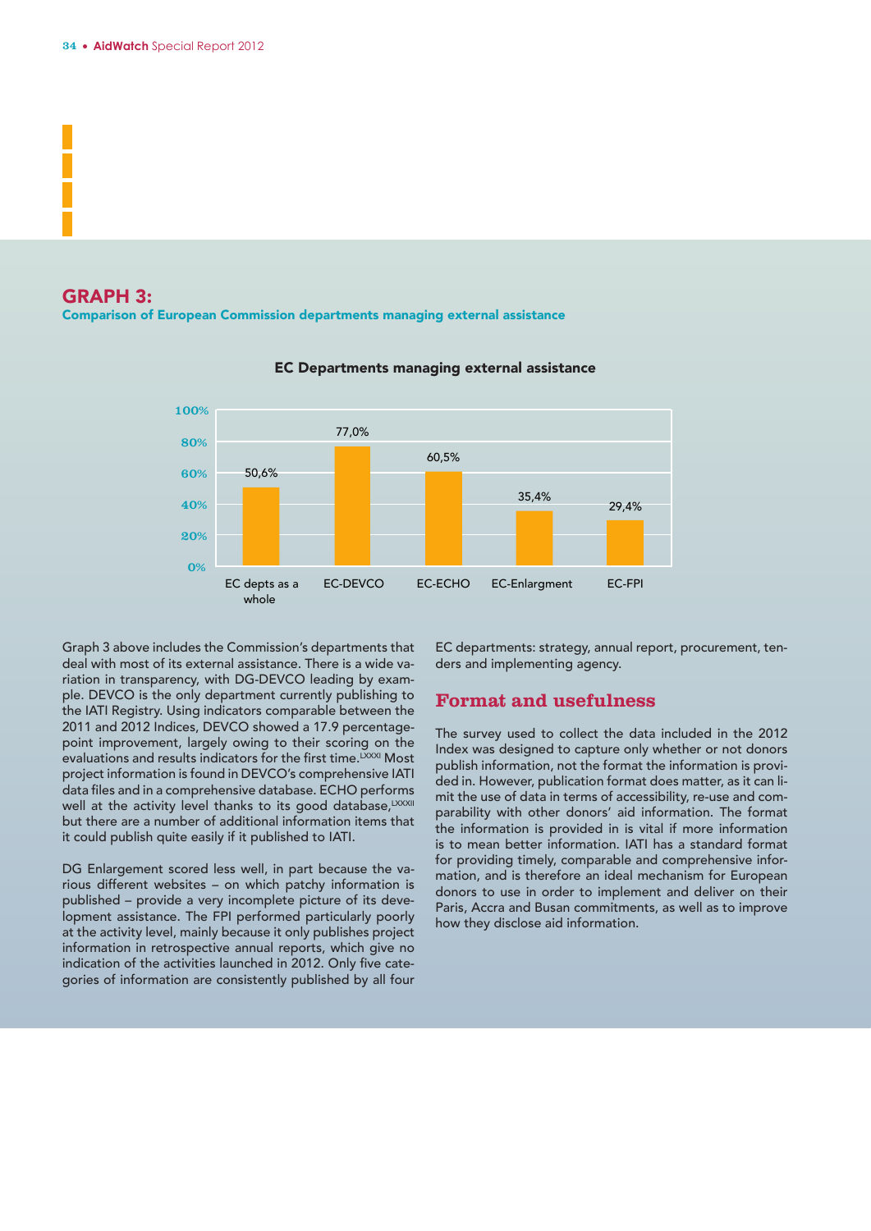## GRAPH 3: Comparison of European Commission departments managing external assistance



#### EC Departments managing external assistance

Graph 3 above includes the Commission's departments that deal with most of its external assistance. There is a wide variation in transparency, with DG-DEVCO leading by example. DEVCO is the only department currently publishing to the IATI Registry. Using indicators comparable between the 2011 and 2012 Indices, DEVCO showed a 17.9 percentagepoint improvement, largely owing to their scoring on the evaluations and results indicators for the first time. LXXXI Most project information is found in DEVCO's comprehensive IATI data files and in a comprehensive database. ECHO performs well at the activity level thanks to its good database, LXXXII but there are a number of additional information items that it could publish quite easily if it published to IATI.

DG Enlargement scored less well, in part because the various different websites – on which patchy information is published – provide a very incomplete picture of its development assistance. The FPI performed particularly poorly at the activity level, mainly because it only publishes project information in retrospective annual reports, which give no indication of the activities launched in 2012. Only five categories of information are consistently published by all four

EC departments: strategy, annual report, procurement, tenders and implementing agency.

### Format and usefulness

The survey used to collect the data included in the 2012 Index was designed to capture only whether or not donors publish information, not the format the information is provided in. However, publication format does matter, as it can limit the use of data in terms of accessibility, re-use and comparability with other donors' aid information. The format the information is provided in is vital if more information is to mean better information. IATI has a standard format for providing timely, comparable and comprehensive information, and is therefore an ideal mechanism for European donors to use in order to implement and deliver on their Paris, Accra and Busan commitments, as well as to improve how they disclose aid information.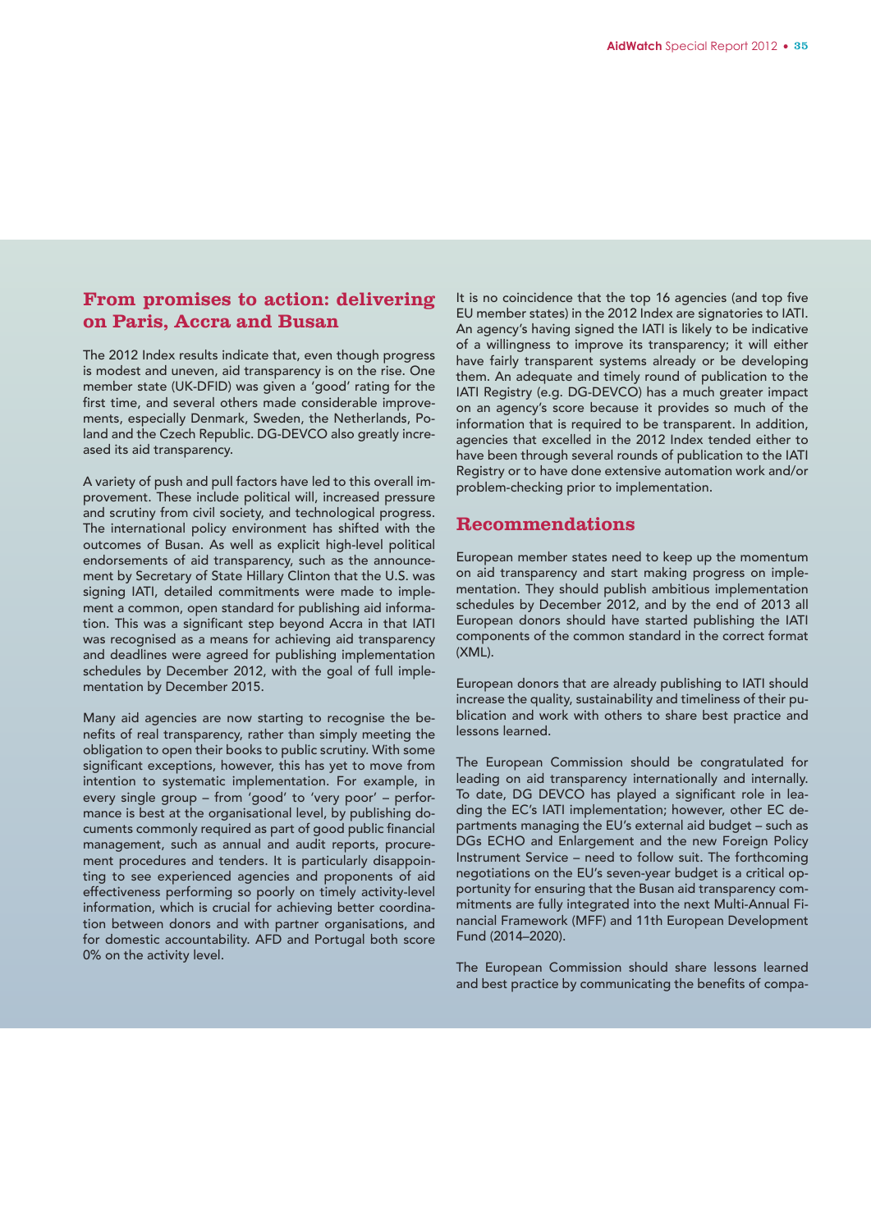## From promises to action: delivering on Paris, Accra and Busan

The 2012 Index results indicate that, even though progress is modest and uneven, aid transparency is on the rise. One member state (UK-DFID) was given a 'good' rating for the first time, and several others made considerable improvements, especially Denmark, Sweden, the Netherlands, Poland and the Czech Republic. DG-DEVCO also greatly increased its aid transparency.

A variety of push and pull factors have led to this overall improvement. These include political will, increased pressure and scrutiny from civil society, and technological progress. The international policy environment has shifted with the outcomes of Busan. As well as explicit high-level political endorsements of aid transparency, such as the announcement by Secretary of State Hillary Clinton that the U.S. was signing IATI, detailed commitments were made to implement a common, open standard for publishing aid information. This was a significant step beyond Accra in that IATI was recognised as a means for achieving aid transparency and deadlines were agreed for publishing implementation schedules by December 2012, with the goal of full implementation by December 2015.

Many aid agencies are now starting to recognise the benefits of real transparency, rather than simply meeting the obligation to open their books to public scrutiny. With some significant exceptions, however, this has yet to move from intention to systematic implementation. For example, in every single group – from 'good' to 'very poor' – performance is best at the organisational level, by publishing documents commonly required as part of good public financial management, such as annual and audit reports, procurement procedures and tenders. It is particularly disappointing to see experienced agencies and proponents of aid effectiveness performing so poorly on timely activity-level information, which is crucial for achieving better coordination between donors and with partner organisations, and for domestic accountability. AFD and Portugal both score 0% on the activity level.

It is no coincidence that the top 16 agencies (and top five EU member states) in the 2012 Index are signatories to IATI. An agency's having signed the IATI is likely to be indicative of a willingness to improve its transparency; it will either have fairly transparent systems already or be developing them. An adequate and timely round of publication to the IATI Registry (e.g. DG-DEVCO) has a much greater impact on an agency's score because it provides so much of the information that is required to be transparent. In addition, agencies that excelled in the 2012 Index tended either to have been through several rounds of publication to the IATI Registry or to have done extensive automation work and/or problem-checking prior to implementation.

### Recommendations

European member states need to keep up the momentum on aid transparency and start making progress on implementation. They should publish ambitious implementation schedules by December 2012, and by the end of 2013 all European donors should have started publishing the IATI components of the common standard in the correct format (XML).

European donors that are already publishing to IATI should increase the quality, sustainability and timeliness of their publication and work with others to share best practice and lessons learned.

The European Commission should be congratulated for leading on aid transparency internationally and internally. To date, DG DEVCO has played a significant role in leading the EC's IATI implementation; however, other EC departments managing the EU's external aid budget – such as DGs ECHO and Enlargement and the new Foreign Policy Instrument Service – need to follow suit. The forthcoming negotiations on the EU's seven-year budget is a critical opportunity for ensuring that the Busan aid transparency commitments are fully integrated into the next Multi-Annual Financial Framework (MFF) and 11th European Development Fund (2014–2020).

The European Commission should share lessons learned and best practice by communicating the benefits of compa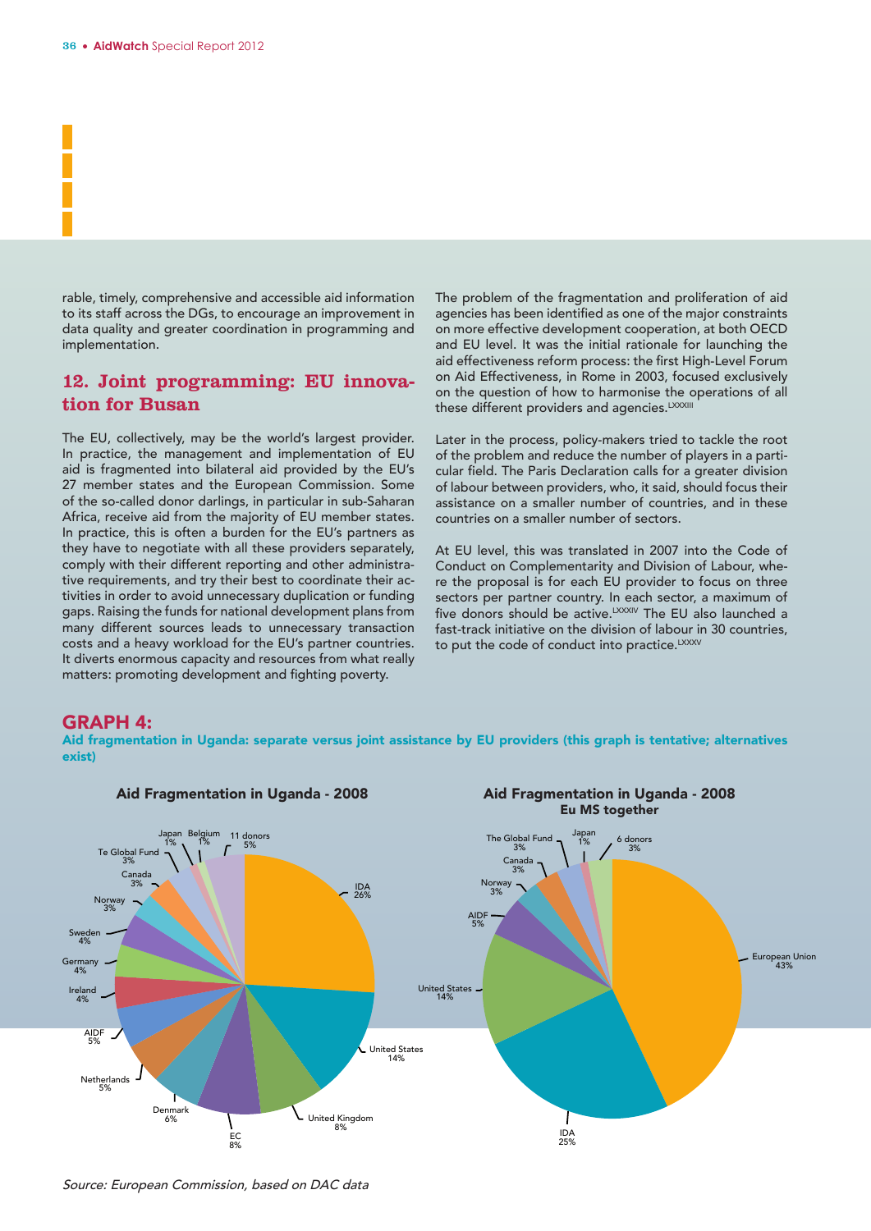rable, timely, comprehensive and accessible aid information to its staff across the DGs, to encourage an improvement in data quality and greater coordination in programming and implementation.

# 12. Joint programming: EU innovation for Busan

The EU, collectively, may be the world's largest provider. In practice, the management and implementation of EU aid is fragmented into bilateral aid provided by the EU's 27 member states and the European Commission. Some of the so-called donor darlings, in particular in sub-Saharan Africa, receive aid from the majority of EU member states. In practice, this is often a burden for the EU's partners as they have to negotiate with all these providers separately, comply with their different reporting and other administrative requirements, and try their best to coordinate their activities in order to avoid unnecessary duplication or funding gaps. Raising the funds for national development plans from many different sources leads to unnecessary transaction costs and a heavy workload for the EU's partner countries. It diverts enormous capacity and resources from what really matters: promoting development and fighting poverty.

The problem of the fragmentation and proliferation of aid agencies has been identified as one of the major constraints on more effective development cooperation, at both OECD and EU level. It was the initial rationale for launching the aid effectiveness reform process: the first High-Level Forum on Aid Effectiveness, in Rome in 2003, focused exclusively on the question of how to harmonise the operations of all these different providers and agencies.<sup>LXXXIII</sup>

Later in the process, policy-makers tried to tackle the root of the problem and reduce the number of players in a particular field. The Paris Declaration calls for a greater division of labour between providers, who, it said, should focus their assistance on a smaller number of countries, and in these countries on a smaller number of sectors.

At EU level, this was translated in 2007 into the Code of Conduct on Complementarity and Division of Labour, where the proposal is for each EU provider to focus on three sectors per partner country. In each sector, a maximum of five donors should be active.<sup>LXXXIV</sup> The EU also launched a fast-track initiative on the division of labour in 30 countries, to put the code of conduct into practice. LXXXV

### GRAPH 4:

Aid fragmentation in Uganda: separate versus joint assistance by EU providers (this graph is tentative; alternatives exist)



Source: European Commission, based on DAC data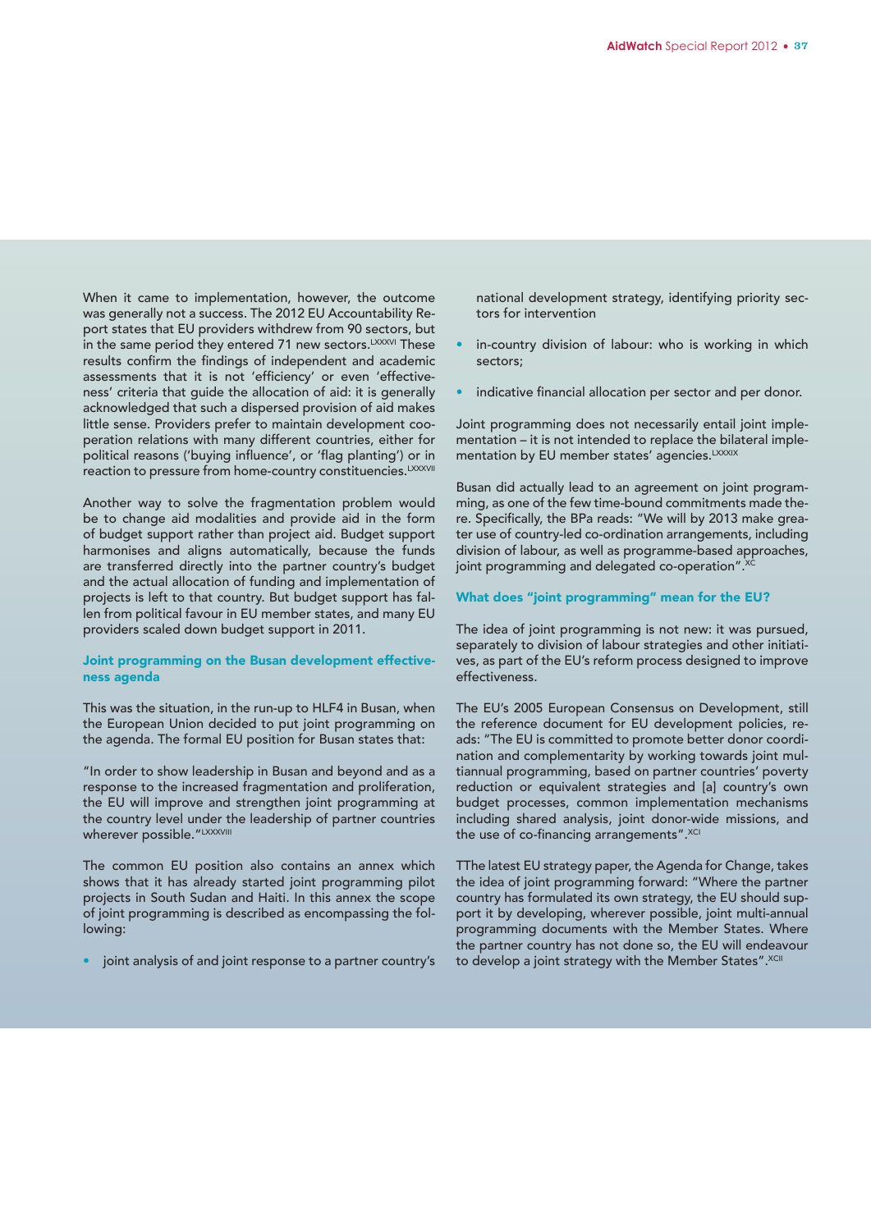When it came to implementation, however, the outcome was generally not a success. The 2012 EU Accountability Report states that EU providers withdrew from 90 sectors, but in the same period they entered 71 new sectors.<sup>LXXXVI</sup> These results confirm the findings of independent and academic assessments that it is not 'efficiency' or even 'effectiveness' criteria that guide the allocation of aid: it is generally acknowledged that such a dispersed provision of aid makes little sense. Providers prefer to maintain development cooperation relations with many different countries, either for political reasons ('buying influence', or 'flag planting') or in reaction to pressure from home-country constituencies.<sup>LXXXVII</sup>

Another way to solve the fragmentation problem would be to change aid modalities and provide aid in the form of budget support rather than project aid. Budget support harmonises and aligns automatically, because the funds are transferred directly into the partner country's budget and the actual allocation of funding and implementation of projects is left to that country. But budget support has fallen from political favour in EU member states, and many EU providers scaled down budget support in 2011.

#### Joint programming on the Busan development effectiveness agenda

This was the situation, in the run-up to HLF4 in Busan, when the European Union decided to put joint programming on the agenda. The formal EU position for Busan states that:

"In order to show leadership in Busan and beyond and as a response to the increased fragmentation and proliferation, the EU will improve and strengthen joint programming at the country level under the leadership of partner countries wherever possible."<sup>LXXXVIII</sup>

The common EU position also contains an annex which shows that it has already started joint programming pilot projects in South Sudan and Haiti. In this annex the scope of joint programming is described as encompassing the following:

• joint analysis of and joint response to a partner country's

national development strategy, identifying priority sectors for intervention

- in-country division of labour: who is working in which sectors;
- indicative financial allocation per sector and per donor.

Joint programming does not necessarily entail joint implementation – it is not intended to replace the bilateral implementation by EU member states' agencies.<sup>LXXXIX</sup>

Busan did actually lead to an agreement on joint programming, as one of the few time-bound commitments made there. Specifically, the BPa reads: "We will by 2013 make greater use of country-led co-ordination arrangements, including division of labour, as well as programme-based approaches, joint programming and delegated co-operation". XC

#### What does "joint programming" mean for the EU?

The idea of joint programming is not new: it was pursued, separately to division of labour strategies and other initiatives, as part of the EU's reform process designed to improve effectiveness.

The EU's 2005 European Consensus on Development, still the reference document for EU development policies, reads: "The EU is committed to promote better donor coordination and complementarity by working towards joint multiannual programming, based on partner countries' poverty reduction or equivalent strategies and [a] country's own budget processes, common implementation mechanisms including shared analysis, joint donor-wide missions, and the use of co-financing arrangements". XCI

TThe latest EU strategy paper, the Agenda for Change, takes the idea of joint programming forward: "Where the partner country has formulated its own strategy, the EU should support it by developing, wherever possible, joint multi-annual programming documents with the Member States. Where the partner country has not done so, the EU will endeavour to develop a joint strategy with the Member States". XCII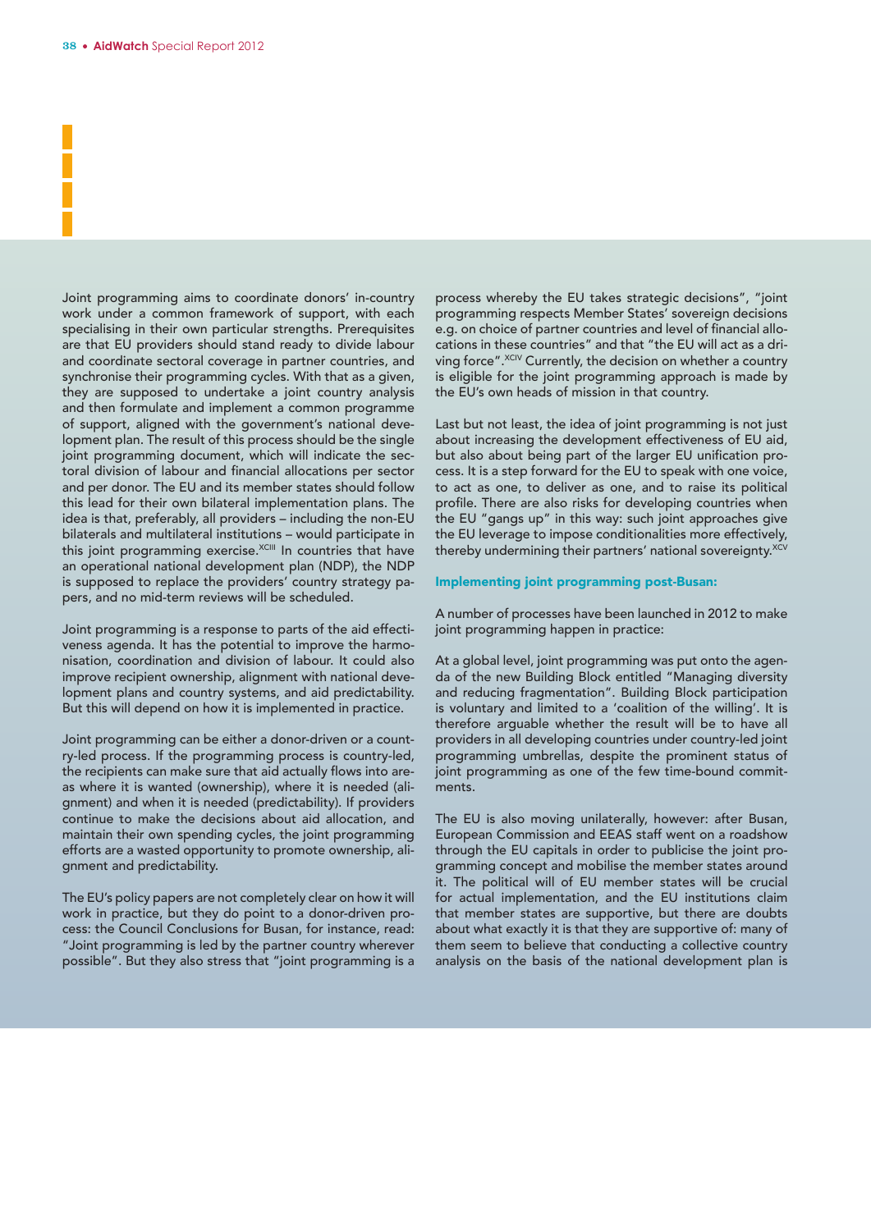Joint programming aims to coordinate donors' in-country work under a common framework of support, with each specialising in their own particular strengths. Prerequisites are that EU providers should stand ready to divide labour and coordinate sectoral coverage in partner countries, and synchronise their programming cycles. With that as a given, they are supposed to undertake a joint country analysis and then formulate and implement a common programme of support, aligned with the government's national development plan. The result of this process should be the single joint programming document, which will indicate the sectoral division of labour and financial allocations per sector and per donor. The EU and its member states should follow this lead for their own bilateral implementation plans. The idea is that, preferably, all providers – including the non-EU bilaterals and multilateral institutions – would participate in this joint programming exercise.<sup>XCIII</sup> In countries that have an operational national development plan (NDP), the NDP is supposed to replace the providers' country strategy papers, and no mid-term reviews will be scheduled.

Joint programming is a response to parts of the aid effectiveness agenda. It has the potential to improve the harmonisation, coordination and division of labour. It could also improve recipient ownership, alignment with national development plans and country systems, and aid predictability. But this will depend on how it is implemented in practice.

Joint programming can be either a donor-driven or a country-led process. If the programming process is country-led, the recipients can make sure that aid actually flows into areas where it is wanted (ownership), where it is needed (alignment) and when it is needed (predictability). If providers continue to make the decisions about aid allocation, and maintain their own spending cycles, the joint programming efforts are a wasted opportunity to promote ownership, alignment and predictability.

The EU's policy papers are not completely clear on how it will work in practice, but they do point to a donor-driven process: the Council Conclusions for Busan, for instance, read: "Joint programming is led by the partner country wherever possible". But they also stress that "joint programming is a

process whereby the EU takes strategic decisions", "joint programming respects Member States' sovereign decisions e.g. on choice of partner countries and level of financial allocations in these countries" and that "the EU will act as a driving force". XCIV Currently, the decision on whether a country is eligible for the joint programming approach is made by the EU's own heads of mission in that country.

Last but not least, the idea of joint programming is not just about increasing the development effectiveness of EU aid, but also about being part of the larger EU unification process. It is a step forward for the EU to speak with one voice, to act as one, to deliver as one, and to raise its political profile. There are also risks for developing countries when the EU "gangs up" in this way: such joint approaches give the EU leverage to impose conditionalities more effectively, thereby undermining their partners' national sovereignty.<sup>XCV</sup>

#### Implementing joint programming post-Busan:

A number of processes have been launched in 2012 to make joint programming happen in practice:

At a global level, joint programming was put onto the agenda of the new Building Block entitled "Managing diversity and reducing fragmentation". Building Block participation is voluntary and limited to a 'coalition of the willing'. It is therefore arguable whether the result will be to have all providers in all developing countries under country-led joint programming umbrellas, despite the prominent status of joint programming as one of the few time-bound commitments.

The EU is also moving unilaterally, however: after Busan, European Commission and EEAS staff went on a roadshow through the EU capitals in order to publicise the joint programming concept and mobilise the member states around it. The political will of EU member states will be crucial for actual implementation, and the EU institutions claim that member states are supportive, but there are doubts about what exactly it is that they are supportive of: many of them seem to believe that conducting a collective country analysis on the basis of the national development plan is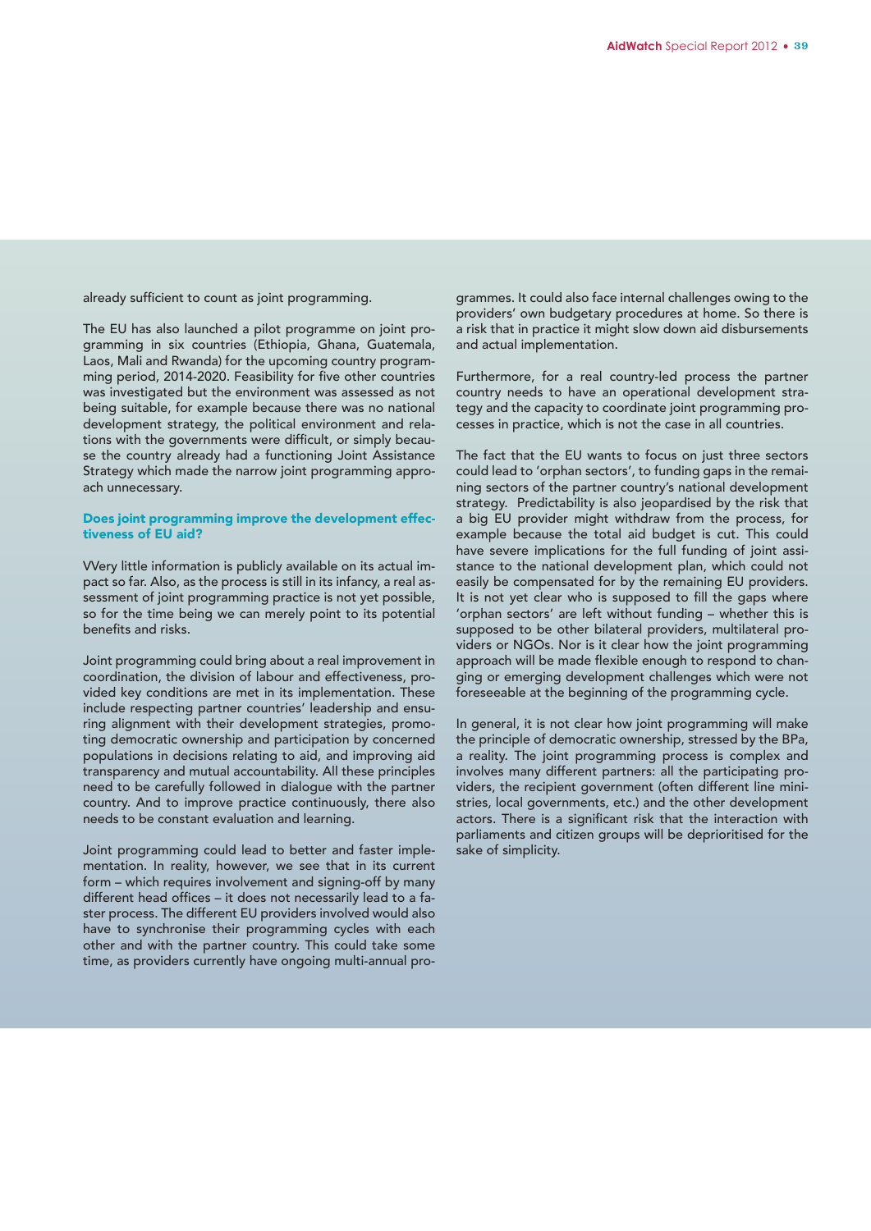already sufficient to count as joint programming.

The EU has also launched a pilot programme on joint programming in six countries (Ethiopia, Ghana, Guatemala, Laos, Mali and Rwanda) for the upcoming country programming period, 2014-2020. Feasibility for five other countries was investigated but the environment was assessed as not being suitable, for example because there was no national development strategy, the political environment and relations with the governments were difficult, or simply because the country already had a functioning Joint Assistance Strategy which made the narrow joint programming approach unnecessary.

#### Does joint programming improve the development effectiveness of EU aid?

VVery little information is publicly available on its actual impact so far. Also, as the process is still in its infancy, a real assessment of joint programming practice is not yet possible, so for the time being we can merely point to its potential benefits and risks.

Joint programming could bring about a real improvement in coordination, the division of labour and effectiveness, provided key conditions are met in its implementation. These include respecting partner countries' leadership and ensuring alignment with their development strategies, promoting democratic ownership and participation by concerned populations in decisions relating to aid, and improving aid transparency and mutual accountability. All these principles need to be carefully followed in dialogue with the partner country. And to improve practice continuously, there also needs to be constant evaluation and learning.

Joint programming could lead to better and faster implementation. In reality, however, we see that in its current form – which requires involvement and signing-off by many different head offices – it does not necessarily lead to a faster process. The different EU providers involved would also have to synchronise their programming cycles with each other and with the partner country. This could take some time, as providers currently have ongoing multi-annual programmes. It could also face internal challenges owing to the providers' own budgetary procedures at home. So there is a risk that in practice it might slow down aid disbursements and actual implementation.

Furthermore, for a real country-led process the partner country needs to have an operational development strategy and the capacity to coordinate joint programming processes in practice, which is not the case in all countries.

The fact that the EU wants to focus on just three sectors could lead to 'orphan sectors', to funding gaps in the remaining sectors of the partner country's national development strategy. Predictability is also jeopardised by the risk that a big EU provider might withdraw from the process, for example because the total aid budget is cut. This could have severe implications for the full funding of joint assistance to the national development plan, which could not easily be compensated for by the remaining EU providers. It is not yet clear who is supposed to fill the gaps where 'orphan sectors' are left without funding – whether this is supposed to be other bilateral providers, multilateral providers or NGOs. Nor is it clear how the joint programming approach will be made flexible enough to respond to changing or emerging development challenges which were not foreseeable at the beginning of the programming cycle.

In general, it is not clear how joint programming will make the principle of democratic ownership, stressed by the BPa, a reality. The joint programming process is complex and involves many different partners: all the participating providers, the recipient government (often different line ministries, local governments, etc.) and the other development actors. There is a significant risk that the interaction with parliaments and citizen groups will be deprioritised for the sake of simplicity.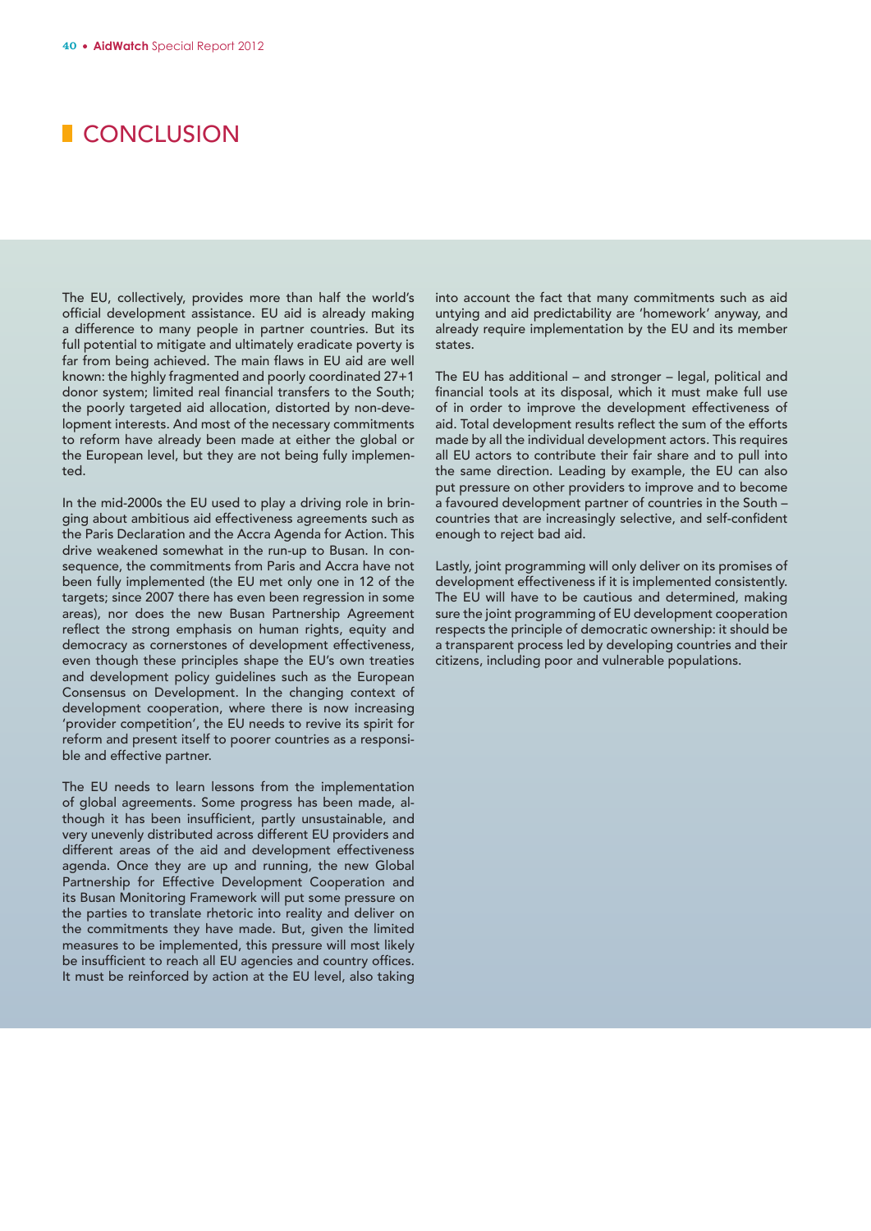# **CONCLUSION**

The EU, collectively, provides more than half the world's official development assistance. EU aid is already making a difference to many people in partner countries. But its full potential to mitigate and ultimately eradicate poverty is far from being achieved. The main flaws in EU aid are well known: the highly fragmented and poorly coordinated 27+1 donor system; limited real financial transfers to the South; the poorly targeted aid allocation, distorted by non-development interests. And most of the necessary commitments to reform have already been made at either the global or the European level, but they are not being fully implemented.

In the mid-2000s the EU used to play a driving role in bringing about ambitious aid effectiveness agreements such as the Paris Declaration and the Accra Agenda for Action. This drive weakened somewhat in the run-up to Busan. In consequence, the commitments from Paris and Accra have not been fully implemented (the EU met only one in 12 of the targets; since 2007 there has even been regression in some areas), nor does the new Busan Partnership Agreement reflect the strong emphasis on human rights, equity and democracy as cornerstones of development effectiveness, even though these principles shape the EU's own treaties and development policy guidelines such as the European Consensus on Development. In the changing context of development cooperation, where there is now increasing 'provider competition', the EU needs to revive its spirit for reform and present itself to poorer countries as a responsible and effective partner.

The EU needs to learn lessons from the implementation of global agreements. Some progress has been made, although it has been insufficient, partly unsustainable, and very unevenly distributed across different EU providers and different areas of the aid and development effectiveness agenda. Once they are up and running, the new Global Partnership for Effective Development Cooperation and its Busan Monitoring Framework will put some pressure on the parties to translate rhetoric into reality and deliver on the commitments they have made. But, given the limited measures to be implemented, this pressure will most likely be insufficient to reach all EU agencies and country offices. It must be reinforced by action at the EU level, also taking

into account the fact that many commitments such as aid untying and aid predictability are 'homework' anyway, and already require implementation by the EU and its member states.

The EU has additional – and stronger – legal, political and financial tools at its disposal, which it must make full use of in order to improve the development effectiveness of aid. Total development results reflect the sum of the efforts made by all the individual development actors. This requires all EU actors to contribute their fair share and to pull into the same direction. Leading by example, the EU can also put pressure on other providers to improve and to become a favoured development partner of countries in the South – countries that are increasingly selective, and self-confident enough to reject bad aid.

Lastly, joint programming will only deliver on its promises of development effectiveness if it is implemented consistently. The EU will have to be cautious and determined, making sure the joint programming of EU development cooperation respects the principle of democratic ownership: it should be a transparent process led by developing countries and their citizens, including poor and vulnerable populations.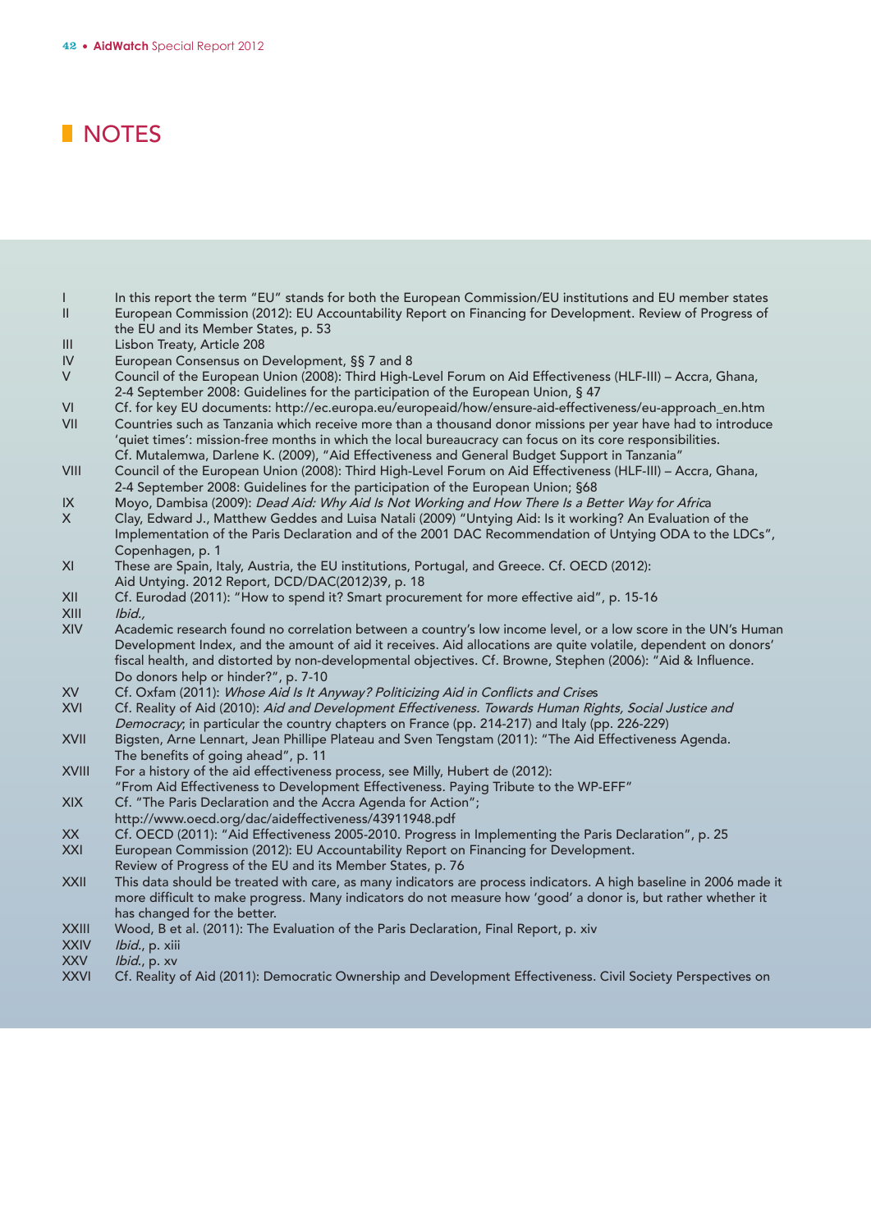# **NOTES**

- I In this report the term "EU" stands for both the European Commission/EU institutions and EU member states European Commission (2012): EU Accountability Report on Financing for Development. Review of Progress of
- the EU and its Member States, p. 53
- III Lisbon Treaty, Article 208
- IV European Consensus on Development, §§ 7 and 8
- V Council of the European Union (2008): Third High-Level Forum on Aid Effectiveness (HLF-III) Accra, Ghana, 2-4 September 2008: Guidelines for the participation of the European Union, § 47
- VI Cf. for key EU documents: http://ec.europa.eu/europeaid/how/ensure-aid-effectiveness/eu-approach\_en.htm
- Countries such as Tanzania which receive more than a thousand donor missions per year have had to introduce 'quiet times': mission-free months in which the local bureaucracy can focus on its core responsibilities. Cf. Mutalemwa, Darlene K. (2009), "Aid Effectiveness and General Budget Support in Tanzania"
- VIII Council of the European Union (2008): Third High-Level Forum on Aid Effectiveness (HLF-III) Accra, Ghana, 2-4 September 2008: Guidelines for the participation of the European Union; §68
- IX Moyo, Dambisa (2009): *Dead Aid: Why Aid Is Not Working and How There Is a Better Way for Afric*a<br>In Marchard J., Matthew Geddes and Luisa Natali (2009) "Untying Aid: Is it working? An Evaluation
- Clay, Edward J., Matthew Geddes and Luisa Natali (2009) "Untying Aid: Is it working? An Evaluation of the Implementation of the Paris Declaration and of the 2001 DAC Recommendation of Untying ODA to the LDCs", Copenhagen, p. 1
- XI These are Spain, Italy, Austria, the EU institutions, Portugal, and Greece. Cf. OECD (2012): Aid Untying. 2012 Report, DCD/DAC(2012)39, p. 18
- XII Cf. Eurodad (2011): "How to spend it? Smart procurement for more effective aid", p. 15-16
- XIII *Ibid.*,
- XIV Academic research found no correlation between a country's low income level, or a low score in the UN's Human Development Index, and the amount of aid it receives. Aid allocations are quite volatile, dependent on donors' fiscal health, and distorted by non-developmental objectives. Cf. Browne, Stephen (2006): "Aid & Influence. Do donors help or hinder?", p. 7-10
- XV Cf. Oxfam (2011): Whose Aid Is It Anyway? Politicizing Aid in Conflicts and Crises
- XVI Cf. Reality of Aid (2010): Aid and Development Effectiveness. Towards Human Rights, Social Justice and Democracy; in particular the country chapters on France (pp. 214-217) and Italy (pp. 226-229)
- XVII Bigsten, Arne Lennart, Jean Phillipe Plateau and Sven Tengstam (2011): "The Aid Effectiveness Agenda. The benefits of going ahead", p. 11
- XVIII For a history of the aid effectiveness process, see Milly, Hubert de (2012): "From Aid Effectiveness to Development Effectiveness. Paying Tribute to the WP-EFF"
- XIX Cf. "The Paris Declaration and the Accra Agenda for Action";
- http://www.oecd.org/dac/aideffectiveness/43911948.pdf
- XX Cf. OECD (2011): "Aid Effectiveness 2005-2010. Progress in Implementing the Paris Declaration", p. 25
- XXI European Commission (2012): EU Accountability Report on Financing for Development.
- Review of Progress of the EU and its Member States, p. 76
- XXII This data should be treated with care, as many indicators are process indicators. A high baseline in 2006 made it more difficult to make progress. Many indicators do not measure how 'good' a donor is, but rather whether it has changed for the better.
- XXIII Wood, B et al. (2011): The Evaluation of the Paris Declaration, Final Report, p. xiv
- XXIV Ibid., p. xiii
- XXV Ibid., p. xv
- XXVI Cf. Reality of Aid (2011): Democratic Ownership and Development Effectiveness. Civil Society Perspectives on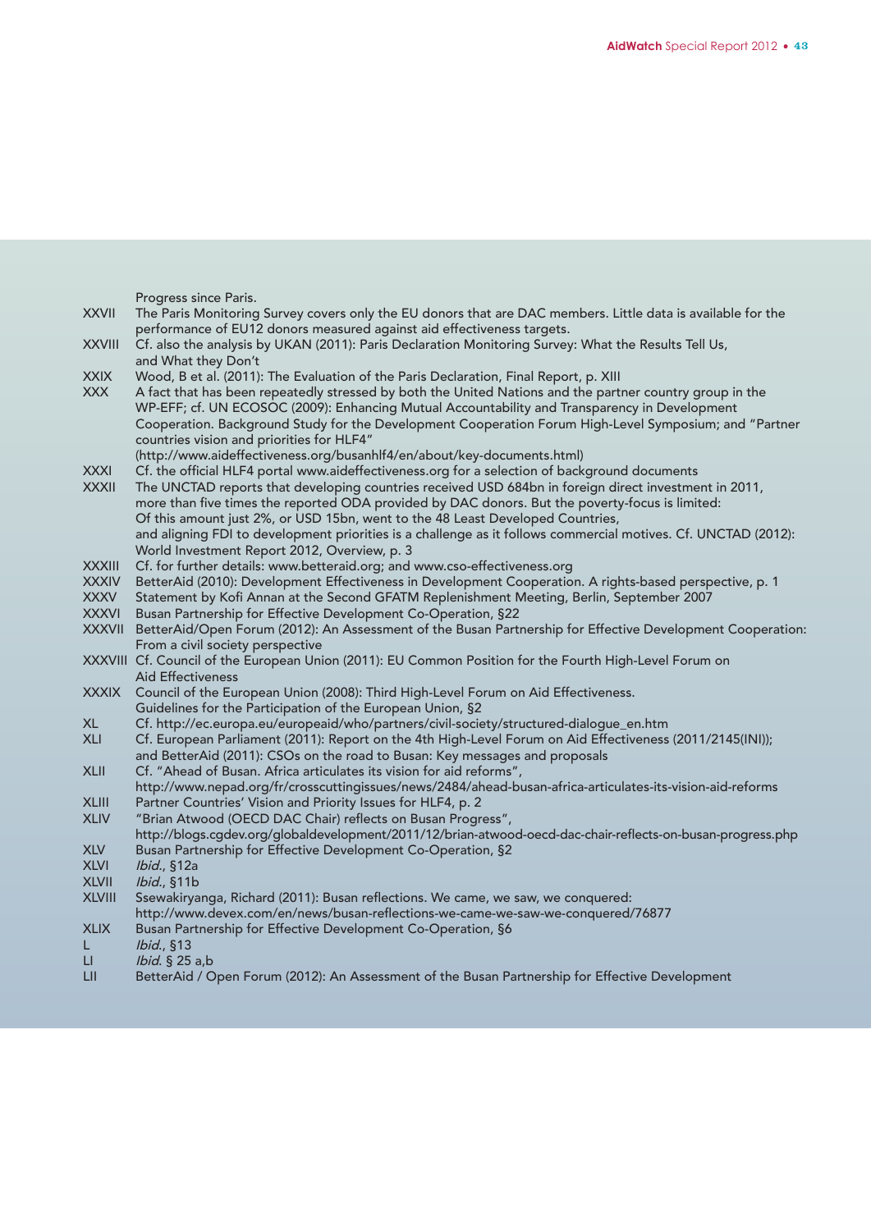|               | Progress since Paris.                                                                                          |
|---------------|----------------------------------------------------------------------------------------------------------------|
| <b>XXVII</b>  | The Paris Monitoring Survey covers only the EU donors that are DAC members. Little data is available for the   |
|               | performance of EU12 donors measured against aid effectiveness targets.                                         |
| XXVIII        | Cf. also the analysis by UKAN (2011): Paris Declaration Monitoring Survey: What the Results Tell Us,           |
|               | and What they Don't                                                                                            |
| XXIX          | Wood, B et al. (2011): The Evaluation of the Paris Declaration, Final Report, p. XIII                          |
| XXX           | A fact that has been repeatedly stressed by both the United Nations and the partner country group in the       |
|               | WP-EFF; cf. UN ECOSOC (2009): Enhancing Mutual Accountability and Transparency in Development                  |
|               | Cooperation. Background Study for the Development Cooperation Forum High-Level Symposium; and "Partner         |
|               | countries vision and priorities for HLF4"                                                                      |
|               | (http://www.aideffectiveness.org/busanhlf4/en/about/key-documents.html)                                        |
| XXXI          | Cf. the official HLF4 portal www.aideffectiveness.org for a selection of background documents                  |
| XXXII         | The UNCTAD reports that developing countries received USD 684bn in foreign direct investment in 2011,          |
|               | more than five times the reported ODA provided by DAC donors. But the poverty-focus is limited:                |
|               | Of this amount just 2%, or USD 15bn, went to the 48 Least Developed Countries,                                 |
|               | and aligning FDI to development priorities is a challenge as it follows commercial motives. Cf. UNCTAD (2012): |
|               | World Investment Report 2012, Overview, p. 3                                                                   |
| XXXIII        | Cf. for further details: www.betteraid.org; and www.cso-effectiveness.org                                      |
| <b>XXXIV</b>  | BetterAid (2010): Development Effectiveness in Development Cooperation. A rights-based perspective, p. 1       |
| <b>XXXV</b>   | Statement by Kofi Annan at the Second GFATM Replenishment Meeting, Berlin, September 2007                      |
| <b>XXXVI</b>  | Busan Partnership for Effective Development Co-Operation, §22                                                  |
| <b>IIVXXX</b> | BetterAid/Open Forum (2012): An Assessment of the Busan Partnership for Effective Development Cooperation:     |
|               | From a civil society perspective                                                                               |
|               | XXXVIII Cf. Council of the European Union (2011): EU Common Position for the Fourth High-Level Forum on        |
|               | <b>Aid Effectiveness</b>                                                                                       |
| XXXIX         | Council of the European Union (2008): Third High-Level Forum on Aid Effectiveness.                             |
|               | Guidelines for the Participation of the European Union, §2                                                     |
| XL            | Cf. http://ec.europa.eu/europeaid/who/partners/civil-society/structured-dialogue_en.htm                        |
| XLI           | Cf. European Parliament (2011): Report on the 4th High-Level Forum on Aid Effectiveness (2011/2145(INI));      |
|               | and BetterAid (2011): CSOs on the road to Busan: Key messages and proposals                                    |
| XLII          | Cf. "Ahead of Busan. Africa articulates its vision for aid reforms",                                           |
|               | http://www.nepad.org/fr/crosscuttingissues/news/2484/ahead-busan-africa-articulates-its-vision-aid-reforms     |
| XLIII         | Partner Countries' Vision and Priority Issues for HLF4, p. 2                                                   |
| <b>XLIV</b>   | "Brian Atwood (OECD DAC Chair) reflects on Busan Progress",                                                    |
|               | http://blogs.cgdev.org/globaldevelopment/2011/12/brian-atwood-oecd-dac-chair-reflects-on-busan-progress.php    |
| <b>XLV</b>    | Busan Partnership for Effective Development Co-Operation, §2                                                   |
| XLVI          | Ibid., §12a                                                                                                    |
| XLVII         | Ibid., §11b                                                                                                    |
| XLVIII        | Ssewakiryanga, Richard (2011): Busan reflections. We came, we saw, we conquered:                               |
|               | http://www.devex.com/en/news/busan-reflections-we-came-we-saw-we-conquered/76877                               |
| XLIX          | Busan Partnership for Effective Development Co-Operation, §6                                                   |
|               | Ibid., §13                                                                                                     |

- LI Ibid. § 25 a,b
	- LII BetterAid / Open Forum (2012): An Assessment of the Busan Partnership for Effective Development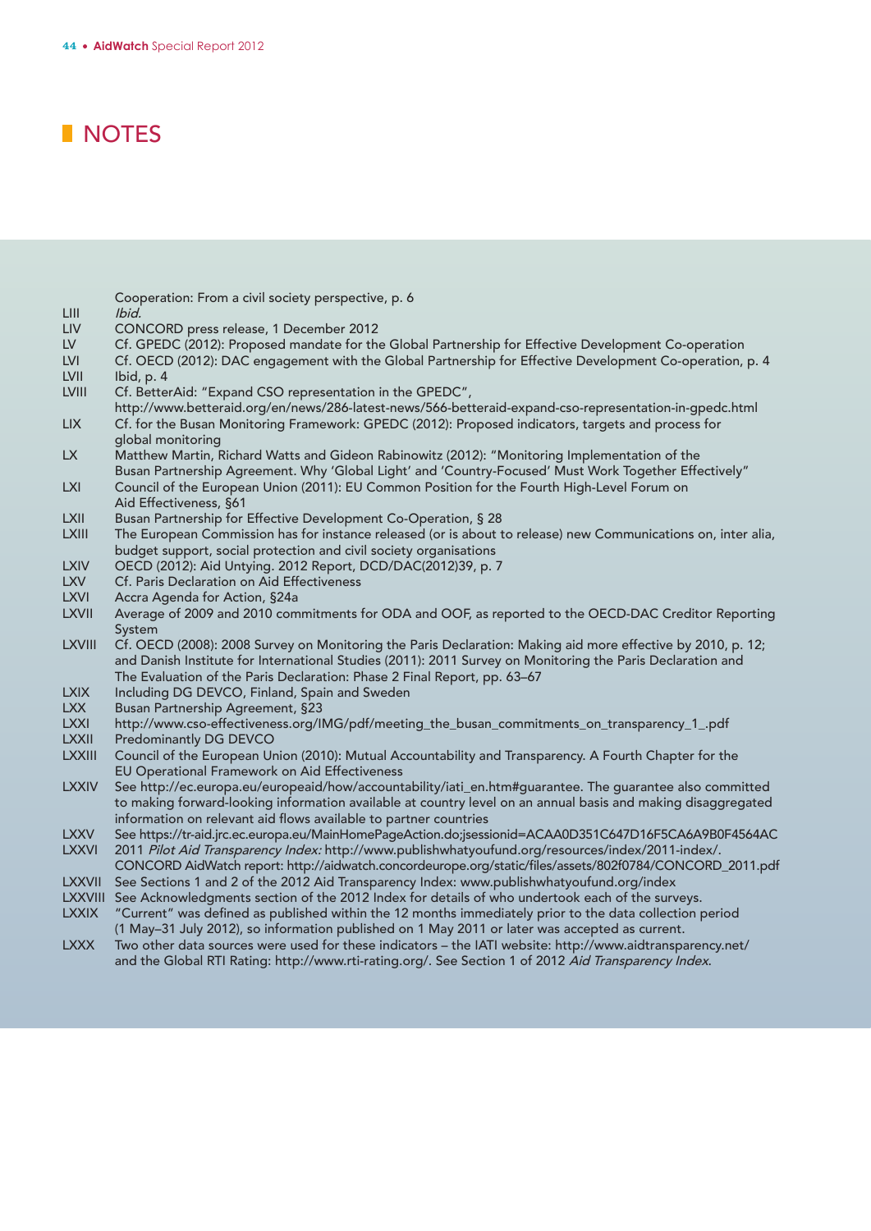# **NOTES**

- Cooperation: From a civil society perspective, p. 6
- LIII *Ibid.*<br>LIV CON
- CONCORD press release, 1 December 2012
- LV Cf. GPEDC (2012): Proposed mandate for the Global Partnership for Effective Development Co-operation
- LVI Cf. OECD (2012): DAC engagement with the Global Partnership for Effective Development Co-operation, p. 4
- LVII Ibid, p. 4
- Cf. BetterAid: "Expand CSO representation in the GPEDC",
- http://www.betteraid.org/en/news/286-latest-news/566-betteraid-expand-cso-representation-in-gpedc.html LIX Cf. for the Busan Monitoring Framework: GPEDC (2012): Proposed indicators, targets and process for
- global monitoring
- LX Matthew Martin, Richard Watts and Gideon Rabinowitz (2012): "Monitoring Implementation of the Busan Partnership Agreement. Why 'Global Light' and 'Country-Focused' Must Work Together Effectively"
- LXI Council of the European Union (2011): EU Common Position for the Fourth High-Level Forum on Aid Effectiveness, §61
- LXII Busan Partnership for Effective Development Co-Operation, § 28<br>LXIII The European Commission has for instance released (or is about t
- The European Commission has for instance released (or is about to release) new Communications on, inter alia, budget support, social protection and civil society organisations
- LXIV OECD (2012): Aid Untying. 2012 Report, DCD/DAC(2012)39, p. 7
- LXV Cf. Paris Declaration on Aid Effectiveness
- LXVI Accra Agenda for Action, §24a
- LXVII Average of 2009 and 2010 commitments for ODA and OOF, as reported to the OECD-DAC Creditor Reporting System
- LXVIII Cf. OECD (2008): 2008 Survey on Monitoring the Paris Declaration: Making aid more effective by 2010, p. 12; and Danish Institute for International Studies (2011): 2011 Survey on Monitoring the Paris Declaration and The Evaluation of the Paris Declaration: Phase 2 Final Report, pp. 63–67
- LXIX Including DG DEVCO, Finland, Spain and Sweden
- LXX Busan Partnership Agreement, §23
- LXXI http://www.cso-effectiveness.org/IMG/pdf/meeting\_the\_busan\_commitments\_on\_transparency\_1\_.pdf
- LXXII Predominantly DG DEVCO
- LXXIII Council of the European Union (2010): Mutual Accountability and Transparency. A Fourth Chapter for the EU Operational Framework on Aid Effectiveness
- LXXIV See http://ec.europa.eu/europeaid/how/accountability/iati\_en.htm#guarantee. The guarantee also committed to making forward-looking information available at country level on an annual basis and making disaggregated information on relevant aid flows available to partner countries
- LXXV See https://tr-aid.jrc.ec.europa.eu/MainHomePageAction.do;jsessionid=ACAA0D351C647D16F5CA6A9B0F4564AC LXXVI 2011 Pilot Aid Transparency Index: http://www.publishwhatyoufund.org/resources/index/2011-index/.
- CONCORD AidWatch report: http://aidwatch.concordeurope.org/static/files/assets/802f0784/CONCORD\_2011.pdf LXXVII See Sections 1 and 2 of the 2012 Aid Transparency Index: www.publishwhatyoufund.org/index
- LXXVIII See Acknowledgments section of the 2012 Index for details of who undertook each of the surveys.
- LXXIX "Current" was defined as published within the 12 months immediately prior to the data collection period (1 May–31 July 2012), so information published on 1 May 2011 or later was accepted as current.
- LXXX Two other data sources were used for these indicators the IATI website: http://www.aidtransparency.net/ and the Global RTI Rating: http://www.rti-rating.org/. See Section 1 of 2012 Aid Transparency Index.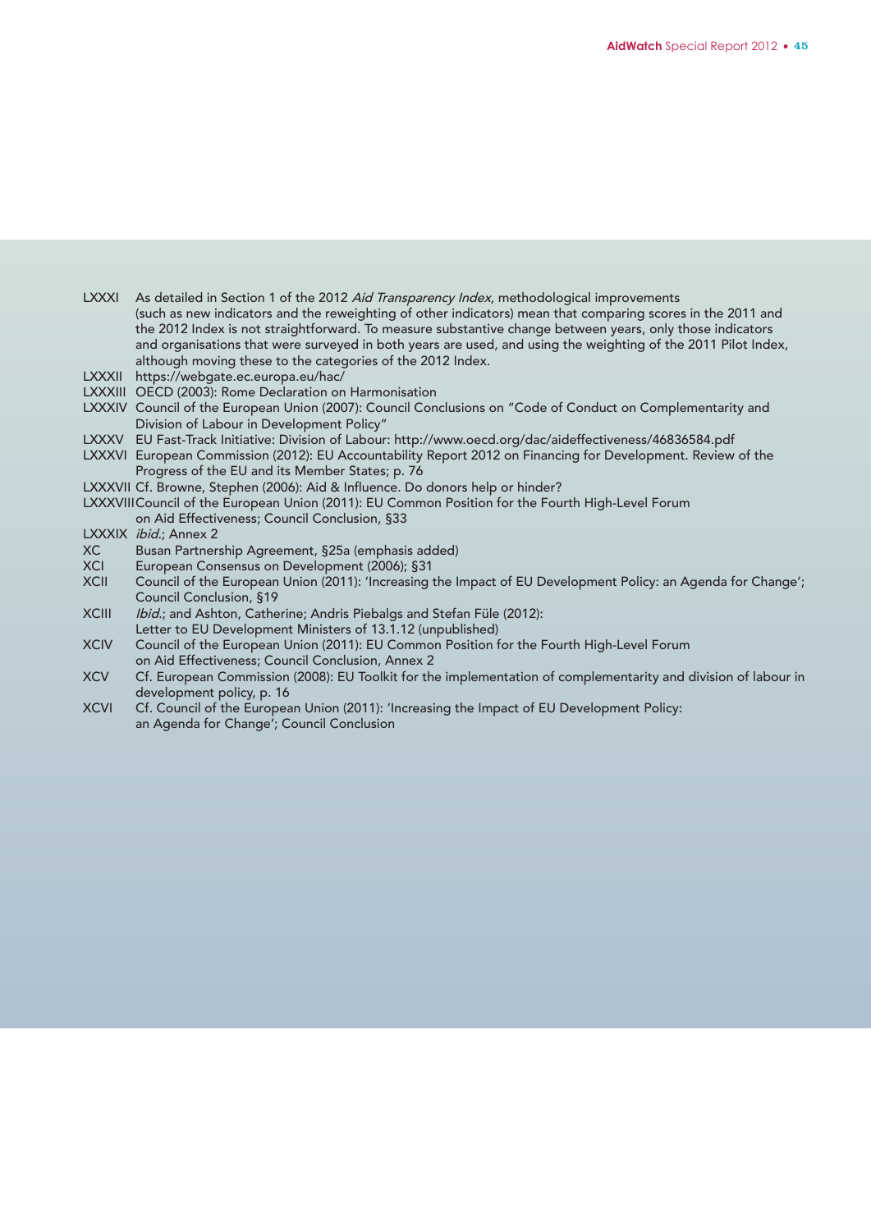```
LXXXI As detailed in Section 1 of the 2012 Aid Transparency Index, methodological improvements
(such as new indicators and the reweighting of other indicators) mean that comparing scores in the 2011 and
the 2012 Index is not straightforward. To measure substantive change between years, only those indicators
and organisations that were surveyed in both years are used, and using the weighting of the 2011 Pilot Index, 
although moving these to the categories of the 2012 Index.
```
- LXXXII https://webgate.ec.europa.eu/hac/
- LXXXIII OECD (2003): Rome Declaration on Harmonisation
- LXXXIV Council of the European Union (2007): Council Conclusions on "Code of Conduct on Complementarity and Division of Labour in Development Policy"
- LXXXV EU Fast-Track Initiative: Division of Labour: http://www.oecd.org/dac/aideffectiveness/46836584.pdf
- LXXXVI European Commission (2012): EU Accountability Report 2012 on Financing for Development. Review of the Progress of the EU and its Member States; p. 76
- LXXXVII Cf. Browne, Stephen (2006): Aid & Influence. Do donors help or hinder?
- LXXXVIIICouncil of the European Union (2011): EU Common Position for the Fourth High-Level Forum
- on Aid Effectiveness; Council Conclusion, §33
- LXXXIX *ibid.*; Annex 2
- XC Busan Partnership Agreement, §25a (emphasis added)<br>XCI European Consensus on Development (2006); §31
- European Consensus on Development (2006); §31
- XCII Council of the European Union (2011): 'Increasing the Impact of EU Development Policy: an Agenda for Change'; Council Conclusion, §19
- XCIII Ibid.; and Ashton, Catherine; Andris Piebalgs and Stefan Füle (2012): Letter to EU Development Ministers of 13.1.12 (unpublished)
- XCIV Council of the European Union (2011): EU Common Position for the Fourth High-Level Forum on Aid Effectiveness; Council Conclusion, Annex 2
- XCV Cf. European Commission (2008): EU Toolkit for the implementation of complementarity and division of labour in development policy, p. 16
- XCVI Cf. Council of the European Union (2011): 'Increasing the Impact of EU Development Policy: an Agenda for Change'; Council Conclusion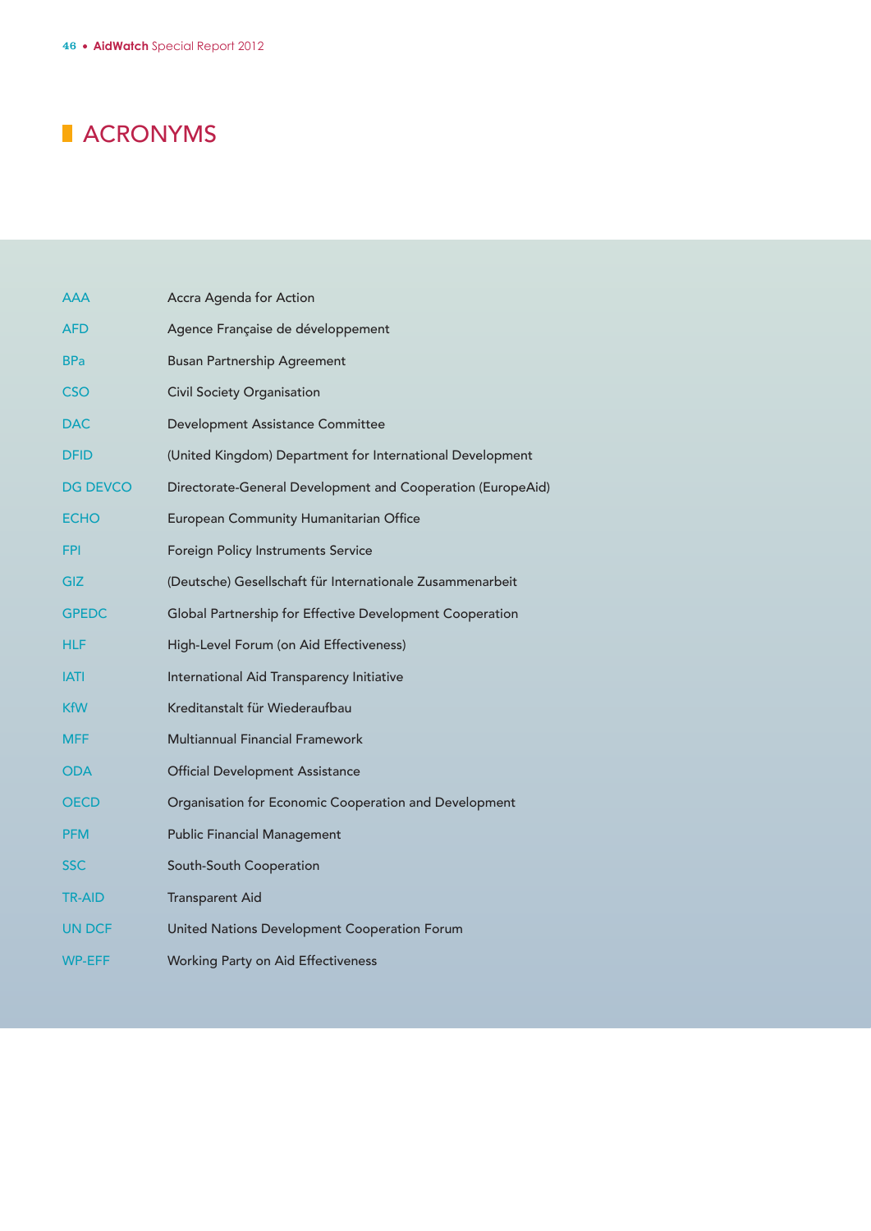# **ACRONYMS**

| AAA             | Accra Agenda for Action                                     |
|-----------------|-------------------------------------------------------------|
| AFD             | Agence Française de développement                           |
| <b>BPa</b>      | <b>Busan Partnership Agreement</b>                          |
| CSO             | Civil Society Organisation                                  |
| DAC             | Development Assistance Committee                            |
| <b>DFID</b>     | (United Kingdom) Department for International Development   |
| <b>DG DEVCO</b> | Directorate-General Development and Cooperation (EuropeAid) |
| <b>ECHO</b>     | European Community Humanitarian Office                      |
| FPI             | Foreign Policy Instruments Service                          |
| GIZ             | (Deutsche) Gesellschaft für Internationale Zusammenarbeit   |
| <b>GPEDC</b>    | Global Partnership for Effective Development Cooperation    |
| HLF             | High-Level Forum (on Aid Effectiveness)                     |
| IATI            | International Aid Transparency Initiative                   |
| <b>KfW</b>      | Kreditanstalt für Wiederaufbau                              |
| MFF             | <b>Multiannual Financial Framework</b>                      |
| ODA             | <b>Official Development Assistance</b>                      |
| OECD            | Organisation for Economic Cooperation and Development       |
| PFM             | <b>Public Financial Management</b>                          |
| SSC             | South-South Cooperation                                     |
| <b>TR-AID</b>   | <b>Transparent Aid</b>                                      |
| UN DCF          | United Nations Development Cooperation Forum                |
| <b>WP-EFF</b>   | Working Party on Aid Effectiveness                          |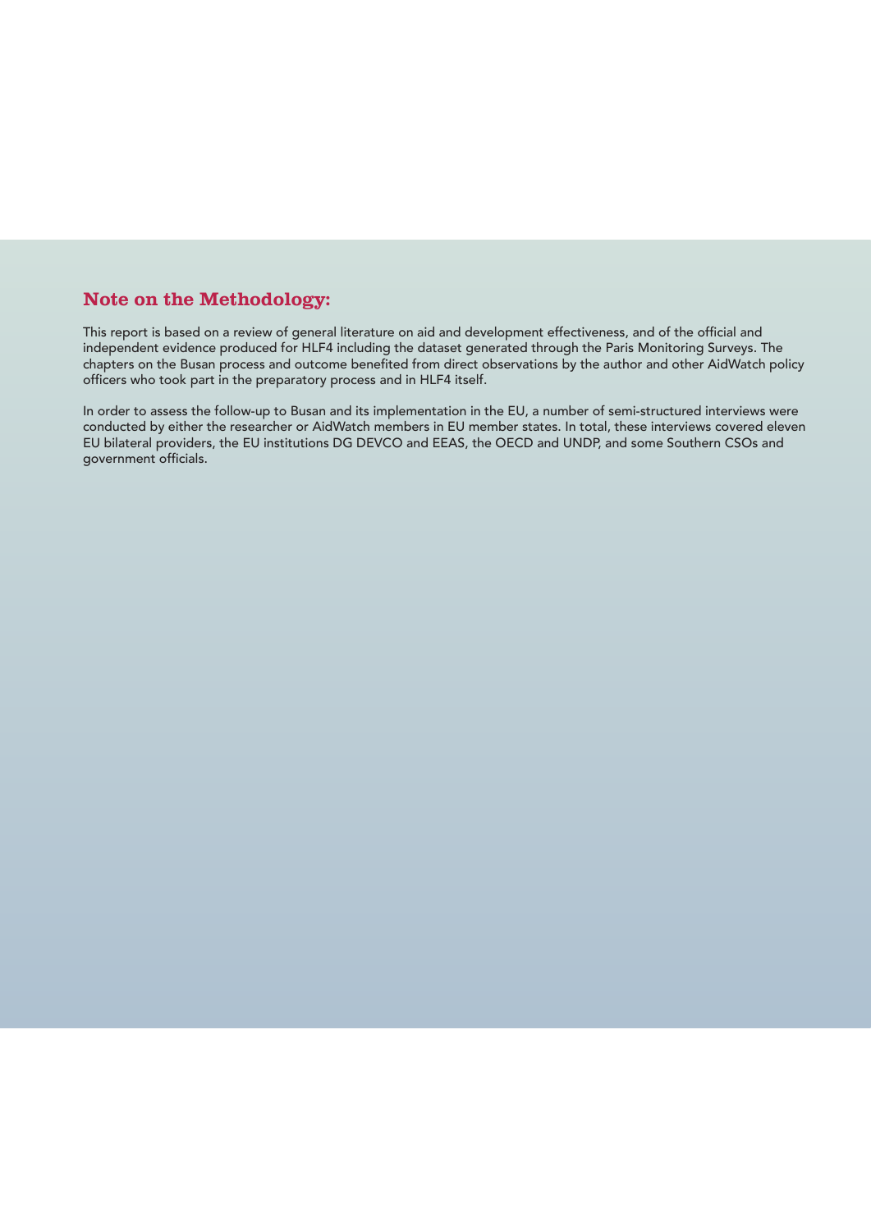# Note on the Methodology:

This report is based on a review of general literature on aid and development effectiveness, and of the official and independent evidence produced for HLF4 including the dataset generated through the Paris Monitoring Surveys. The chapters on the Busan process and outcome benefited from direct observations by the author and other AidWatch policy officers who took part in the preparatory process and in HLF4 itself.

In order to assess the follow-up to Busan and its implementation in the EU, a number of semi-structured interviews were conducted by either the researcher or AidWatch members in EU member states. In total, these interviews covered eleven EU bilateral providers, the EU institutions DG DEVCO and EEAS, the OECD and UNDP, and some Southern CSOs and government officials.